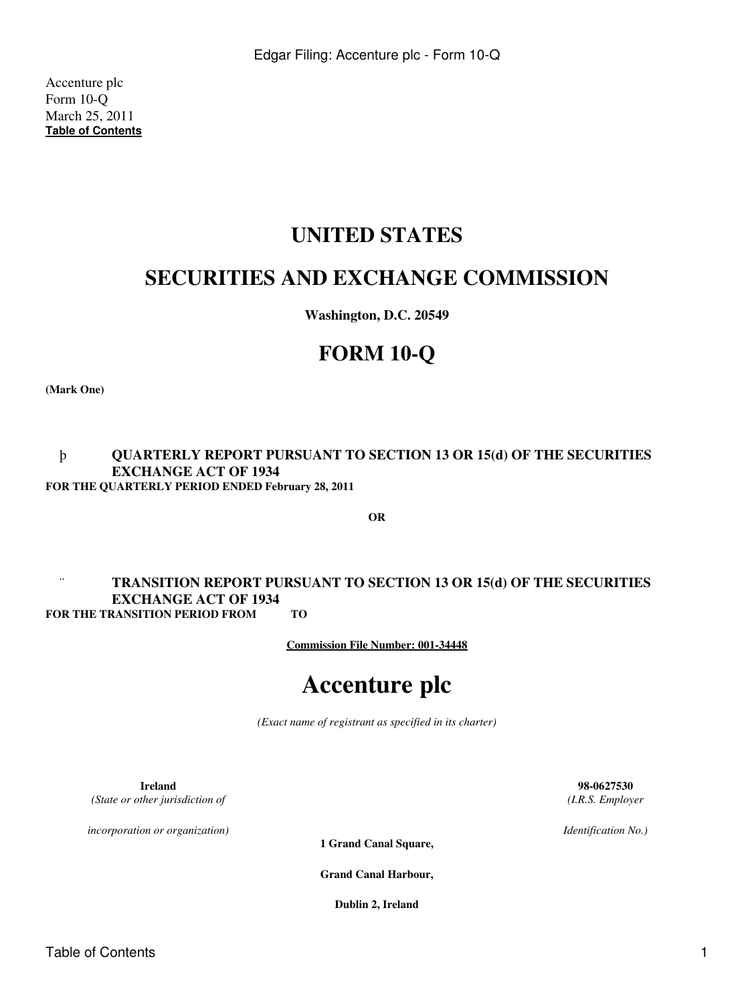Accenture plc Form 10-Q March 25, 2011 **[Table of Contents](#page-2-0)**

# **UNITED STATES**

# **SECURITIES AND EXCHANGE COMMISSION**

**Washington, D.C. 20549**

# **FORM 10-Q**

**(Mark One)**

# þ **QUARTERLY REPORT PURSUANT TO SECTION 13 OR 15(d) OF THE SECURITIES EXCHANGE ACT OF 1934 FOR THE QUARTERLY PERIOD ENDED February 28, 2011**

**OR**

# ¨ **TRANSITION REPORT PURSUANT TO SECTION 13 OR 15(d) OF THE SECURITIES EXCHANGE ACT OF 1934 FOR THE TRANSITION PERIOD FROM TO**

**Commission File Number: 001-34448**

# **Accenture plc**

*(Exact name of registrant as specified in its charter)*

**Ireland 98-0627530** *(State or other jurisdiction of*

*incorporation or organization)*

**1 Grand Canal Square,**

**Grand Canal Harbour,**

**Dublin 2, Ireland**

*(I.R.S. Employer*

*Identification No.)*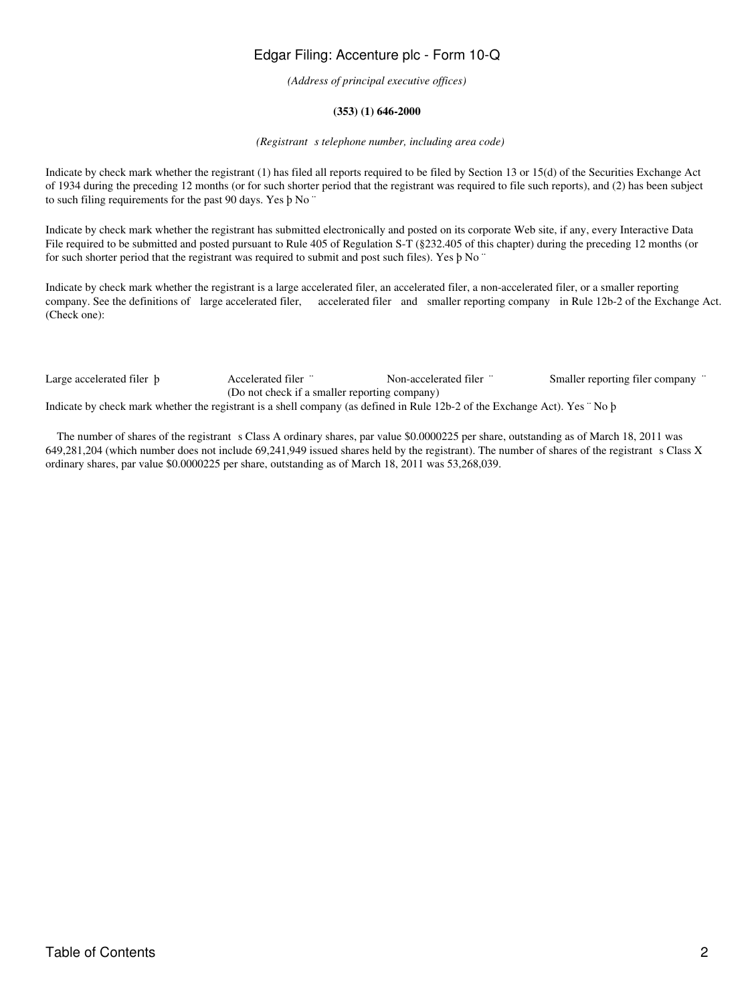*(Address of principal executive offices)*

# **(353) (1) 646-2000**

#### *(Registrant s telephone number, including area code)*

Indicate by check mark whether the registrant (1) has filed all reports required to be filed by Section 13 or 15(d) of the Securities Exchange Act of 1934 during the preceding 12 months (or for such shorter period that the registrant was required to file such reports), and (2) has been subject to such filing requirements for the past 90 days. Yes þ No ¨

Indicate by check mark whether the registrant has submitted electronically and posted on its corporate Web site, if any, every Interactive Data File required to be submitted and posted pursuant to Rule 405 of Regulation S-T (§232.405 of this chapter) during the preceding 12 months (or for such shorter period that the registrant was required to submit and post such files). Yes þ No ¨

Indicate by check mark whether the registrant is a large accelerated filer, an accelerated filer, a non-accelerated filer, or a smaller reporting company. See the definitions of large accelerated filer, accelerated filer and smaller reporting company in Rule 12b-2 of the Exchange Act. (Check one):

Large accelerated filer b Accelerated filer ¨ Non-accelerated filer ¨ Smaller reporting filer company ¨ (Do not check if a smaller reporting company) Indicate by check mark whether the registrant is a shell company (as defined in Rule 12b-2 of the Exchange Act). Yes ¨ No þ

The number of shares of the registrant s Class A ordinary shares, par value \$0.0000225 per share, outstanding as of March 18, 2011 was 649,281,204 (which number does not include 69,241,949 issued shares held by the registrant). The number of shares of the registrant s Class X ordinary shares, par value \$0.0000225 per share, outstanding as of March 18, 2011 was 53,268,039.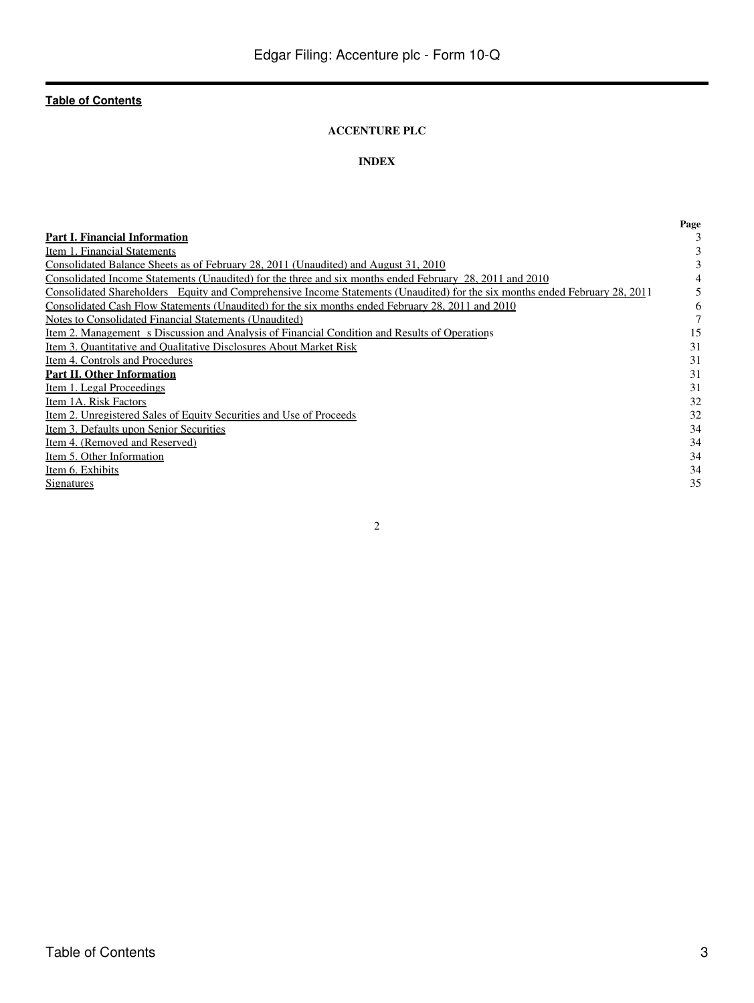# **ACCENTURE PLC**

# **INDEX**

<span id="page-2-0"></span>

|                                                                                                                             | Page |
|-----------------------------------------------------------------------------------------------------------------------------|------|
| <b>Part I. Financial Information</b>                                                                                        |      |
| Item 1. Financial Statements                                                                                                |      |
| Consolidated Balance Sheets as of February 28, 2011 (Unaudited) and August 31, 2010                                         |      |
| Consolidated Income Statements (Unaudited) for the three and six months ended February 28, 2011 and 2010                    |      |
| Consolidated Shareholders Equity and Comprehensive Income Statements (Unaudited) for the six months ended February 28, 2011 |      |
| Consolidated Cash Flow Statements (Unaudited) for the six months ended February 28, 2011 and 2010                           | 6    |
| Notes to Consolidated Financial Statements (Unaudited)                                                                      |      |
| Item 2. Management s Discussion and Analysis of Financial Condition and Results of Operations                               | 15   |
| Item 3. Quantitative and Qualitative Disclosures About Market Risk                                                          | 31   |
| Item 4. Controls and Procedures                                                                                             | 31   |
| <b>Part II. Other Information</b>                                                                                           | 31   |
| Item 1. Legal Proceedings                                                                                                   | 31   |
| Item 1A. Risk Factors                                                                                                       | 32   |
| Item 2. Unregistered Sales of Equity Securities and Use of Proceeds                                                         | 32   |
| Item 3. Defaults upon Senior Securities                                                                                     | 34   |
| Item 4. (Removed and Reserved)                                                                                              | 34   |
| Item 5. Other Information                                                                                                   | 34   |
| Item 6. Exhibits                                                                                                            | 34   |
| Signatures                                                                                                                  | 35   |
|                                                                                                                             |      |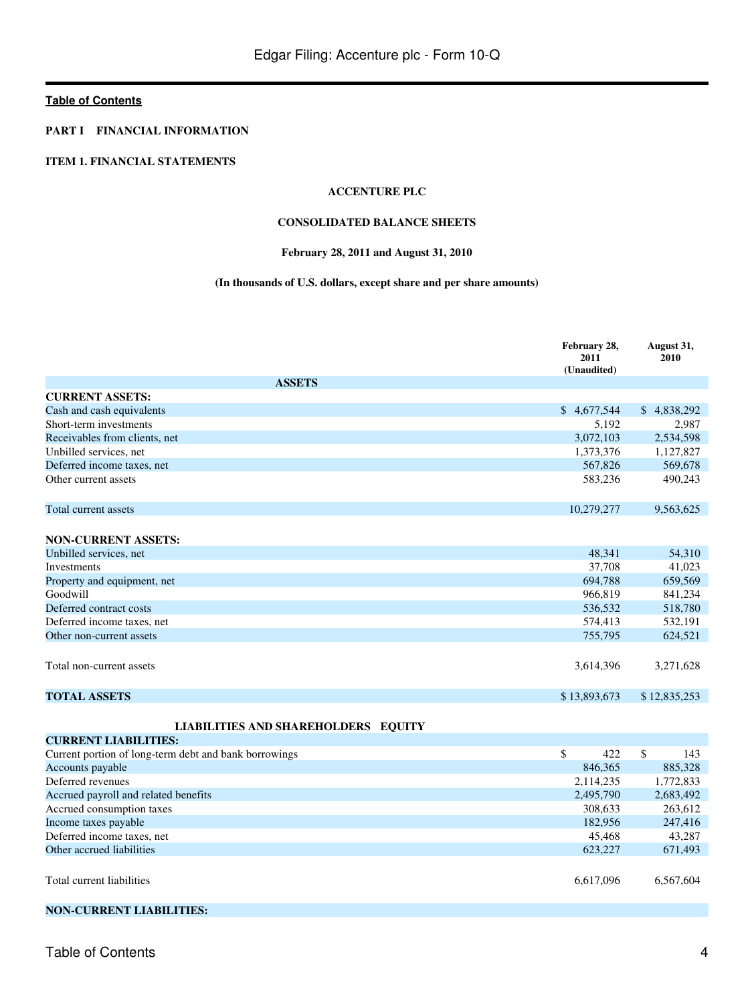### <span id="page-3-0"></span>**PART I FINANCIAL INFORMATION**

### <span id="page-3-2"></span><span id="page-3-1"></span>**ITEM 1. FINANCIAL STATEMENTS**

### **ACCENTURE PLC**

#### **CONSOLIDATED BALANCE SHEETS**

# **February 28, 2011 and August 31, 2010**

# **(In thousands of U.S. dollars, except share and per share amounts)**

|                                                       | February 28,<br>2011<br>(Unaudited) | August 31,<br>2010   |
|-------------------------------------------------------|-------------------------------------|----------------------|
| <b>ASSETS</b>                                         |                                     |                      |
| <b>CURRENT ASSETS:</b>                                |                                     |                      |
| Cash and cash equivalents                             | \$4,677,544                         | \$4,838,292          |
| Short-term investments                                | 5,192                               | 2,987                |
| Receivables from clients, net                         | 3,072,103                           | 2,534,598            |
| Unbilled services, net                                | 1,373,376                           | 1,127,827            |
| Deferred income taxes, net                            | 567,826                             | 569,678              |
| Other current assets                                  | 583,236                             | 490,243              |
| Total current assets                                  | 10,279,277                          | 9,563,625            |
| <b>NON-CURRENT ASSETS:</b>                            |                                     |                      |
| Unbilled services, net                                | 48,341                              | 54,310               |
| Investments                                           | 37,708                              | 41,023               |
| Property and equipment, net                           | 694,788                             | 659,569              |
| Goodwill                                              | 966,819                             | 841,234              |
| Deferred contract costs                               | 536,532                             | 518,780              |
| Deferred income taxes, net                            | 574,413                             | 532,191              |
| Other non-current assets                              | 755,795                             | 624,521              |
| Total non-current assets                              | 3,614,396                           | 3,271,628            |
| <b>TOTAL ASSETS</b>                                   | \$13,893,673                        | \$12,835,253         |
| <b>LIABILITIES AND SHAREHOLDERS EQUITY</b>            |                                     |                      |
| <b>CURRENT LIABILITIES:</b>                           |                                     |                      |
| Current portion of long-term debt and bank borrowings | \$<br>422                           | $\mathsf{\$}$<br>143 |
| Accounts payable                                      | 846,365                             | 885,328              |
| Deferred revenues                                     | 2,114,235                           | 1,772,833            |
| Accrued payroll and related benefits                  | 2,495,790                           | 2,683,492            |
| Accrued consumption taxes                             | 308,633                             | 263,612              |
| Income taxes payable                                  | 182,956                             | 247,416              |
| Deferred income taxes, net                            | 45,468                              | 43,287               |
| Other accrued liabilities                             | 623,227                             | 671,493              |
| Total current liabilities                             | 6,617,096                           | 6,567,604            |
|                                                       |                                     |                      |

# **NON-CURRENT LIABILITIES:**

Table of Contents 4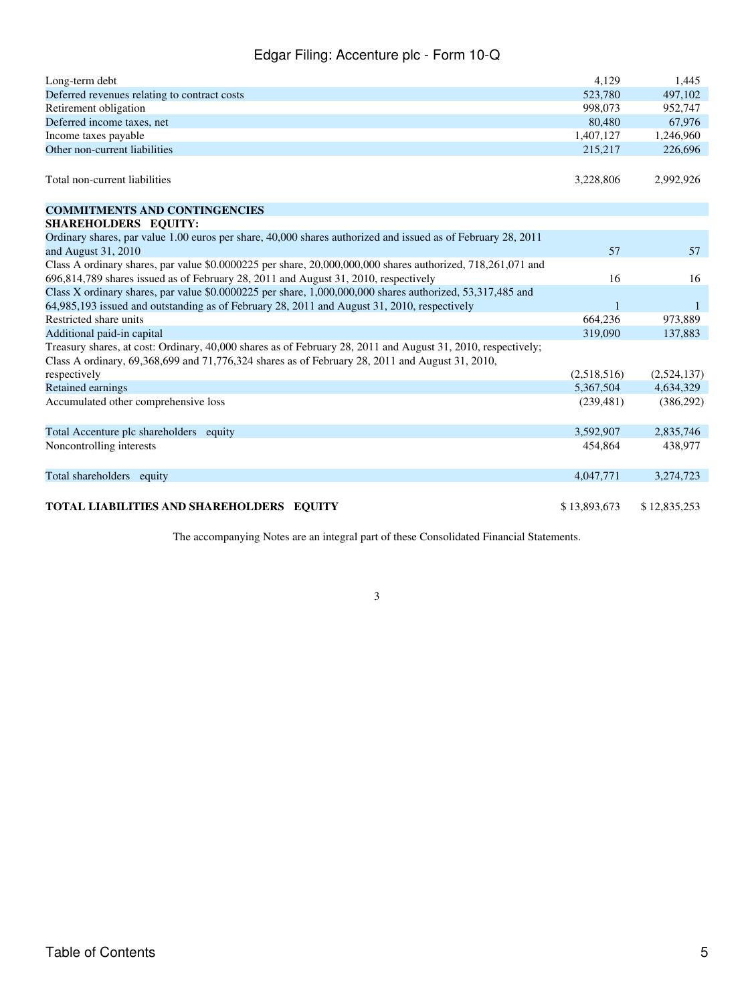| Long-term debt                                                                                                                                                                                                  | 4.129        | 1,445        |
|-----------------------------------------------------------------------------------------------------------------------------------------------------------------------------------------------------------------|--------------|--------------|
| Deferred revenues relating to contract costs                                                                                                                                                                    | 523,780      | 497,102      |
| Retirement obligation                                                                                                                                                                                           | 998,073      | 952,747      |
| Deferred income taxes, net                                                                                                                                                                                      | 80,480       | 67,976       |
| Income taxes payable                                                                                                                                                                                            | 1,407,127    | 1,246,960    |
| Other non-current liabilities                                                                                                                                                                                   | 215,217      | 226,696      |
| Total non-current liabilities                                                                                                                                                                                   | 3,228,806    | 2,992,926    |
| <b>COMMITMENTS AND CONTINGENCIES</b>                                                                                                                                                                            |              |              |
| SHAREHOLDERS EQUITY:                                                                                                                                                                                            |              |              |
| Ordinary shares, par value 1.00 euros per share, 40,000 shares authorized and issued as of February 28, 2011                                                                                                    |              |              |
| and August 31, 2010                                                                                                                                                                                             | 57           | 57           |
| Class A ordinary shares, par value $$0.0000225$ per share, $20,000,000,000$ shares authorized, $718,261,071$ and                                                                                                |              |              |
| 696,814,789 shares issued as of February 28, 2011 and August 31, 2010, respectively                                                                                                                             | 16           | 16           |
| Class X ordinary shares, par value \$0.0000225 per share, 1,000,000,000 shares authorized, 53,317,485 and                                                                                                       |              |              |
| 64,985,193 issued and outstanding as of February 28, 2011 and August 31, 2010, respectively                                                                                                                     | $\mathbf{1}$ | $\mathbf{1}$ |
| Restricted share units                                                                                                                                                                                          | 664,236      | 973,889      |
| Additional paid-in capital                                                                                                                                                                                      | 319,090      | 137,883      |
| Treasury shares, at cost: Ordinary, 40,000 shares as of February 28, 2011 and August 31, 2010, respectively;<br>Class A ordinary, 69,368,699 and 71,776,324 shares as of February 28, 2011 and August 31, 2010, |              |              |
| respectively                                                                                                                                                                                                    | (2,518,516)  | (2,524,137)  |
| Retained earnings                                                                                                                                                                                               | 5,367,504    | 4,634,329    |
| Accumulated other comprehensive loss                                                                                                                                                                            | (239, 481)   | (386,292)    |
| Total Accenture plc shareholders equity                                                                                                                                                                         | 3.592,907    | 2,835,746    |
| Noncontrolling interests                                                                                                                                                                                        | 454,864      | 438,977      |
| Total shareholders equity                                                                                                                                                                                       | 4,047,771    | 3,274,723    |
| TOTAL LIABILITIES AND SHAREHOLDERS EOUITY                                                                                                                                                                       | \$13,893,673 | \$12,835,253 |

The accompanying Notes are an integral part of these Consolidated Financial Statements.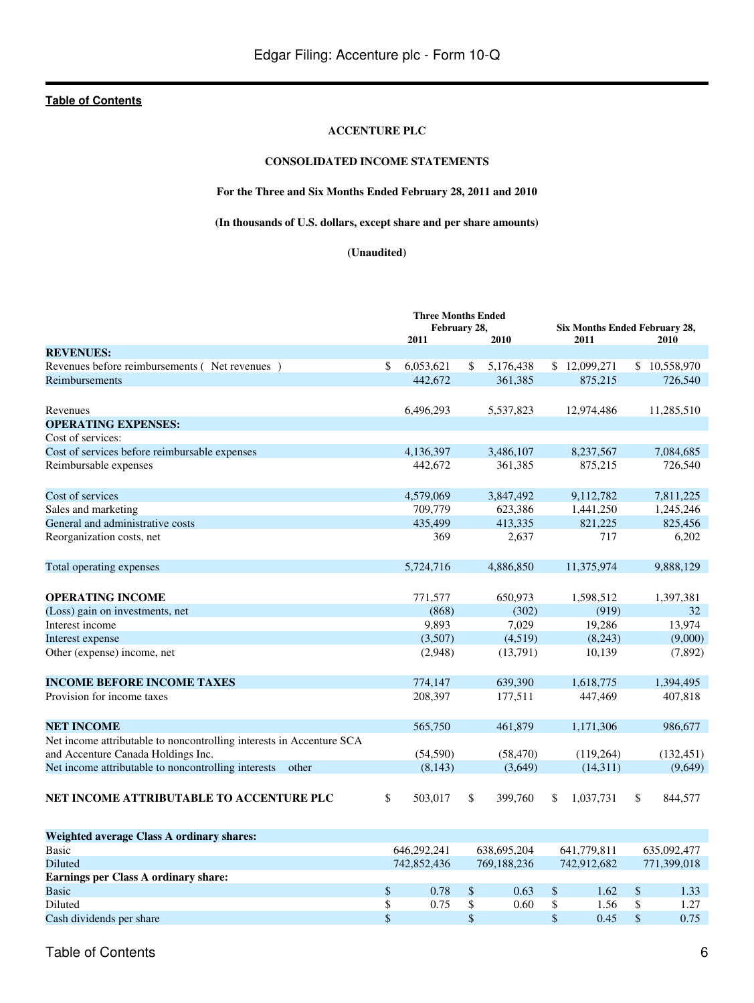#### **ACCENTURE PLC**

# **CONSOLIDATED INCOME STATEMENTS**

# **For the Three and Six Months Ended February 28, 2011 and 2010**

**(In thousands of U.S. dollars, except share and per share amounts)**

#### **(Unaudited)**

<span id="page-5-0"></span>

|                                                                      | <b>Three Months Ended</b> |    |           |    |                                              |               |
|----------------------------------------------------------------------|---------------------------|----|-----------|----|----------------------------------------------|---------------|
|                                                                      | February 28,<br>2011      |    | 2010      |    | <b>Six Months Ended February 28,</b><br>2011 | 2010          |
| <b>REVENUES:</b>                                                     |                           |    |           |    |                                              |               |
| Revenues before reimbursements (Net revenues)                        | \$<br>6,053,621           | \$ | 5,176,438 |    | \$12,099,271                                 | \$10,558,970  |
| Reimbursements                                                       | 442,672                   |    | 361,385   |    | 875,215                                      | 726,540       |
| Revenues                                                             | 6,496,293                 |    | 5,537,823 |    | 12,974,486                                   | 11,285,510    |
| <b>OPERATING EXPENSES:</b>                                           |                           |    |           |    |                                              |               |
| Cost of services:                                                    |                           |    |           |    |                                              |               |
| Cost of services before reimbursable expenses                        | 4,136,397                 |    | 3,486,107 |    | 8,237,567                                    | 7,084,685     |
| Reimbursable expenses                                                | 442,672                   |    | 361,385   |    | 875,215                                      | 726,540       |
| Cost of services                                                     | 4,579,069                 |    | 3,847,492 |    | 9,112,782                                    | 7,811,225     |
| Sales and marketing                                                  | 709,779                   |    | 623,386   |    | 1,441,250                                    | 1,245,246     |
| General and administrative costs                                     | 435,499                   |    | 413,335   |    | 821,225                                      | 825,456       |
| Reorganization costs, net                                            | 369                       |    | 2,637     |    | 717                                          | 6,202         |
| Total operating expenses                                             | 5,724,716                 |    | 4,886,850 |    | 11,375,974                                   | 9,888,129     |
| <b>OPERATING INCOME</b>                                              | 771,577                   |    | 650,973   |    | 1,598,512                                    | 1,397,381     |
| (Loss) gain on investments, net                                      | (868)                     |    | (302)     |    | (919)                                        | 32            |
| Interest income                                                      | 9,893                     |    | 7,029     |    | 19,286                                       | 13,974        |
| Interest expense                                                     | (3,507)                   |    | (4,519)   |    | (8,243)                                      | (9,000)       |
| Other (expense) income, net                                          | (2,948)                   |    | (13,791)  |    | 10,139                                       | (7, 892)      |
| <b>INCOME BEFORE INCOME TAXES</b>                                    | 774,147                   |    | 639,390   |    | 1,618,775                                    | 1,394,495     |
| Provision for income taxes                                           | 208,397                   |    | 177,511   |    | 447,469                                      | 407,818       |
| <b>NET INCOME</b>                                                    | 565,750                   |    | 461,879   |    | 1,171,306                                    | 986,677       |
| Net income attributable to noncontrolling interests in Accenture SCA |                           |    |           |    |                                              |               |
| and Accenture Canada Holdings Inc.                                   | (54, 590)                 |    | (58, 470) |    | (119, 264)                                   | (132, 451)    |
| Net income attributable to noncontrolling interests other            | (8, 143)                  |    | (3,649)   |    | (14, 311)                                    | (9,649)       |
| NET INCOME ATTRIBUTABLE TO ACCENTURE PLC                             | \$<br>503,017             | \$ | 399,760   | \$ | 1,037,731                                    | \$<br>844,577 |
| Weighted average Class A ordinary shares:                            |                           |    |           |    |                                              |               |

| Weighted average Class A Uruliary shares. |             |      |             |      |             |                |             |             |
|-------------------------------------------|-------------|------|-------------|------|-------------|----------------|-------------|-------------|
| Basic                                     | 646.292.241 |      | 638,695,204 |      | 641,779.811 |                | 635,092,477 |             |
| <b>Diluted</b>                            | 742,852,436 |      | 769.188.236 |      | 742,912,682 |                |             | 771.399.018 |
| Earnings per Class A ordinary share:      |             |      |             |      |             |                |             |             |
| <b>Basic</b>                              |             | 0.78 |             | 0.63 |             | $1.62^{\circ}$ |             | 1.33        |
| Diluted                                   |             | 0.75 |             | 0.60 |             | .56            |             | 1.27        |
| Cash dividends per share                  |             |      |             |      |             | 0.45           |             | 0.75        |
|                                           |             |      |             |      |             |                |             |             |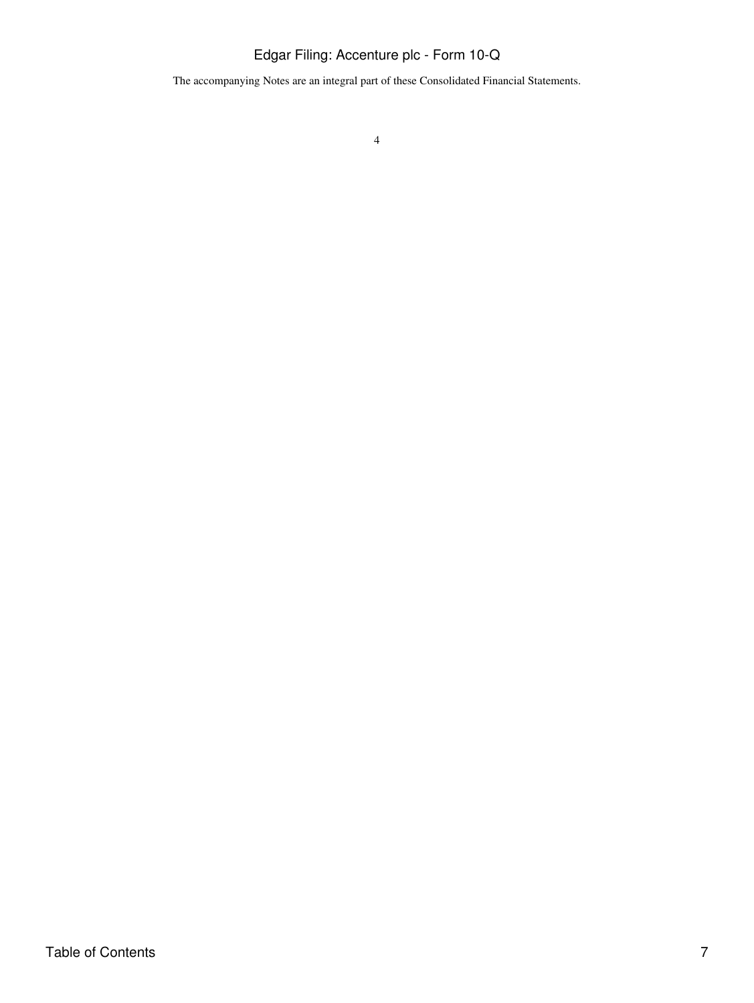The accompanying Notes are an integral part of these Consolidated Financial Statements.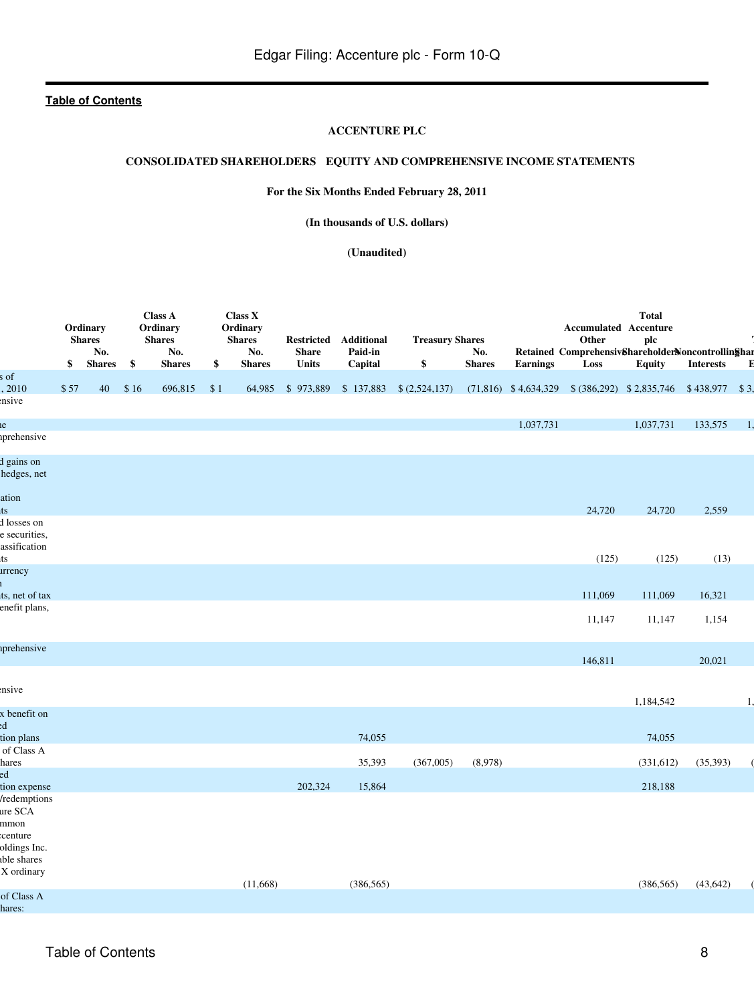#### **ACCENTURE PLC**

# <span id="page-7-0"></span>**CONSOLIDATED SHAREHOLDERS EQUITY AND COMPREHENSIVE INCOME STATEMENTS**

# **For the Six Months Ended February 28, 2011**

**(In thousands of U.S. dollars)**

**(Unaudited)**

|                                                                           | \$   | Ordinary<br><b>Shares</b><br>No.<br><b>Shares</b> | \$   | <b>Class A</b><br>Ordinary<br><b>Shares</b><br>No.<br><b>Shares</b> | \$  | Class X<br>Ordinary<br><b>Shares</b><br>No.<br><b>Shares</b> | <b>Restricted</b><br><b>Share</b><br><b>Units</b> | <b>Additional</b><br>Paid-in<br>Capital | <b>Treasury Shares</b><br>\$ | No.<br><b>Shares</b> | Earnings  | <b>Accumulated Accenture</b><br>Other<br>Retained ComprehensivShareholderNoncontrollinShar<br>Loss | <b>Total</b><br>plc<br><b>Equity</b> | <b>Interests</b> | E  |
|---------------------------------------------------------------------------|------|---------------------------------------------------|------|---------------------------------------------------------------------|-----|--------------------------------------------------------------|---------------------------------------------------|-----------------------------------------|------------------------------|----------------------|-----------|----------------------------------------------------------------------------------------------------|--------------------------------------|------------------|----|
| of<br>, 2010                                                              | \$57 | 40                                                | \$16 | 696,815                                                             | \$1 |                                                              | 64,985 \$973,889 \$137,883                        |                                         | \$(2,524,137)                |                      |           | $(71,816)$ \$4,634,329 \$(386,292) \$2,835,746 \$438,977 \$3,                                      |                                      |                  |    |
| nsive                                                                     |      |                                                   |      |                                                                     |     |                                                              |                                                   |                                         |                              |                      |           |                                                                                                    |                                      |                  |    |
| e                                                                         |      |                                                   |      |                                                                     |     |                                                              |                                                   |                                         |                              |                      | 1,037,731 |                                                                                                    | 1,037,731                            | 133,575          | 1, |
| <i>s</i> prehensive                                                       |      |                                                   |      |                                                                     |     |                                                              |                                                   |                                         |                              |                      |           |                                                                                                    |                                      |                  |    |
| d gains on<br>hedges, net                                                 |      |                                                   |      |                                                                     |     |                                                              |                                                   |                                         |                              |                      |           |                                                                                                    |                                      |                  |    |
| ation<br>ts                                                               |      |                                                   |      |                                                                     |     |                                                              |                                                   |                                         |                              |                      |           | 24,720                                                                                             | 24,720                               | 2,559            |    |
| d losses on<br>e securities,<br>assification                              |      |                                                   |      |                                                                     |     |                                                              |                                                   |                                         |                              |                      |           |                                                                                                    |                                      |                  |    |
| ts<br>arrency                                                             |      |                                                   |      |                                                                     |     |                                                              |                                                   |                                         |                              |                      |           | (125)                                                                                              | (125)                                | (13)             |    |
|                                                                           |      |                                                   |      |                                                                     |     |                                                              |                                                   |                                         |                              |                      |           |                                                                                                    |                                      |                  |    |
| ts, net of tax<br>enefit plans,                                           |      |                                                   |      |                                                                     |     |                                                              |                                                   |                                         |                              |                      |           | 111,069                                                                                            | 111,069                              | 16,321           |    |
|                                                                           |      |                                                   |      |                                                                     |     |                                                              |                                                   |                                         |                              |                      |           | 11,147                                                                                             | 11,147                               | 1,154            |    |
| <i>s</i> prehensive                                                       |      |                                                   |      |                                                                     |     |                                                              |                                                   |                                         |                              |                      |           | 146,811                                                                                            |                                      | 20,021           |    |
| nsive                                                                     |      |                                                   |      |                                                                     |     |                                                              |                                                   |                                         |                              |                      |           |                                                                                                    | 1,184,542                            |                  | 1. |
| x benefit on                                                              |      |                                                   |      |                                                                     |     |                                                              |                                                   |                                         |                              |                      |           |                                                                                                    |                                      |                  |    |
| $_{\rm{ed}}$<br>tion plans                                                |      |                                                   |      |                                                                     |     |                                                              |                                                   | 74,055                                  |                              |                      |           |                                                                                                    | 74,055                               |                  |    |
| of Class A                                                                |      |                                                   |      |                                                                     |     |                                                              |                                                   |                                         |                              |                      |           |                                                                                                    |                                      |                  |    |
| hares<br>ed                                                               |      |                                                   |      |                                                                     |     |                                                              |                                                   | 35,393                                  | (367,005)                    | (8,978)              |           |                                                                                                    | (331, 612)                           | (35, 393)        |    |
| tion expense                                                              |      |                                                   |      |                                                                     |     |                                                              | 202,324                                           | 15,864                                  |                              |                      |           |                                                                                                    | 218,188                              |                  |    |
| /redemptions<br>ure SCA<br>mmon<br>centure<br>oldings Inc.<br>able shares |      |                                                   |      |                                                                     |     |                                                              |                                                   |                                         |                              |                      |           |                                                                                                    |                                      |                  |    |
| X ordinary                                                                |      |                                                   |      |                                                                     |     | (11,668)                                                     |                                                   | (386, 565)                              |                              |                      |           |                                                                                                    | (386, 565)                           | (43, 642)        |    |
| of Class A<br>hares:                                                      |      |                                                   |      |                                                                     |     |                                                              |                                                   |                                         |                              |                      |           |                                                                                                    |                                      |                  |    |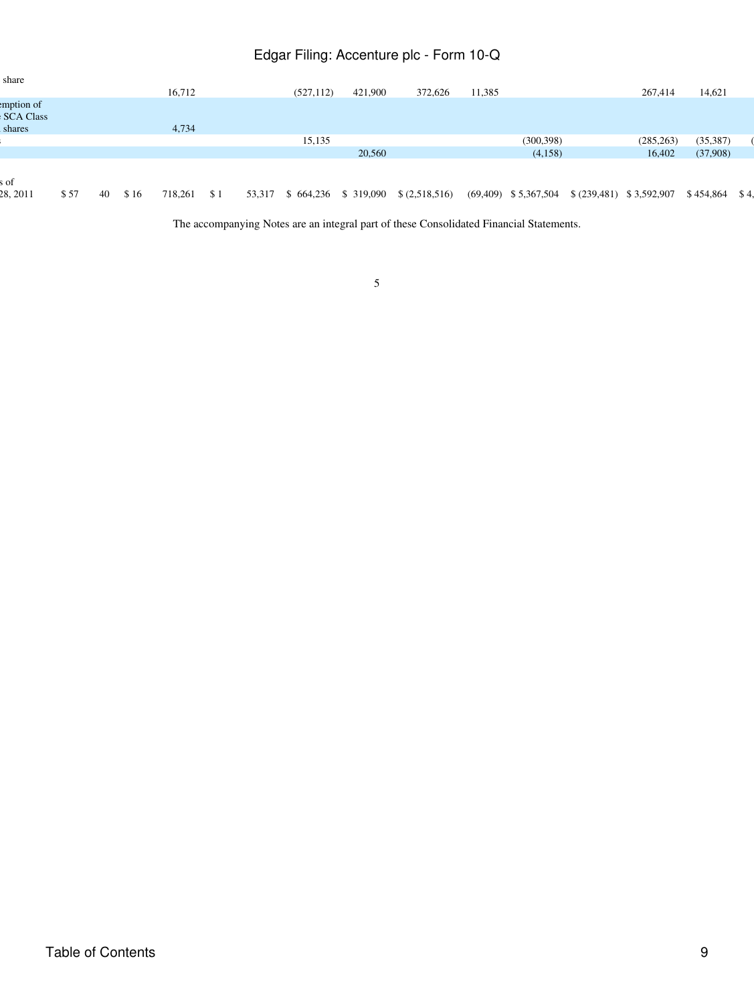| share                          |      |    |      |         |     |        |                     |         |               |        |                         |                            |                 |  |
|--------------------------------|------|----|------|---------|-----|--------|---------------------|---------|---------------|--------|-------------------------|----------------------------|-----------------|--|
|                                |      |    |      | 16,712  |     |        | (527, 112)          | 421,900 | 372,626       | 11,385 |                         | 267,414                    | 14,621          |  |
| emption of<br><b>SCA Class</b> |      |    |      |         |     |        |                     |         |               |        |                         |                            |                 |  |
| shares                         |      |    |      | 4,734   |     |        |                     |         |               |        |                         |                            |                 |  |
|                                |      |    |      |         |     |        | 15,135              |         |               |        | (300, 398)              | (285, 263)                 | (35, 387)       |  |
|                                |      |    |      |         |     |        |                     | 20,560  |               |        | (4,158)                 | 16,402                     | (37,908)        |  |
| s of<br>28, 2011               |      | 40 |      |         |     |        |                     |         |               |        |                         |                            |                 |  |
|                                | \$57 |    | \$16 | 718,261 | \$1 | 53,317 | \$664,236 \$319,090 |         | \$(2,518,516) |        | $(69,409)$ \$ 5,367,504 | $$ (239,481) \ $3,592,907$ | $$454,864$ \$4, |  |

The accompanying Notes are an integral part of these Consolidated Financial Statements.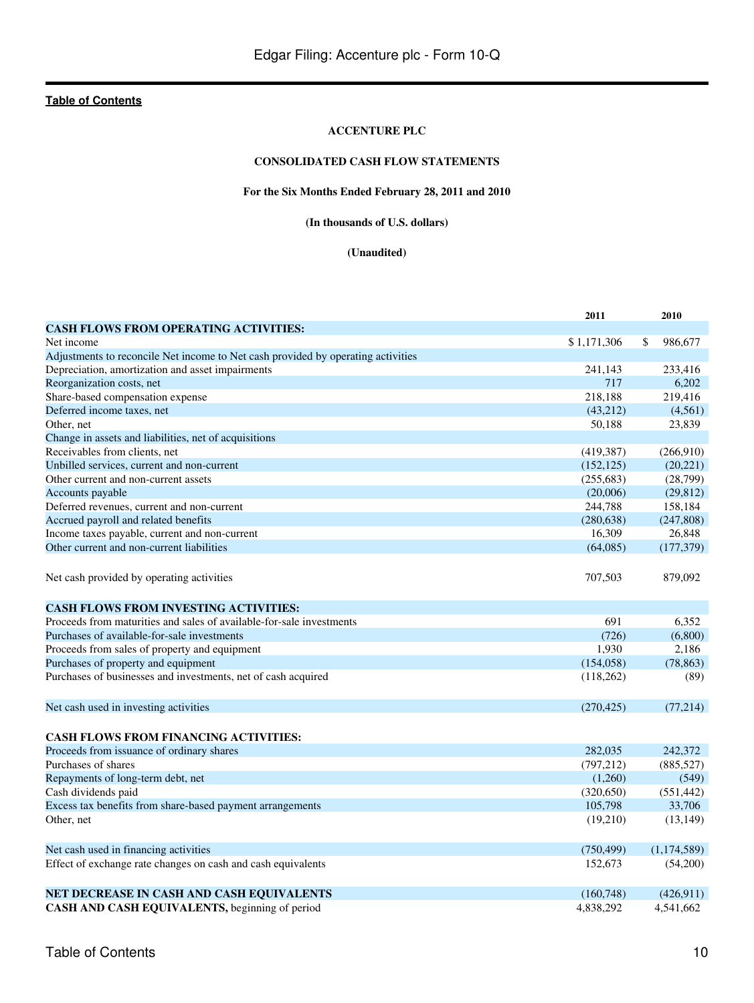### **ACCENTURE PLC**

# **CONSOLIDATED CASH FLOW STATEMENTS**

# **For the Six Months Ended February 28, 2011 and 2010**

**(In thousands of U.S. dollars)**

### **(Unaudited)**

<span id="page-9-0"></span>

|                                                                                  | 2011        | 2010          |
|----------------------------------------------------------------------------------|-------------|---------------|
| <b>CASH FLOWS FROM OPERATING ACTIVITIES:</b>                                     |             |               |
| Net income                                                                       | \$1,171,306 | \$<br>986,677 |
| Adjustments to reconcile Net income to Net cash provided by operating activities |             |               |
| Depreciation, amortization and asset impairments                                 | 241,143     | 233,416       |
| Reorganization costs, net                                                        | 717         | 6,202         |
| Share-based compensation expense                                                 | 218,188     | 219,416       |
| Deferred income taxes, net                                                       | (43,212)    | (4,561)       |
| Other, net                                                                       | 50,188      | 23,839        |
| Change in assets and liabilities, net of acquisitions                            |             |               |
| Receivables from clients, net                                                    | (419, 387)  | (266,910)     |
| Unbilled services, current and non-current                                       | (152, 125)  | (20, 221)     |
| Other current and non-current assets                                             | (255, 683)  | (28,799)      |
| Accounts payable                                                                 | (20,006)    | (29, 812)     |
| Deferred revenues, current and non-current                                       | 244,788     | 158,184       |
| Accrued payroll and related benefits                                             | (280, 638)  | (247, 808)    |
| Income taxes payable, current and non-current                                    | 16,309      | 26,848        |
| Other current and non-current liabilities                                        | (64,085)    | (177, 379)    |
|                                                                                  |             |               |
| Net cash provided by operating activities                                        | 707,503     | 879,092       |
|                                                                                  |             |               |
| <b>CASH FLOWS FROM INVESTING ACTIVITIES:</b>                                     |             |               |
| Proceeds from maturities and sales of available-for-sale investments             | 691         | 6,352         |
| Purchases of available-for-sale investments                                      | (726)       | (6,800)       |
| Proceeds from sales of property and equipment                                    | 1,930       | 2,186         |
| Purchases of property and equipment                                              | (154, 058)  | (78, 863)     |
| Purchases of businesses and investments, net of cash acquired                    | (118,262)   | (89)          |
| Net cash used in investing activities                                            | (270, 425)  | (77,214)      |
| <b>CASH FLOWS FROM FINANCING ACTIVITIES:</b>                                     |             |               |
| Proceeds from issuance of ordinary shares                                        | 282,035     | 242,372       |
| Purchases of shares                                                              | (797, 212)  | (885, 527)    |
| Repayments of long-term debt, net                                                | (1,260)     | (549)         |
| Cash dividends paid                                                              | (320, 650)  | (551, 442)    |
| Excess tax benefits from share-based payment arrangements                        | 105,798     | 33,706        |
| Other, net                                                                       | (19,210)    | (13, 149)     |
|                                                                                  |             |               |
| Net cash used in financing activities                                            | (750, 499)  | (1,174,589)   |
| Effect of exchange rate changes on cash and cash equivalents                     | 152,673     | (54,200)      |
|                                                                                  |             |               |
| NET DECREASE IN CASH AND CASH EQUIVALENTS                                        | (160, 748)  | (426, 911)    |
| CASH AND CASH EQUIVALENTS, beginning of period                                   | 4.838.292   | 4.541.662     |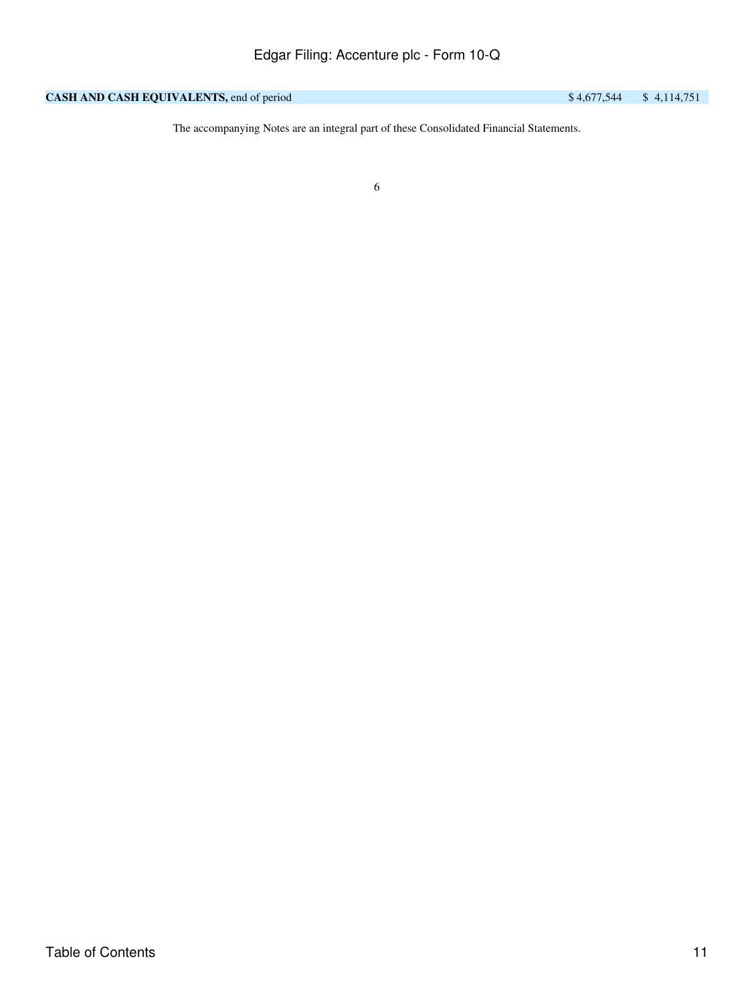# **CASH AND CASH EQUIVALENTS, end of period** \$ 4,677,544 \$ 4,114,751

The accompanying Notes are an integral part of these Consolidated Financial Statements.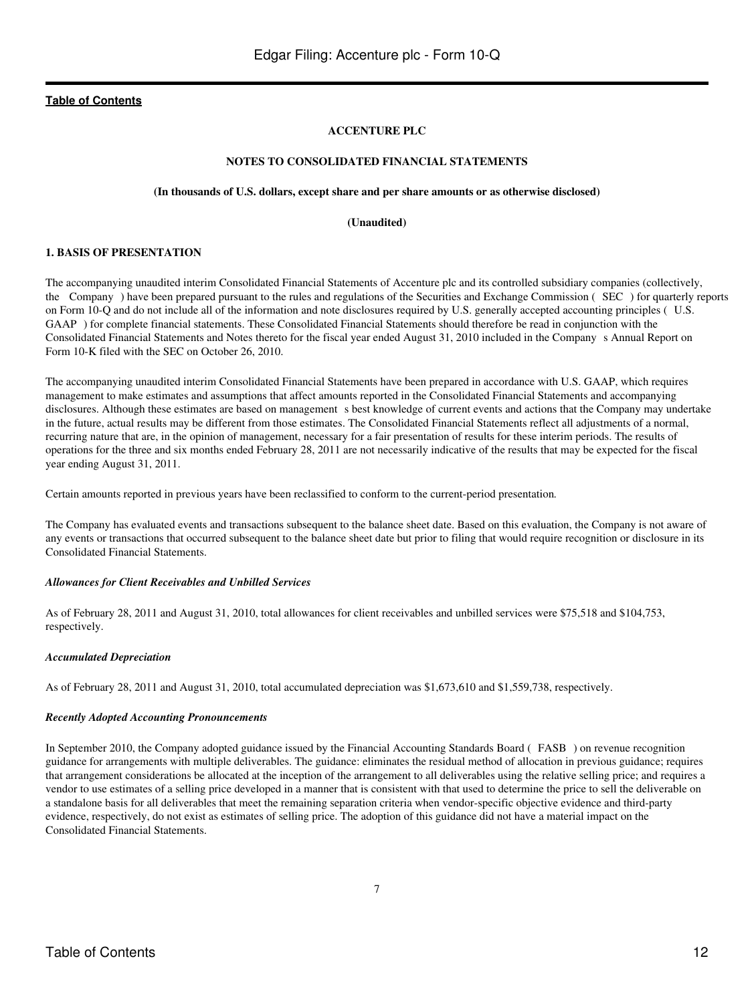### **ACCENTURE PLC**

### **NOTES TO CONSOLIDATED FINANCIAL STATEMENTS**

#### **(In thousands of U.S. dollars, except share and per share amounts or as otherwise disclosed)**

#### **(Unaudited)**

# <span id="page-11-0"></span>**1. BASIS OF PRESENTATION**

The accompanying unaudited interim Consolidated Financial Statements of Accenture plc and its controlled subsidiary companies (collectively, the Company) have been prepared pursuant to the rules and regulations of the Securities and Exchange Commission (SEC) for quarterly reports on Form 10-Q and do not include all of the information and note disclosures required by U.S. generally accepted accounting principles (U.S. GAAP) for complete financial statements. These Consolidated Financial Statements should therefore be read in conjunction with the Consolidated Financial Statements and Notes thereto for the fiscal year ended August 31, 2010 included in the Companys Annual Report on Form 10-K filed with the SEC on October 26, 2010.

The accompanying unaudited interim Consolidated Financial Statements have been prepared in accordance with U.S. GAAP, which requires management to make estimates and assumptions that affect amounts reported in the Consolidated Financial Statements and accompanying disclosures. Although these estimates are based on management s best knowledge of current events and actions that the Company may undertake in the future, actual results may be different from those estimates. The Consolidated Financial Statements reflect all adjustments of a normal, recurring nature that are, in the opinion of management, necessary for a fair presentation of results for these interim periods. The results of operations for the three and six months ended February 28, 2011 are not necessarily indicative of the results that may be expected for the fiscal year ending August 31, 2011.

Certain amounts reported in previous years have been reclassified to conform to the current-period presentation*.*

The Company has evaluated events and transactions subsequent to the balance sheet date. Based on this evaluation, the Company is not aware of any events or transactions that occurred subsequent to the balance sheet date but prior to filing that would require recognition or disclosure in its Consolidated Financial Statements.

#### *Allowances for Client Receivables and Unbilled Services*

As of February 28, 2011 and August 31, 2010, total allowances for client receivables and unbilled services were \$75,518 and \$104,753, respectively.

#### *Accumulated Depreciation*

As of February 28, 2011 and August 31, 2010, total accumulated depreciation was \$1,673,610 and \$1,559,738, respectively.

#### *Recently Adopted Accounting Pronouncements*

In September 2010, the Company adopted guidance issued by the Financial Accounting Standards Board (FASB) on revenue recognition guidance for arrangements with multiple deliverables. The guidance: eliminates the residual method of allocation in previous guidance; requires that arrangement considerations be allocated at the inception of the arrangement to all deliverables using the relative selling price; and requires a vendor to use estimates of a selling price developed in a manner that is consistent with that used to determine the price to sell the deliverable on a standalone basis for all deliverables that meet the remaining separation criteria when vendor-specific objective evidence and third-party evidence, respectively, do not exist as estimates of selling price. The adoption of this guidance did not have a material impact on the Consolidated Financial Statements.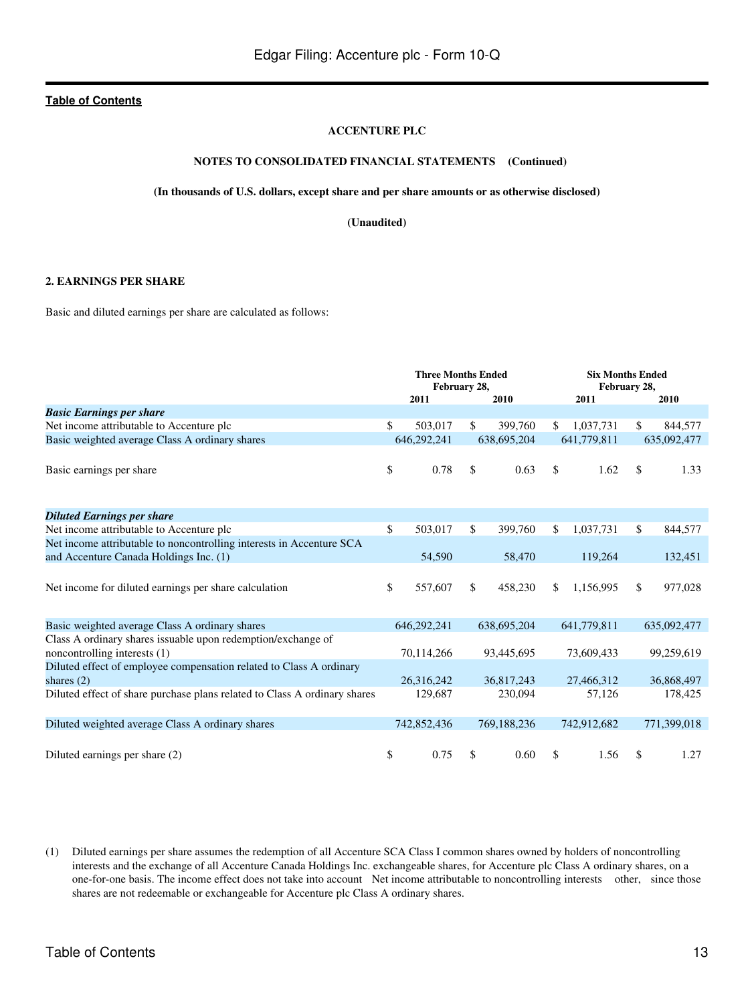### **ACCENTURE PLC**

### **NOTES TO CONSOLIDATED FINANCIAL STATEMENTS (Continued)**

#### **(In thousands of U.S. dollars, except share and per share amounts or as otherwise disclosed)**

**(Unaudited)**

#### **2. EARNINGS PER SHARE**

Basic and diluted earnings per share are calculated as follows:

|                                                                                     | <b>Three Months Ended</b><br>February 28,<br>2011 |              | 2010        |     | <b>Six Months Ended</b><br>2011 | February 28, | 2010        |
|-------------------------------------------------------------------------------------|---------------------------------------------------|--------------|-------------|-----|---------------------------------|--------------|-------------|
| <b>Basic Earnings per share</b>                                                     |                                                   |              |             |     |                                 |              |             |
| Net income attributable to Accenture plc                                            | \$<br>503,017                                     | $\mathbb{S}$ | 399,760     | \$  | 1,037,731                       | \$.          | 844,577     |
| Basic weighted average Class A ordinary shares                                      | 646.292.241                                       |              | 638,695,204 |     | 641,779,811                     |              | 635,092,477 |
| Basic earnings per share                                                            | \$<br>0.78                                        | \$           | 0.63        | \$  | 1.62                            | \$.          | 1.33        |
| <b>Diluted Earnings per share</b>                                                   |                                                   |              |             |     |                                 |              |             |
| Net income attributable to Accenture plc                                            | \$<br>503,017                                     | \$           | 399,760     | \$. | 1,037,731                       | \$           | 844,577     |
| Net income attributable to noncontrolling interests in Accenture SCA                |                                                   |              |             |     |                                 |              |             |
| and Accenture Canada Holdings Inc. (1)                                              | 54,590                                            |              | 58,470      |     | 119,264                         |              | 132,451     |
| Net income for diluted earnings per share calculation                               | \$<br>557,607                                     | \$           | 458,230     | \$  | 1,156,995                       | \$           | 977,028     |
| Basic weighted average Class A ordinary shares                                      | 646,292,241                                       |              | 638,695,204 |     | 641,779,811                     |              | 635,092,477 |
| Class A ordinary shares issuable upon redemption/exchange of                        |                                                   |              |             |     |                                 |              |             |
| noncontrolling interests (1)                                                        | 70,114,266                                        |              | 93,445,695  |     | 73,609,433                      |              | 99,259,619  |
| Diluted effect of employee compensation related to Class A ordinary<br>shares $(2)$ | 26,316,242                                        |              | 36,817,243  |     | 27,466,312                      |              | 36,868,497  |
| Diluted effect of share purchase plans related to Class A ordinary shares           | 129,687                                           |              | 230,094     |     | 57,126                          |              | 178,425     |
| Diluted weighted average Class A ordinary shares                                    | 742,852,436                                       |              | 769,188,236 |     | 742,912,682                     |              | 771,399,018 |
| Diluted earnings per share (2)                                                      | \$<br>0.75                                        | \$           | 0.60        | \$  | 1.56                            | \$           | 1.27        |

(1) Diluted earnings per share assumes the redemption of all Accenture SCA Class I common shares owned by holders of noncontrolling interests and the exchange of all Accenture Canada Holdings Inc. exchangeable shares, for Accenture plc Class A ordinary shares, on a one-for-one basis. The income effect does not take into account Net income attributable to noncontrolling interests other, since those shares are not redeemable or exchangeable for Accenture plc Class A ordinary shares.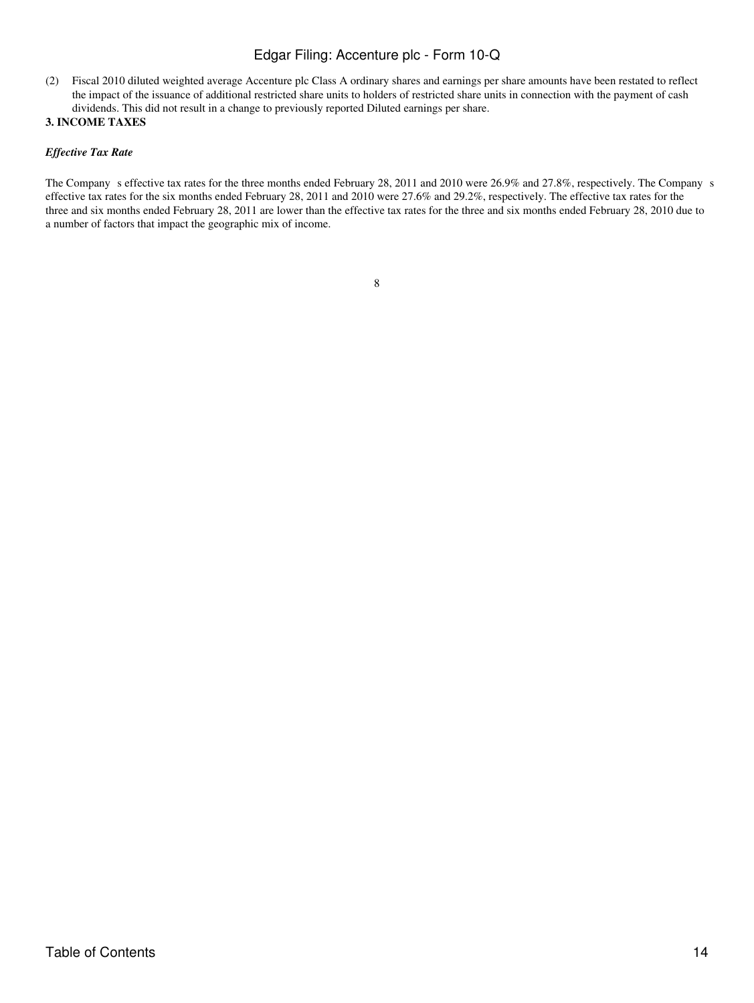(2) Fiscal 2010 diluted weighted average Accenture plc Class A ordinary shares and earnings per share amounts have been restated to reflect the impact of the issuance of additional restricted share units to holders of restricted share units in connection with the payment of cash dividends. This did not result in a change to previously reported Diluted earnings per share.

# **3. INCOME TAXES**

# *Effective Tax Rate*

The Company s effective tax rates for the three months ended February 28, 2011 and 2010 were 26.9% and 27.8%, respectively. The Company s effective tax rates for the six months ended February 28, 2011 and 2010 were 27.6% and 29.2%, respectively. The effective tax rates for the three and six months ended February 28, 2011 are lower than the effective tax rates for the three and six months ended February 28, 2010 due to a number of factors that impact the geographic mix of income.

| ۰.     |  |
|--------|--|
| I<br>٠ |  |
| i      |  |
| ۰.     |  |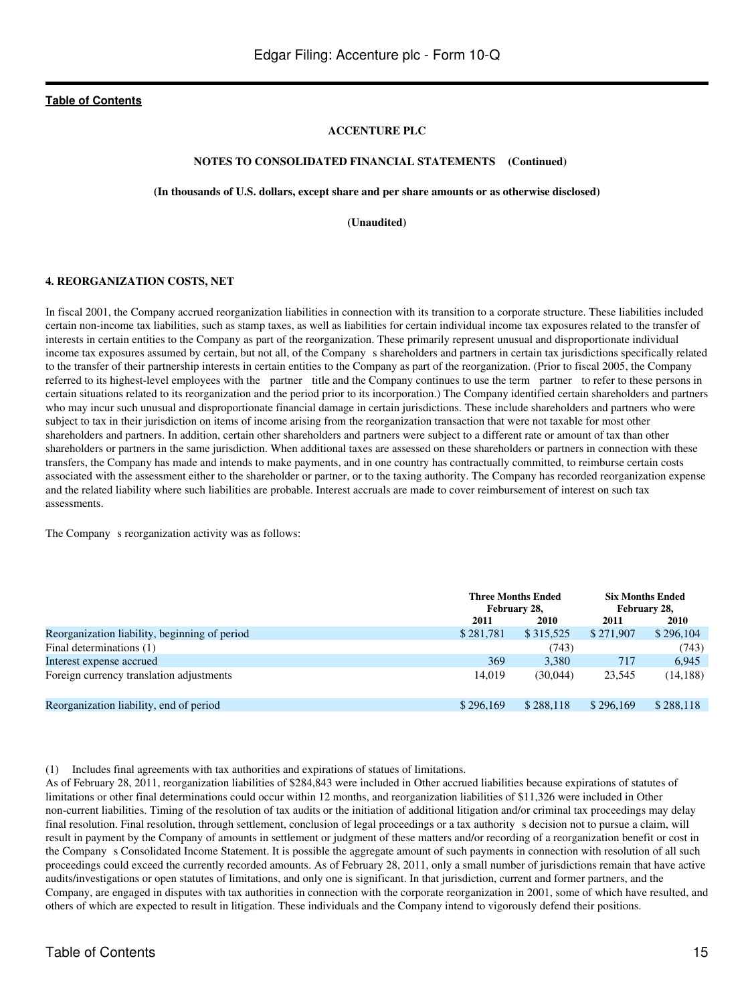#### **ACCENTURE PLC**

#### **NOTES TO CONSOLIDATED FINANCIAL STATEMENTS (Continued)**

#### **(In thousands of U.S. dollars, except share and per share amounts or as otherwise disclosed)**

**(Unaudited)**

#### **4. REORGANIZATION COSTS, NET**

In fiscal 2001, the Company accrued reorganization liabilities in connection with its transition to a corporate structure. These liabilities included certain non-income tax liabilities, such as stamp taxes, as well as liabilities for certain individual income tax exposures related to the transfer of interests in certain entities to the Company as part of the reorganization. These primarily represent unusual and disproportionate individual income tax exposures assumed by certain, but not all, of the Company s shareholders and partners in certain tax jurisdictions specifically related to the transfer of their partnership interests in certain entities to the Company as part of the reorganization. (Prior to fiscal 2005, the Company referred to its highest-level employees with the partner title and the Company continues to use the term partner to refer to these persons in certain situations related to its reorganization and the period prior to its incorporation.) The Company identified certain shareholders and partners who may incur such unusual and disproportionate financial damage in certain jurisdictions. These include shareholders and partners who were subject to tax in their jurisdiction on items of income arising from the reorganization transaction that were not taxable for most other shareholders and partners. In addition, certain other shareholders and partners were subject to a different rate or amount of tax than other shareholders or partners in the same jurisdiction. When additional taxes are assessed on these shareholders or partners in connection with these transfers, the Company has made and intends to make payments, and in one country has contractually committed, to reimburse certain costs associated with the assessment either to the shareholder or partner, or to the taxing authority. The Company has recorded reorganization expense and the related liability where such liabilities are probable. Interest accruals are made to cover reimbursement of interest on such tax assessments.

The Company s reorganization activity was as follows:

|                                               |           | <b>Three Months Ended</b><br>February 28, |           | <b>Six Months Ended</b><br>February 28, |
|-----------------------------------------------|-----------|-------------------------------------------|-----------|-----------------------------------------|
|                                               | 2011      | <b>2010</b>                               | 2011      | 2010                                    |
| Reorganization liability, beginning of period | \$281,781 | \$315,525                                 | \$271,907 | \$296,104                               |
| Final determinations (1)                      |           | (743)                                     |           | (743)                                   |
| Interest expense accrued                      | 369       | 3.380                                     | 717       | 6.945                                   |
| Foreign currency translation adjustments      | 14.019    | (30.044)                                  | 23.545    | (14, 188)                               |
| Reorganization liability, end of period       | \$296,169 | \$288.118                                 | \$296,169 | \$288,118                               |

(1) Includes final agreements with tax authorities and expirations of statues of limitations.

As of February 28, 2011, reorganization liabilities of \$284,843 were included in Other accrued liabilities because expirations of statutes of limitations or other final determinations could occur within 12 months, and reorganization liabilities of \$11,326 were included in Other non-current liabilities. Timing of the resolution of tax audits or the initiation of additional litigation and/or criminal tax proceedings may delay final resolution. Final resolution, through settlement, conclusion of legal proceedings or a tax authority s decision not to pursue a claim, will result in payment by the Company of amounts in settlement or judgment of these matters and/or recording of a reorganization benefit or cost in the Company s Consolidated Income Statement. It is possible the aggregate amount of such payments in connection with resolution of all such proceedings could exceed the currently recorded amounts. As of February 28, 2011, only a small number of jurisdictions remain that have active audits/investigations or open statutes of limitations, and only one is significant. In that jurisdiction, current and former partners, and the Company, are engaged in disputes with tax authorities in connection with the corporate reorganization in 2001, some of which have resulted, and others of which are expected to result in litigation. These individuals and the Company intend to vigorously defend their positions.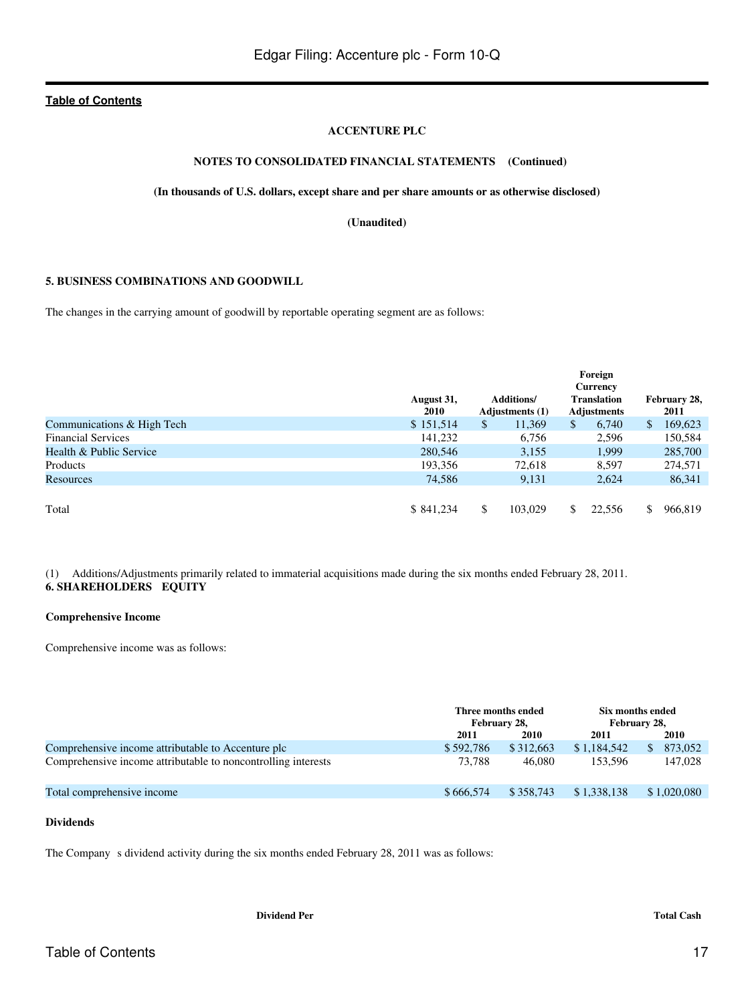### **ACCENTURE PLC**

# **NOTES TO CONSOLIDATED FINANCIAL STATEMENTS (Continued)**

#### **(In thousands of U.S. dollars, except share and per share amounts or as otherwise disclosed)**

**(Unaudited)**

### **5. BUSINESS COMBINATIONS AND GOODWILL**

The changes in the carrying amount of goodwill by reportable operating segment are as follows:

|                            | August 31,<br><b>2010</b> | Additions/<br><b>Adjustments</b> (1) | Foreign<br><b>Currency</b><br><b>Translation</b><br><b>Adjustments</b> | February 28,<br>2011 |         |  |
|----------------------------|---------------------------|--------------------------------------|------------------------------------------------------------------------|----------------------|---------|--|
| Communications & High Tech | \$151,514                 | \$<br>11,369                         | \$<br>6,740                                                            | \$                   | 169,623 |  |
| <b>Financial Services</b>  | 141,232                   | 6,756                                | 2,596                                                                  |                      | 150,584 |  |
| Health & Public Service    | 280,546                   | 3,155                                | 1,999                                                                  |                      | 285,700 |  |
| Products                   | 193,356                   | 72,618                               | 8,597                                                                  |                      | 274,571 |  |
| Resources                  | 74,586                    | 9,131                                | 2,624                                                                  |                      | 86,341  |  |
|                            |                           |                                      |                                                                        |                      |         |  |
| Total                      | \$841,234                 | \$<br>103,029                        | 22,556                                                                 | \$                   | 966,819 |  |

(1) Additions/Adjustments primarily related to immaterial acquisitions made during the six months ended February 28, 2011. **6. SHAREHOLDERS EQUITY**

#### **Comprehensive Income**

Comprehensive income was as follows:

|                                                               |           | Six months ended<br>Three months ended<br>February 28,<br>February 28, |             |                |  |
|---------------------------------------------------------------|-----------|------------------------------------------------------------------------|-------------|----------------|--|
|                                                               | 2011      | 2010                                                                   | 2011        | 2010           |  |
| Comprehensive income attributable to Accenture plc            | \$592,786 | \$312,663                                                              | \$1,184,542 | 873,052<br>\$. |  |
| Comprehensive income attributable to noncontrolling interests | 73.788    | 46,080                                                                 | 153.596     | 147.028        |  |
| Total comprehensive income                                    | \$666,574 | \$358.743                                                              | \$1,338,138 | \$1,020,080    |  |

### **Dividends**

The Company s dividend activity during the six months ended February 28, 2011 was as follows: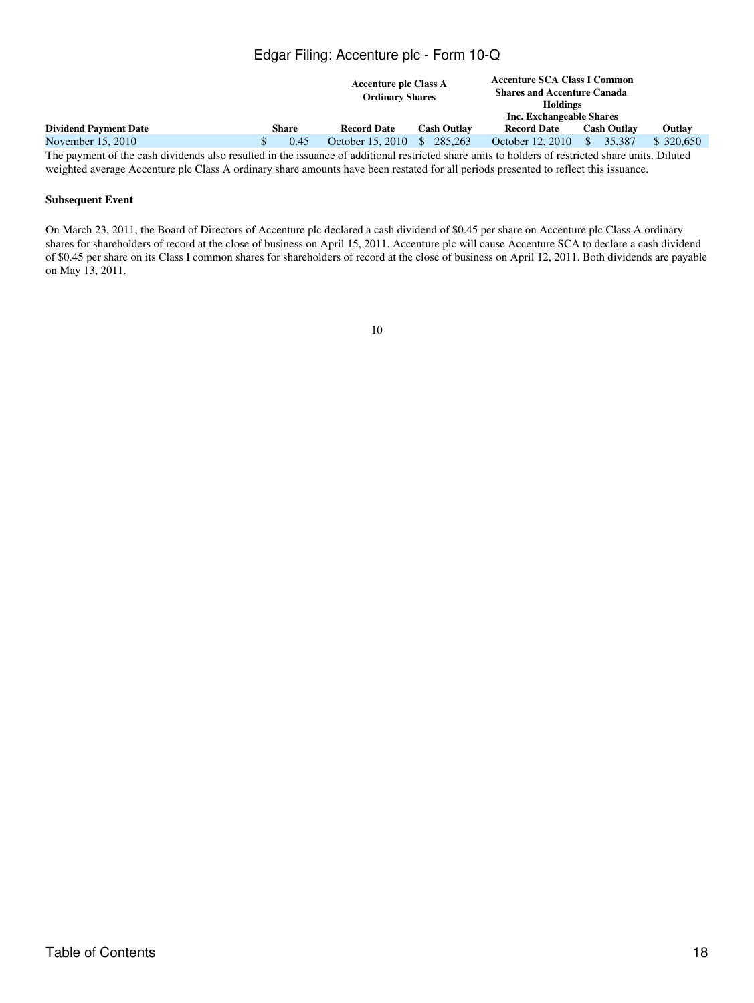|                              |  | <b>Accenture plc Class A</b><br><b>Ordinary Shares</b> |                    |                    | <b>Accenture SCA Class I Common</b><br><b>Shares and Accenture Canada</b><br><b>Holdings</b> |                    |            |  |
|------------------------------|--|--------------------------------------------------------|--------------------|--------------------|----------------------------------------------------------------------------------------------|--------------------|------------|--|
|                              |  |                                                        |                    |                    | Inc. Exchangeable Shares                                                                     |                    |            |  |
| <b>Dividend Payment Date</b> |  | <b>Share</b>                                           | <b>Record Date</b> | <b>Cash Outlay</b> | <b>Record Date</b>                                                                           | <b>Cash Outlay</b> | Outlay     |  |
| November 15, 2010            |  | 0.45                                                   | October 15, 2010   | 285,263            | October 12, 2010                                                                             | 35.387<br>\$.      | \$ 320,650 |  |
|                              |  |                                                        |                    |                    |                                                                                              |                    |            |  |

The payment of the cash dividends also resulted in the issuance of additional restricted share units to holders of restricted share units. Diluted weighted average Accenture plc Class A ordinary share amounts have been restated for all periods presented to reflect this issuance.

### **Subsequent Event**

On March 23, 2011, the Board of Directors of Accenture plc declared a cash dividend of \$0.45 per share on Accenture plc Class A ordinary shares for shareholders of record at the close of business on April 15, 2011. Accenture plc will cause Accenture SCA to declare a cash dividend of \$0.45 per share on its Class I common shares for shareholders of record at the close of business on April 12, 2011. Both dividends are payable on May 13, 2011.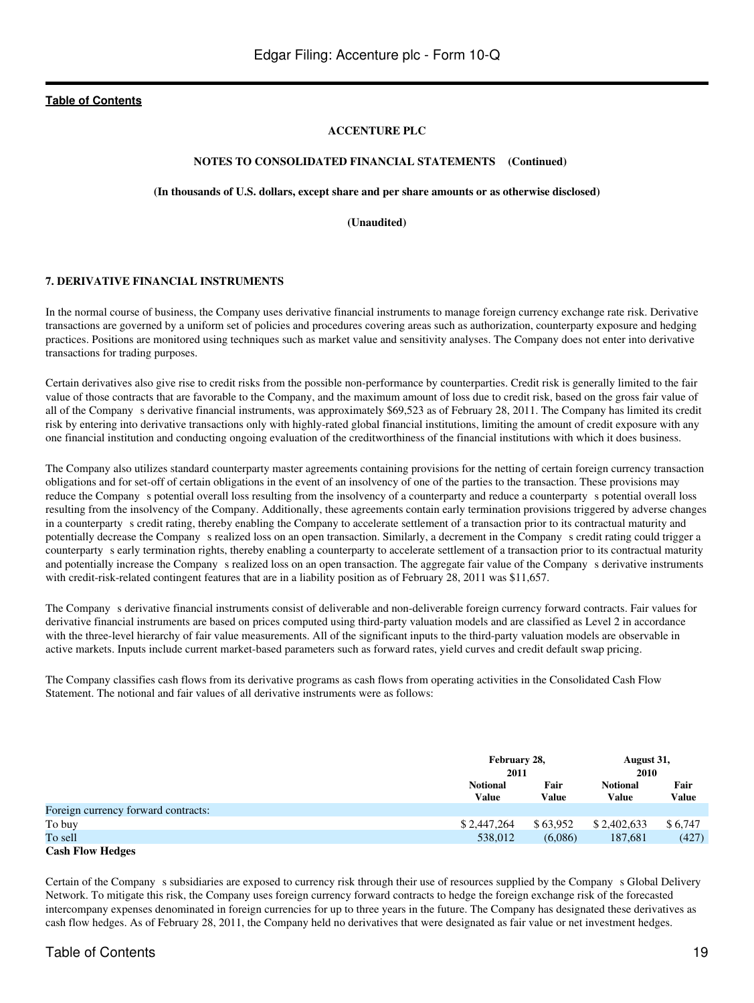### **ACCENTURE PLC**

#### **NOTES TO CONSOLIDATED FINANCIAL STATEMENTS (Continued)**

#### **(In thousands of U.S. dollars, except share and per share amounts or as otherwise disclosed)**

**(Unaudited)**

### **7. DERIVATIVE FINANCIAL INSTRUMENTS**

In the normal course of business, the Company uses derivative financial instruments to manage foreign currency exchange rate risk. Derivative transactions are governed by a uniform set of policies and procedures covering areas such as authorization, counterparty exposure and hedging practices. Positions are monitored using techniques such as market value and sensitivity analyses. The Company does not enter into derivative transactions for trading purposes.

Certain derivatives also give rise to credit risks from the possible non-performance by counterparties. Credit risk is generally limited to the fair value of those contracts that are favorable to the Company, and the maximum amount of loss due to credit risk, based on the gross fair value of all of the Company s derivative financial instruments, was approximately \$69,523 as of February 28, 2011. The Company has limited its credit risk by entering into derivative transactions only with highly-rated global financial institutions, limiting the amount of credit exposure with any one financial institution and conducting ongoing evaluation of the creditworthiness of the financial institutions with which it does business.

The Company also utilizes standard counterparty master agreements containing provisions for the netting of certain foreign currency transaction obligations and for set-off of certain obligations in the event of an insolvency of one of the parties to the transaction. These provisions may reduce the Company s potential overall loss resulting from the insolvency of a counterparty and reduce a counterparty s potential overall loss resulting from the insolvency of the Company. Additionally, these agreements contain early termination provisions triggered by adverse changes in a counterparty s credit rating, thereby enabling the Company to accelerate settlement of a transaction prior to its contractual maturity and potentially decrease the Company s realized loss on an open transaction. Similarly, a decrement in the Company s credit rating could trigger a counterpartys early termination rights, thereby enabling a counterparty to accelerate settlement of a transaction prior to its contractual maturity and potentially increase the Company s realized loss on an open transaction. The aggregate fair value of the Company s derivative instruments with credit-risk-related contingent features that are in a liability position as of February 28, 2011 was \$11,657.

The Company s derivative financial instruments consist of deliverable and non-deliverable foreign currency forward contracts. Fair values for derivative financial instruments are based on prices computed using third-party valuation models and are classified as Level 2 in accordance with the three-level hierarchy of fair value measurements. All of the significant inputs to the third-party valuation models are observable in active markets. Inputs include current market-based parameters such as forward rates, yield curves and credit default swap pricing.

The Company classifies cash flows from its derivative programs as cash flows from operating activities in the Consolidated Cash Flow Statement. The notional and fair values of all derivative instruments were as follows:

|                                     |                          | February 28,<br>2011 |                                 | August 31,    |
|-------------------------------------|--------------------------|----------------------|---------------------------------|---------------|
|                                     |                          |                      |                                 | 2010          |
|                                     | <b>Notional</b><br>Value | Fair<br>Value        | <b>Notional</b><br><b>Value</b> | Fair<br>Value |
| Foreign currency forward contracts: |                          |                      |                                 |               |
| To buy                              | \$2,447,264              | \$63,952             | \$2,402,633                     | \$6,747       |
| To sell                             | 538,012                  | (6,086)              | 187,681                         | (427)         |
| <b>Cash Flow Hedges</b>             |                          |                      |                                 |               |

Certain of the Company s subsidiaries are exposed to currency risk through their use of resources supplied by the Company s Global Delivery Network. To mitigate this risk, the Company uses foreign currency forward contracts to hedge the foreign exchange risk of the forecasted intercompany expenses denominated in foreign currencies for up to three years in the future. The Company has designated these derivatives as cash flow hedges. As of February 28, 2011, the Company held no derivatives that were designated as fair value or net investment hedges.

# Table of Contents 19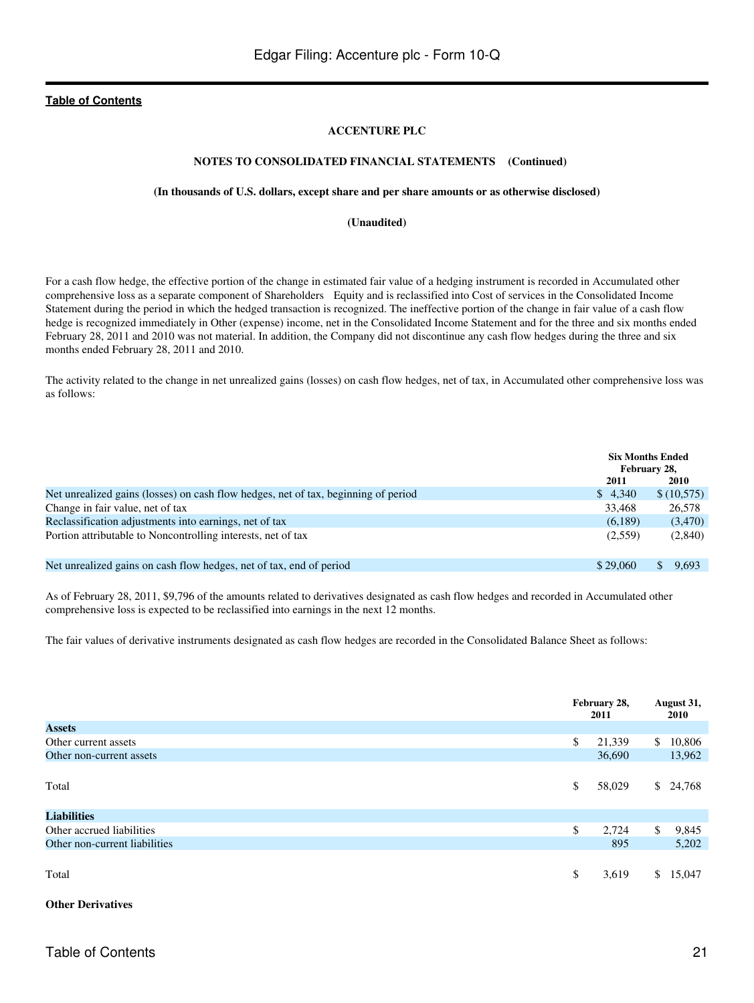### **ACCENTURE PLC**

#### **NOTES TO CONSOLIDATED FINANCIAL STATEMENTS (Continued)**

#### **(In thousands of U.S. dollars, except share and per share amounts or as otherwise disclosed)**

**(Unaudited)**

For a cash flow hedge, the effective portion of the change in estimated fair value of a hedging instrument is recorded in Accumulated other comprehensive loss as a separate component of Shareholders Equity and is reclassified into Cost of services in the Consolidated Income Statement during the period in which the hedged transaction is recognized. The ineffective portion of the change in fair value of a cash flow hedge is recognized immediately in Other (expense) income, net in the Consolidated Income Statement and for the three and six months ended February 28, 2011 and 2010 was not material. In addition, the Company did not discontinue any cash flow hedges during the three and six months ended February 28, 2011 and 2010.

The activity related to the change in net unrealized gains (losses) on cash flow hedges, net of tax, in Accumulated other comprehensive loss was as follows:

|                                                                                    |          | <b>Six Months Ended</b><br>February 28, |
|------------------------------------------------------------------------------------|----------|-----------------------------------------|
|                                                                                    | 2011     | <b>2010</b>                             |
| Net unrealized gains (losses) on cash flow hedges, net of tax, beginning of period | \$4.340  | \$(10,575)                              |
| Change in fair value, net of tax                                                   | 33.468   | 26,578                                  |
| Reclassification adjustments into earnings, net of tax                             | (6,189)  | (3,470)                                 |
| Portion attributable to Noncontrolling interests, net of tax                       | (2,559)  | (2,840)                                 |
| Net unrealized gains on cash flow hedges, net of tax, end of period                | \$29,060 | 9.693<br>S.                             |

As of February 28, 2011, \$9,796 of the amounts related to derivatives designated as cash flow hedges and recorded in Accumulated other comprehensive loss is expected to be reclassified into earnings in the next 12 months.

The fair values of derivative instruments designated as cash flow hedges are recorded in the Consolidated Balance Sheet as follows:

|                               | February 28,<br>2011 |              | August 31,<br>2010 |
|-------------------------------|----------------------|--------------|--------------------|
| <b>Assets</b>                 |                      |              |                    |
| Other current assets          | \$<br>21,339         | $\mathbb{S}$ | 10,806             |
| Other non-current assets      | 36,690               |              | 13,962             |
| Total                         | \$<br>58,029         |              | \$24,768           |
| <b>Liabilities</b>            |                      |              |                    |
| Other accrued liabilities     | \$<br>2,724          | \$           | 9,845              |
| Other non-current liabilities | 895                  |              | 5,202              |
| Total                         | \$<br>3,619          | S.           | 15,047             |

#### **Other Derivatives**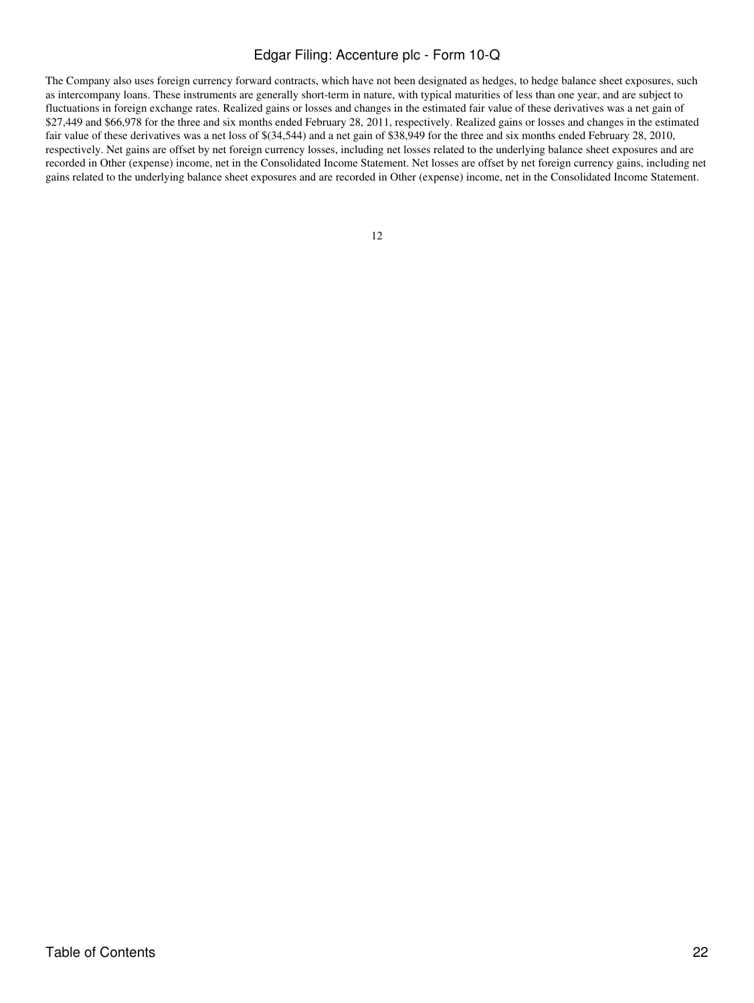The Company also uses foreign currency forward contracts, which have not been designated as hedges, to hedge balance sheet exposures, such as intercompany loans. These instruments are generally short-term in nature, with typical maturities of less than one year, and are subject to fluctuations in foreign exchange rates. Realized gains or losses and changes in the estimated fair value of these derivatives was a net gain of \$27,449 and \$66,978 for the three and six months ended February 28, 2011, respectively. Realized gains or losses and changes in the estimated fair value of these derivatives was a net loss of \$(34,544) and a net gain of \$38,949 for the three and six months ended February 28, 2010, respectively. Net gains are offset by net foreign currency losses, including net losses related to the underlying balance sheet exposures and are recorded in Other (expense) income, net in the Consolidated Income Statement. Net losses are offset by net foreign currency gains, including net gains related to the underlying balance sheet exposures and are recorded in Other (expense) income, net in the Consolidated Income Statement.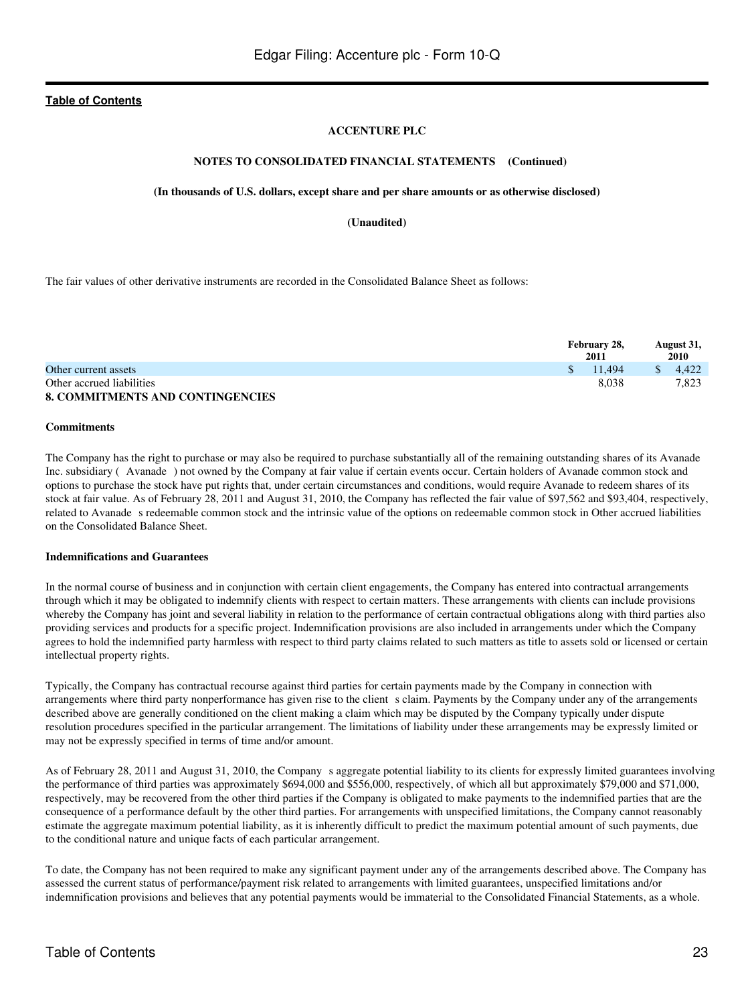### **ACCENTURE PLC**

#### **NOTES TO CONSOLIDATED FINANCIAL STATEMENTS (Continued)**

#### **(In thousands of U.S. dollars, except share and per share amounts or as otherwise disclosed)**

**(Unaudited)**

The fair values of other derivative instruments are recorded in the Consolidated Balance Sheet as follows:

|                                         | February 28,<br>2011 | August 31,<br>2010 |
|-----------------------------------------|----------------------|--------------------|
| Other current assets                    | $\frac{11.494}{2}$   | 4.422              |
| Other accrued liabilities               | 8.038                | 7.823              |
| <b>8. COMMITMENTS AND CONTINGENCIES</b> |                      |                    |

#### **Commitments**

The Company has the right to purchase or may also be required to purchase substantially all of the remaining outstanding shares of its Avanade Inc. subsidiary (Avanade) not owned by the Company at fair value if certain events occur. Certain holders of Avanade common stock and options to purchase the stock have put rights that, under certain circumstances and conditions, would require Avanade to redeem shares of its stock at fair value. As of February 28, 2011 and August 31, 2010, the Company has reflected the fair value of \$97,562 and \$93,404, respectively, related to Avanade s redeemable common stock and the intrinsic value of the options on redeemable common stock in Other accrued liabilities on the Consolidated Balance Sheet.

### **Indemnifications and Guarantees**

In the normal course of business and in conjunction with certain client engagements, the Company has entered into contractual arrangements through which it may be obligated to indemnify clients with respect to certain matters. These arrangements with clients can include provisions whereby the Company has joint and several liability in relation to the performance of certain contractual obligations along with third parties also providing services and products for a specific project. Indemnification provisions are also included in arrangements under which the Company agrees to hold the indemnified party harmless with respect to third party claims related to such matters as title to assets sold or licensed or certain intellectual property rights.

Typically, the Company has contractual recourse against third parties for certain payments made by the Company in connection with arrangements where third party nonperformance has given rise to the client s claim. Payments by the Company under any of the arrangements described above are generally conditioned on the client making a claim which may be disputed by the Company typically under dispute resolution procedures specified in the particular arrangement. The limitations of liability under these arrangements may be expressly limited or may not be expressly specified in terms of time and/or amount.

As of February 28, 2011 and August 31, 2010, the Company s aggregate potential liability to its clients for expressly limited guarantees involving the performance of third parties was approximately \$694,000 and \$556,000, respectively, of which all but approximately \$79,000 and \$71,000, respectively, may be recovered from the other third parties if the Company is obligated to make payments to the indemnified parties that are the consequence of a performance default by the other third parties. For arrangements with unspecified limitations, the Company cannot reasonably estimate the aggregate maximum potential liability, as it is inherently difficult to predict the maximum potential amount of such payments, due to the conditional nature and unique facts of each particular arrangement.

To date, the Company has not been required to make any significant payment under any of the arrangements described above. The Company has assessed the current status of performance/payment risk related to arrangements with limited guarantees, unspecified limitations and/or indemnification provisions and believes that any potential payments would be immaterial to the Consolidated Financial Statements, as a whole.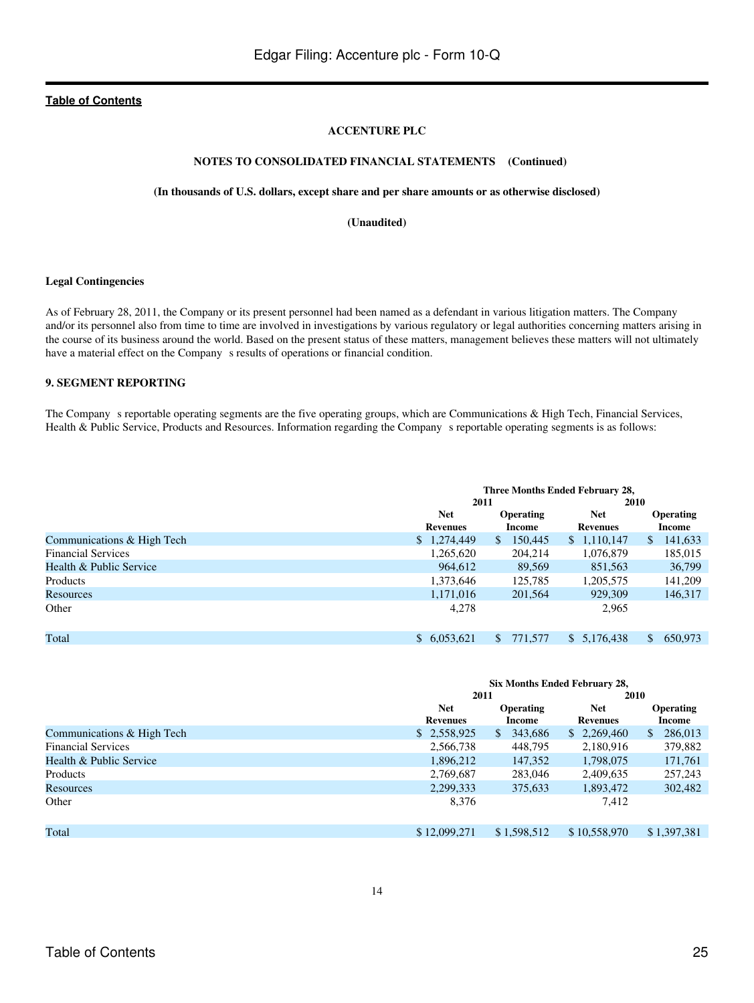### **ACCENTURE PLC**

# **NOTES TO CONSOLIDATED FINANCIAL STATEMENTS (Continued)**

#### **(In thousands of U.S. dollars, except share and per share amounts or as otherwise disclosed)**

**(Unaudited)**

#### **Legal Contingencies**

As of February 28, 2011, the Company or its present personnel had been named as a defendant in various litigation matters. The Company and/or its personnel also from time to time are involved in investigations by various regulatory or legal authorities concerning matters arising in the course of its business around the world. Based on the present status of these matters, management believes these matters will not ultimately have a material effect on the Company s results of operations or financial condition.

#### **9. SEGMENT REPORTING**

The Company s reportable operating segments are the five operating groups, which are Communications & High Tech, Financial Services, Health & Public Service, Products and Resources. Information regarding the Companys reportable operating segments is as follows:

|                            |                               | Three Months Ended February 28,<br>2010<br>2011 |                               |                         |  |  |
|----------------------------|-------------------------------|-------------------------------------------------|-------------------------------|-------------------------|--|--|
|                            | <b>Net</b><br><b>Revenues</b> | <b>Operating</b><br>Income                      | <b>Net</b><br><b>Revenues</b> | Operating<br>Income     |  |  |
| Communications & High Tech | \$1,274,449                   | 150,445<br>S.                                   | \$1,110,147                   | 141,633<br>$\mathbb{S}$ |  |  |
| <b>Financial Services</b>  | 1,265,620                     | 204.214                                         | 1,076,879                     | 185,015                 |  |  |
| Health & Public Service    | 964,612                       | 89,569                                          | 851,563                       | 36,799                  |  |  |
| Products                   | 1,373,646                     | 125,785                                         | 1,205,575                     | 141,209                 |  |  |
| Resources                  | 1,171,016                     | 201.564                                         | 929,309                       | 146,317                 |  |  |
| Other                      | 4.278                         |                                                 | 2.965                         |                         |  |  |
| Total                      | \$6,053,621                   | 771,577<br>S.                                   | \$5,176,438                   | 650,973<br>\$.          |  |  |

|                            | <b>Six Months Ended February 28,</b> |                  |                 |                  |  |  |
|----------------------------|--------------------------------------|------------------|-----------------|------------------|--|--|
|                            | 2011                                 |                  | 2010            |                  |  |  |
|                            | <b>Net</b>                           | <b>Operating</b> | <b>Net</b>      | <b>Operating</b> |  |  |
|                            | <b>Revenues</b>                      | Income           | <b>Revenues</b> | Income           |  |  |
| Communications & High Tech | \$ 2,558,925                         | 343,686<br>\$.   | \$2,269,460     | 286,013<br>S.    |  |  |
| <b>Financial Services</b>  | 2,566,738                            | 448,795          | 2,180,916       | 379,882          |  |  |
| Health & Public Service    | 1,896,212                            | 147,352          | 1,798,075       | 171,761          |  |  |
| Products                   | 2,769,687                            | 283,046          | 2,409,635       | 257,243          |  |  |
| Resources                  | 2,299,333                            | 375,633          | 1,893,472       | 302,482          |  |  |
| Other                      | 8,376                                |                  | 7,412           |                  |  |  |
| Total                      | \$12,099,271                         | \$1,598,512      | \$10,558,970    | \$1,397,381      |  |  |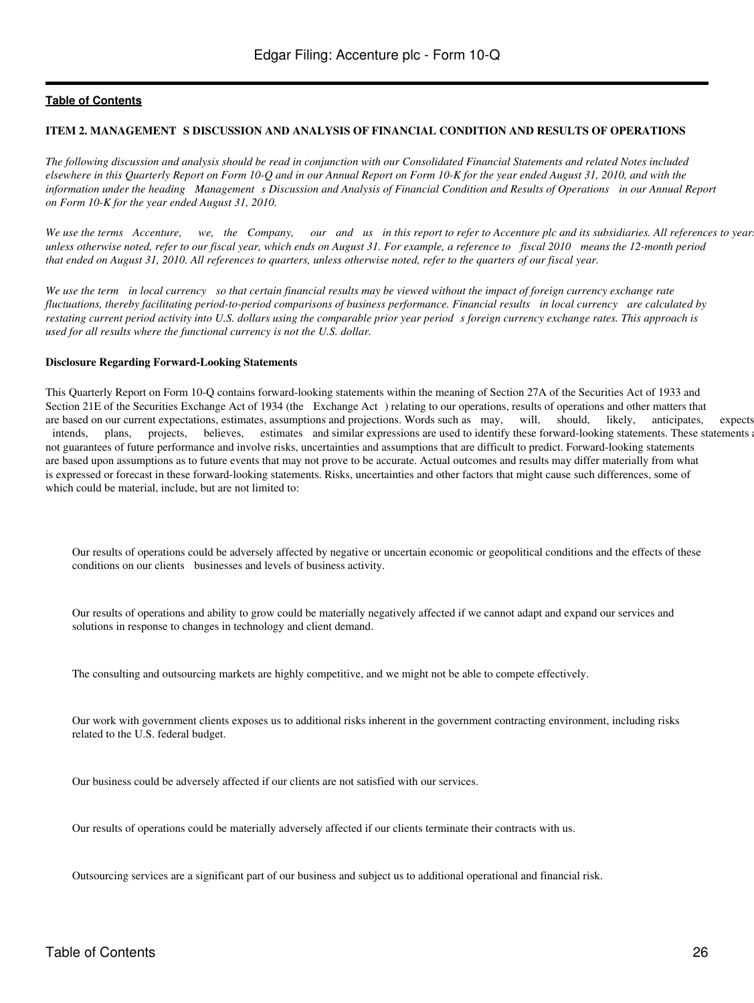#### <span id="page-25-0"></span>**ITEM 2. MANAGEMENT S DISCUSSION AND ANALYSIS OF FINANCIAL CONDITION AND RESULTS OF OPERATIONS**

*The following discussion and analysis should be read in conjunction with our Consolidated Financial Statements and related Notes included elsewhere in this Quarterly Report on Form 10-Q and in our Annual Report on Form 10-K for the year ended August 31, 2010, and with the* information under the heading Management s Discussion and Analysis of Financial Condition and Results of Operations in our Annual Report *on Form 10-K for the year ended August 31, 2010.*

*We use the terms Accenture, we, the Company, our and us in this report to refer to Accenture plc and its subsidiaries. All references to years, unless otherwise noted, refer to our fiscal year, which ends on August 31. For example, a reference to fiscal 2010 means the 12-month period that ended on August 31, 2010. All references to quarters, unless otherwise noted, refer to the quarters of our fiscal year.*

*We use the term in local currency so that certain financial results may be viewed without the impact of foreign currency exchange rate fluctuations, thereby facilitating period-to-period comparisons of business performance. Financial results in local currency are calculated by restating current period activity into U.S. dollars using the comparable prior year period s foreign currency exchange rates. This approach is used for all results where the functional currency is not the U.S. dollar.*

#### **Disclosure Regarding Forward-Looking Statements**

This Quarterly Report on Form 10-Q contains forward-looking statements within the meaning of Section 27A of the Securities Act of 1933 and Section 21E of the Securities Exchange Act of 1934 (the Exchange Act) relating to our operations, results of operations and other matters that are based on our current expectations, estimates, assumptions and projections. Words such as may, will, should, likely, anticipates, expects, intends, plans, projects, believes, estimates and similar expressions are used to identify these forward-looking statements. These statements are not guarantees of future performance and involve risks, uncertainties and assumptions that are difficult to predict. Forward-looking statements are based upon assumptions as to future events that may not prove to be accurate. Actual outcomes and results may differ materially from what is expressed or forecast in these forward-looking statements. Risks, uncertainties and other factors that might cause such differences, some of which could be material, include, but are not limited to:

Our results of operations could be adversely affected by negative or uncertain economic or geopolitical conditions and the effects of these conditions on our clients businesses and levels of business activity.

Our results of operations and ability to grow could be materially negatively affected if we cannot adapt and expand our services and solutions in response to changes in technology and client demand.

The consulting and outsourcing markets are highly competitive, and we might not be able to compete effectively.

Our work with government clients exposes us to additional risks inherent in the government contracting environment, including risks related to the U.S. federal budget.

Our business could be adversely affected if our clients are not satisfied with our services.

Our results of operations could be materially adversely affected if our clients terminate their contracts with us.

Outsourcing services are a significant part of our business and subject us to additional operational and financial risk.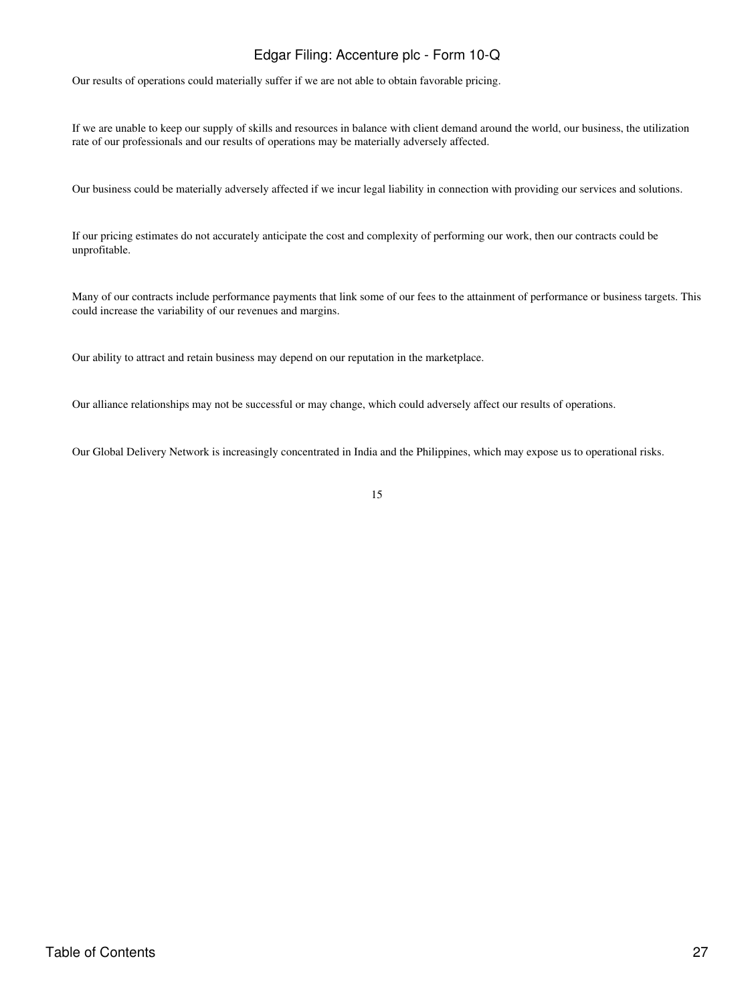Our results of operations could materially suffer if we are not able to obtain favorable pricing.

If we are unable to keep our supply of skills and resources in balance with client demand around the world, our business, the utilization rate of our professionals and our results of operations may be materially adversely affected.

Our business could be materially adversely affected if we incur legal liability in connection with providing our services and solutions.

If our pricing estimates do not accurately anticipate the cost and complexity of performing our work, then our contracts could be unprofitable.

Many of our contracts include performance payments that link some of our fees to the attainment of performance or business targets. This could increase the variability of our revenues and margins.

Our ability to attract and retain business may depend on our reputation in the marketplace.

Our alliance relationships may not be successful or may change, which could adversely affect our results of operations.

Our Global Delivery Network is increasingly concentrated in India and the Philippines, which may expose us to operational risks.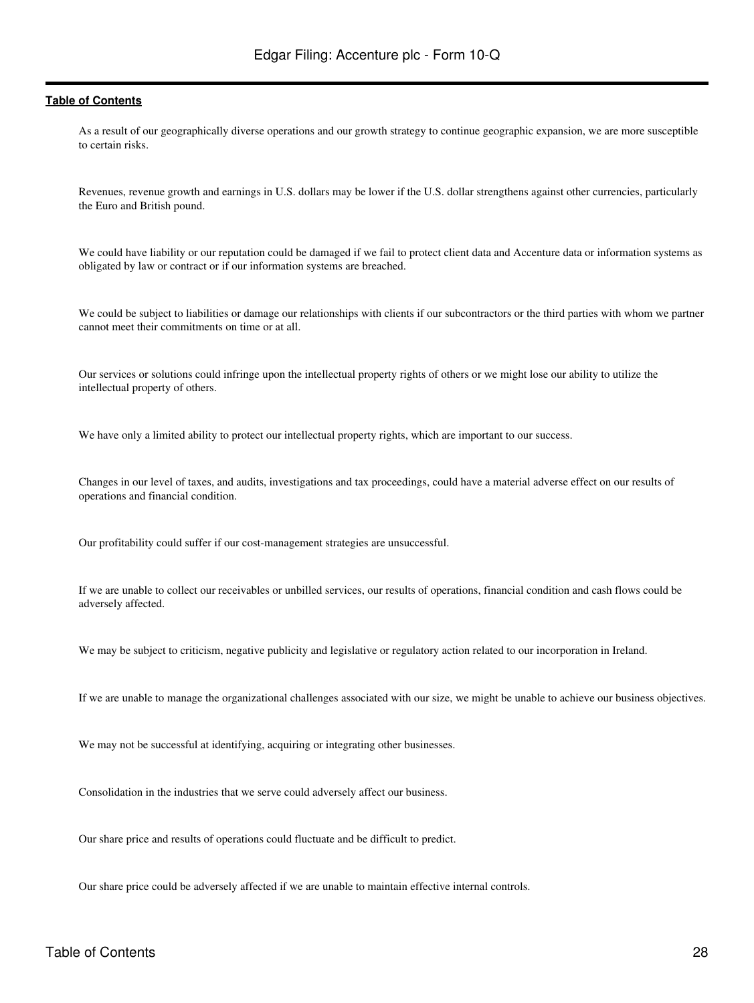As a result of our geographically diverse operations and our growth strategy to continue geographic expansion, we are more susceptible to certain risks.

Revenues, revenue growth and earnings in U.S. dollars may be lower if the U.S. dollar strengthens against other currencies, particularly the Euro and British pound.

We could have liability or our reputation could be damaged if we fail to protect client data and Accenture data or information systems as obligated by law or contract or if our information systems are breached.

We could be subject to liabilities or damage our relationships with clients if our subcontractors or the third parties with whom we partner cannot meet their commitments on time or at all.

Our services or solutions could infringe upon the intellectual property rights of others or we might lose our ability to utilize the intellectual property of others.

We have only a limited ability to protect our intellectual property rights, which are important to our success.

Changes in our level of taxes, and audits, investigations and tax proceedings, could have a material adverse effect on our results of operations and financial condition.

Our profitability could suffer if our cost-management strategies are unsuccessful.

If we are unable to collect our receivables or unbilled services, our results of operations, financial condition and cash flows could be adversely affected.

We may be subject to criticism, negative publicity and legislative or regulatory action related to our incorporation in Ireland.

If we are unable to manage the organizational challenges associated with our size, we might be unable to achieve our business objectives.

We may not be successful at identifying, acquiring or integrating other businesses.

Consolidation in the industries that we serve could adversely affect our business.

Our share price and results of operations could fluctuate and be difficult to predict.

Our share price could be adversely affected if we are unable to maintain effective internal controls.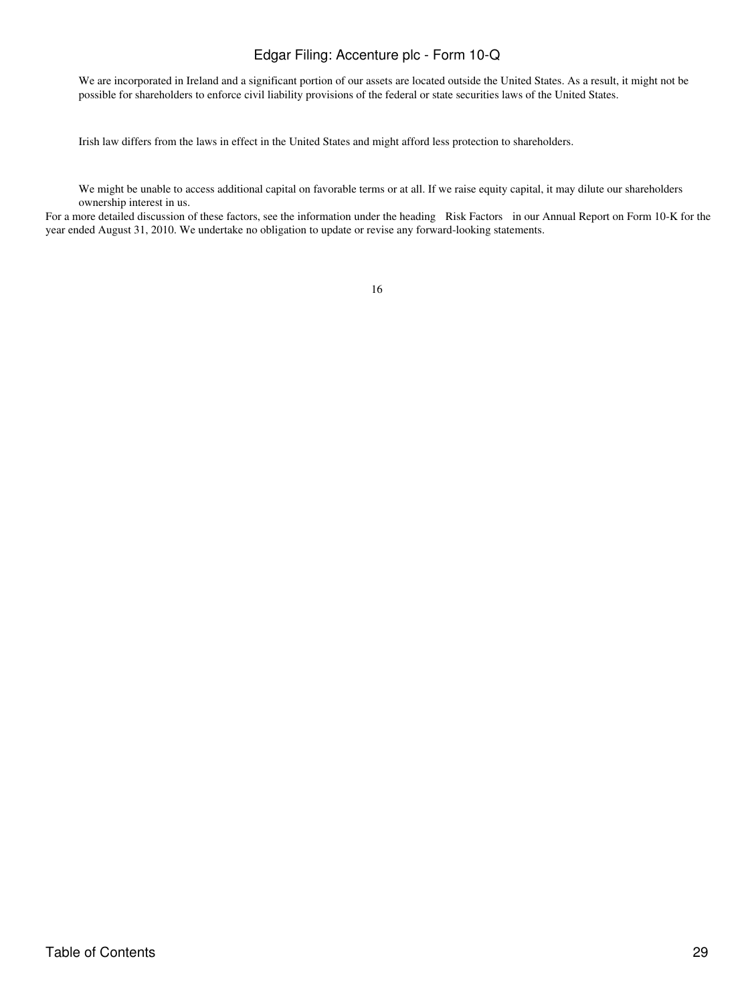We are incorporated in Ireland and a significant portion of our assets are located outside the United States. As a result, it might not be possible for shareholders to enforce civil liability provisions of the federal or state securities laws of the United States.

Irish law differs from the laws in effect in the United States and might afford less protection to shareholders.

We might be unable to access additional capital on favorable terms or at all. If we raise equity capital, it may dilute our shareholders ownership interest in us.

For a more detailed discussion of these factors, see the information under the heading Risk Factors in our Annual Report on Form 10-K for the year ended August 31, 2010. We undertake no obligation to update or revise any forward-looking statements.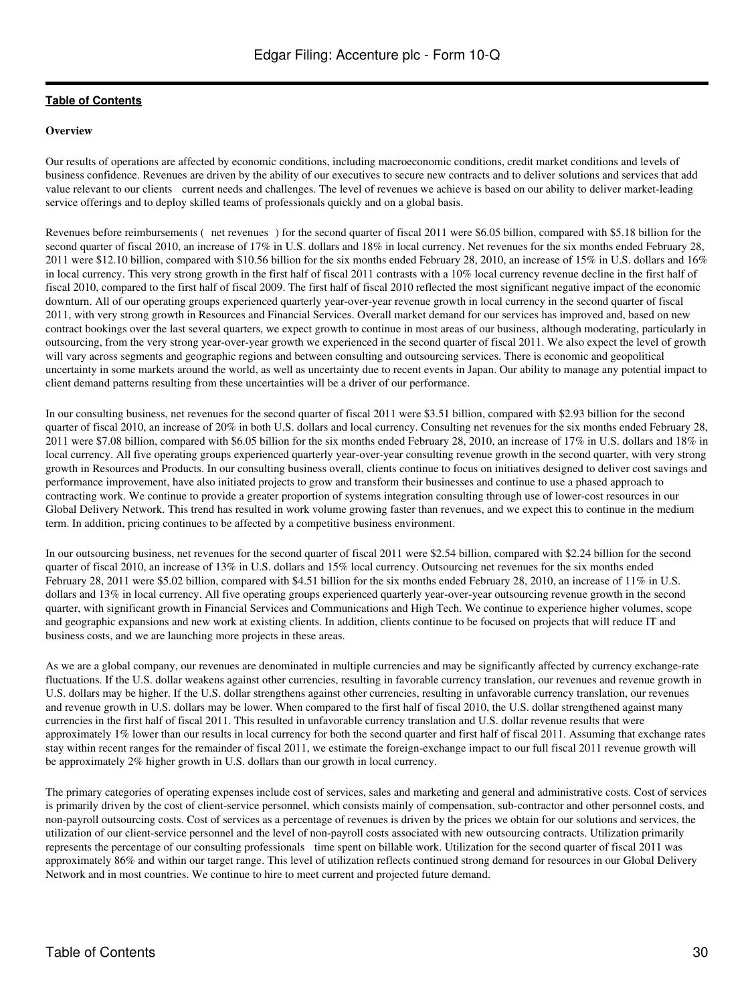#### **Overview**

Our results of operations are affected by economic conditions, including macroeconomic conditions, credit market conditions and levels of business confidence. Revenues are driven by the ability of our executives to secure new contracts and to deliver solutions and services that add value relevant to our clients current needs and challenges. The level of revenues we achieve is based on our ability to deliver market-leading service offerings and to deploy skilled teams of professionals quickly and on a global basis.

Revenues before reimbursements (net revenues) for the second quarter of fiscal 2011 were \$6.05 billion, compared with \$5.18 billion for the second quarter of fiscal 2010, an increase of 17% in U.S. dollars and 18% in local currency. Net revenues for the six months ended February 28, 2011 were \$12.10 billion, compared with \$10.56 billion for the six months ended February 28, 2010, an increase of 15% in U.S. dollars and 16% in local currency. This very strong growth in the first half of fiscal 2011 contrasts with a 10% local currency revenue decline in the first half of fiscal 2010, compared to the first half of fiscal 2009. The first half of fiscal 2010 reflected the most significant negative impact of the economic downturn. All of our operating groups experienced quarterly year-over-year revenue growth in local currency in the second quarter of fiscal 2011, with very strong growth in Resources and Financial Services. Overall market demand for our services has improved and, based on new contract bookings over the last several quarters, we expect growth to continue in most areas of our business, although moderating, particularly in outsourcing, from the very strong year-over-year growth we experienced in the second quarter of fiscal 2011. We also expect the level of growth will vary across segments and geographic regions and between consulting and outsourcing services. There is economic and geopolitical uncertainty in some markets around the world, as well as uncertainty due to recent events in Japan. Our ability to manage any potential impact to client demand patterns resulting from these uncertainties will be a driver of our performance.

In our consulting business, net revenues for the second quarter of fiscal 2011 were \$3.51 billion, compared with \$2.93 billion for the second quarter of fiscal 2010, an increase of 20% in both U.S. dollars and local currency. Consulting net revenues for the six months ended February 28, 2011 were \$7.08 billion, compared with \$6.05 billion for the six months ended February 28, 2010, an increase of 17% in U.S. dollars and 18% in local currency. All five operating groups experienced quarterly year-over-year consulting revenue growth in the second quarter, with very strong growth in Resources and Products. In our consulting business overall, clients continue to focus on initiatives designed to deliver cost savings and performance improvement, have also initiated projects to grow and transform their businesses and continue to use a phased approach to contracting work. We continue to provide a greater proportion of systems integration consulting through use of lower-cost resources in our Global Delivery Network. This trend has resulted in work volume growing faster than revenues, and we expect this to continue in the medium term. In addition, pricing continues to be affected by a competitive business environment.

In our outsourcing business, net revenues for the second quarter of fiscal 2011 were \$2.54 billion, compared with \$2.24 billion for the second quarter of fiscal 2010, an increase of 13% in U.S. dollars and 15% local currency. Outsourcing net revenues for the six months ended February 28, 2011 were \$5.02 billion, compared with \$4.51 billion for the six months ended February 28, 2010, an increase of 11% in U.S. dollars and 13% in local currency. All five operating groups experienced quarterly year-over-year outsourcing revenue growth in the second quarter, with significant growth in Financial Services and Communications and High Tech. We continue to experience higher volumes, scope and geographic expansions and new work at existing clients. In addition, clients continue to be focused on projects that will reduce IT and business costs, and we are launching more projects in these areas.

As we are a global company, our revenues are denominated in multiple currencies and may be significantly affected by currency exchange-rate fluctuations. If the U.S. dollar weakens against other currencies, resulting in favorable currency translation, our revenues and revenue growth in U.S. dollars may be higher. If the U.S. dollar strengthens against other currencies, resulting in unfavorable currency translation, our revenues and revenue growth in U.S. dollars may be lower. When compared to the first half of fiscal 2010, the U.S. dollar strengthened against many currencies in the first half of fiscal 2011. This resulted in unfavorable currency translation and U.S. dollar revenue results that were approximately 1% lower than our results in local currency for both the second quarter and first half of fiscal 2011. Assuming that exchange rates stay within recent ranges for the remainder of fiscal 2011, we estimate the foreign-exchange impact to our full fiscal 2011 revenue growth will be approximately 2% higher growth in U.S. dollars than our growth in local currency.

The primary categories of operating expenses include cost of services, sales and marketing and general and administrative costs. Cost of services is primarily driven by the cost of client-service personnel, which consists mainly of compensation, sub-contractor and other personnel costs, and non-payroll outsourcing costs. Cost of services as a percentage of revenues is driven by the prices we obtain for our solutions and services, the utilization of our client-service personnel and the level of non-payroll costs associated with new outsourcing contracts. Utilization primarily represents the percentage of our consulting professionals time spent on billable work. Utilization for the second quarter of fiscal 2011 was approximately 86% and within our target range. This level of utilization reflects continued strong demand for resources in our Global Delivery Network and in most countries. We continue to hire to meet current and projected future demand.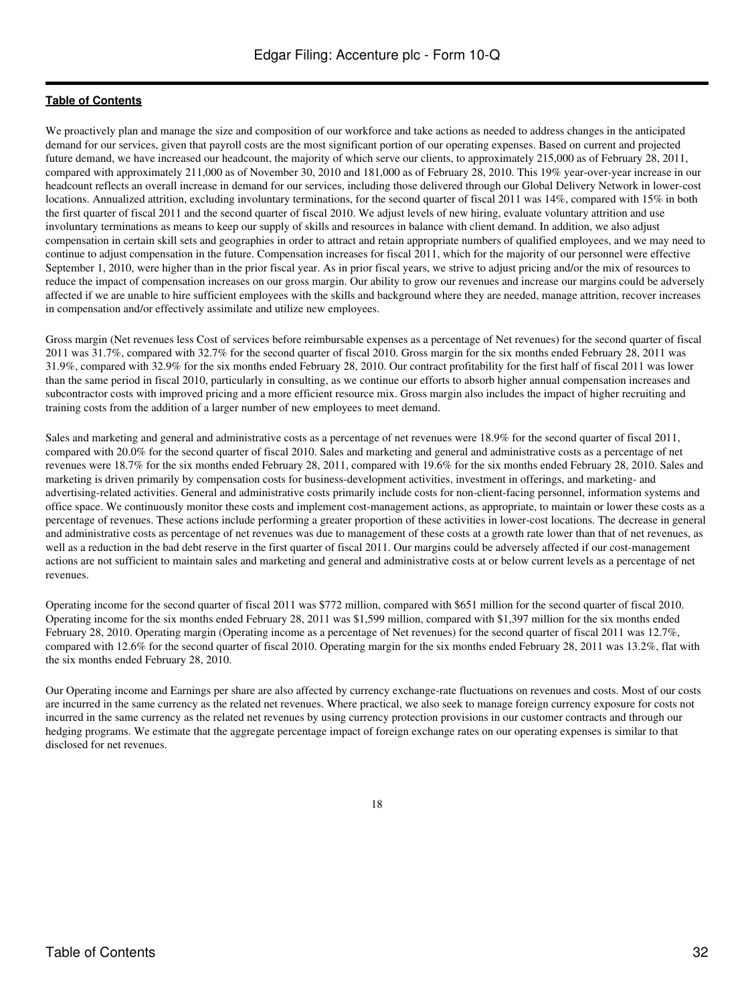We proactively plan and manage the size and composition of our workforce and take actions as needed to address changes in the anticipated demand for our services, given that payroll costs are the most significant portion of our operating expenses. Based on current and projected future demand, we have increased our headcount, the majority of which serve our clients, to approximately 215,000 as of February 28, 2011, compared with approximately 211,000 as of November 30, 2010 and 181,000 as of February 28, 2010. This 19% year-over-year increase in our headcount reflects an overall increase in demand for our services, including those delivered through our Global Delivery Network in lower-cost locations. Annualized attrition, excluding involuntary terminations, for the second quarter of fiscal 2011 was 14%, compared with 15% in both the first quarter of fiscal 2011 and the second quarter of fiscal 2010. We adjust levels of new hiring, evaluate voluntary attrition and use involuntary terminations as means to keep our supply of skills and resources in balance with client demand. In addition, we also adjust compensation in certain skill sets and geographies in order to attract and retain appropriate numbers of qualified employees, and we may need to continue to adjust compensation in the future. Compensation increases for fiscal 2011, which for the majority of our personnel were effective September 1, 2010, were higher than in the prior fiscal year. As in prior fiscal years, we strive to adjust pricing and/or the mix of resources to reduce the impact of compensation increases on our gross margin. Our ability to grow our revenues and increase our margins could be adversely affected if we are unable to hire sufficient employees with the skills and background where they are needed, manage attrition, recover increases in compensation and/or effectively assimilate and utilize new employees.

Gross margin (Net revenues less Cost of services before reimbursable expenses as a percentage of Net revenues) for the second quarter of fiscal 2011 was 31.7%, compared with 32.7% for the second quarter of fiscal 2010. Gross margin for the six months ended February 28, 2011 was 31.9%, compared with 32.9% for the six months ended February 28, 2010. Our contract profitability for the first half of fiscal 2011 was lower than the same period in fiscal 2010, particularly in consulting, as we continue our efforts to absorb higher annual compensation increases and subcontractor costs with improved pricing and a more efficient resource mix. Gross margin also includes the impact of higher recruiting and training costs from the addition of a larger number of new employees to meet demand.

Sales and marketing and general and administrative costs as a percentage of net revenues were 18.9% for the second quarter of fiscal 2011, compared with 20.0% for the second quarter of fiscal 2010. Sales and marketing and general and administrative costs as a percentage of net revenues were 18.7% for the six months ended February 28, 2011, compared with 19.6% for the six months ended February 28, 2010. Sales and marketing is driven primarily by compensation costs for business-development activities, investment in offerings, and marketing- and advertising-related activities. General and administrative costs primarily include costs for non-client-facing personnel, information systems and office space. We continuously monitor these costs and implement cost-management actions, as appropriate, to maintain or lower these costs as a percentage of revenues. These actions include performing a greater proportion of these activities in lower-cost locations. The decrease in general and administrative costs as percentage of net revenues was due to management of these costs at a growth rate lower than that of net revenues, as well as a reduction in the bad debt reserve in the first quarter of fiscal 2011. Our margins could be adversely affected if our cost-management actions are not sufficient to maintain sales and marketing and general and administrative costs at or below current levels as a percentage of net revenues.

Operating income for the second quarter of fiscal 2011 was \$772 million, compared with \$651 million for the second quarter of fiscal 2010. Operating income for the six months ended February 28, 2011 was \$1,599 million, compared with \$1,397 million for the six months ended February 28, 2010. Operating margin (Operating income as a percentage of Net revenues) for the second quarter of fiscal 2011 was 12.7%, compared with 12.6% for the second quarter of fiscal 2010. Operating margin for the six months ended February 28, 2011 was 13.2%, flat with the six months ended February 28, 2010.

Our Operating income and Earnings per share are also affected by currency exchange-rate fluctuations on revenues and costs. Most of our costs are incurred in the same currency as the related net revenues. Where practical, we also seek to manage foreign currency exposure for costs not incurred in the same currency as the related net revenues by using currency protection provisions in our customer contracts and through our hedging programs. We estimate that the aggregate percentage impact of foreign exchange rates on our operating expenses is similar to that disclosed for net revenues.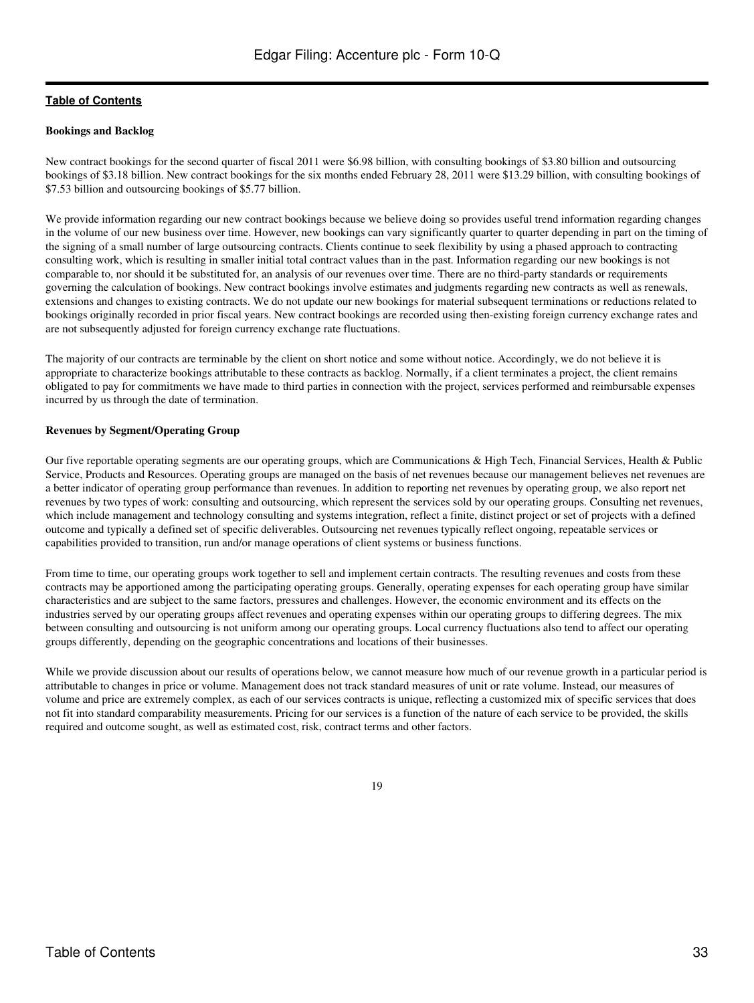#### **Bookings and Backlog**

New contract bookings for the second quarter of fiscal 2011 were \$6.98 billion, with consulting bookings of \$3.80 billion and outsourcing bookings of \$3.18 billion. New contract bookings for the six months ended February 28, 2011 were \$13.29 billion, with consulting bookings of \$7.53 billion and outsourcing bookings of \$5.77 billion.

We provide information regarding our new contract bookings because we believe doing so provides useful trend information regarding changes in the volume of our new business over time. However, new bookings can vary significantly quarter to quarter depending in part on the timing of the signing of a small number of large outsourcing contracts. Clients continue to seek flexibility by using a phased approach to contracting consulting work, which is resulting in smaller initial total contract values than in the past. Information regarding our new bookings is not comparable to, nor should it be substituted for, an analysis of our revenues over time. There are no third-party standards or requirements governing the calculation of bookings. New contract bookings involve estimates and judgments regarding new contracts as well as renewals, extensions and changes to existing contracts. We do not update our new bookings for material subsequent terminations or reductions related to bookings originally recorded in prior fiscal years. New contract bookings are recorded using then-existing foreign currency exchange rates and are not subsequently adjusted for foreign currency exchange rate fluctuations.

The majority of our contracts are terminable by the client on short notice and some without notice. Accordingly, we do not believe it is appropriate to characterize bookings attributable to these contracts as backlog. Normally, if a client terminates a project, the client remains obligated to pay for commitments we have made to third parties in connection with the project, services performed and reimbursable expenses incurred by us through the date of termination.

### **Revenues by Segment/Operating Group**

Our five reportable operating segments are our operating groups, which are Communications & High Tech, Financial Services, Health & Public Service, Products and Resources. Operating groups are managed on the basis of net revenues because our management believes net revenues are a better indicator of operating group performance than revenues. In addition to reporting net revenues by operating group, we also report net revenues by two types of work: consulting and outsourcing, which represent the services sold by our operating groups. Consulting net revenues, which include management and technology consulting and systems integration, reflect a finite, distinct project or set of projects with a defined outcome and typically a defined set of specific deliverables. Outsourcing net revenues typically reflect ongoing, repeatable services or capabilities provided to transition, run and/or manage operations of client systems or business functions.

From time to time, our operating groups work together to sell and implement certain contracts. The resulting revenues and costs from these contracts may be apportioned among the participating operating groups. Generally, operating expenses for each operating group have similar characteristics and are subject to the same factors, pressures and challenges. However, the economic environment and its effects on the industries served by our operating groups affect revenues and operating expenses within our operating groups to differing degrees. The mix between consulting and outsourcing is not uniform among our operating groups. Local currency fluctuations also tend to affect our operating groups differently, depending on the geographic concentrations and locations of their businesses.

While we provide discussion about our results of operations below, we cannot measure how much of our revenue growth in a particular period is attributable to changes in price or volume. Management does not track standard measures of unit or rate volume. Instead, our measures of volume and price are extremely complex, as each of our services contracts is unique, reflecting a customized mix of specific services that does not fit into standard comparability measurements. Pricing for our services is a function of the nature of each service to be provided, the skills required and outcome sought, as well as estimated cost, risk, contract terms and other factors.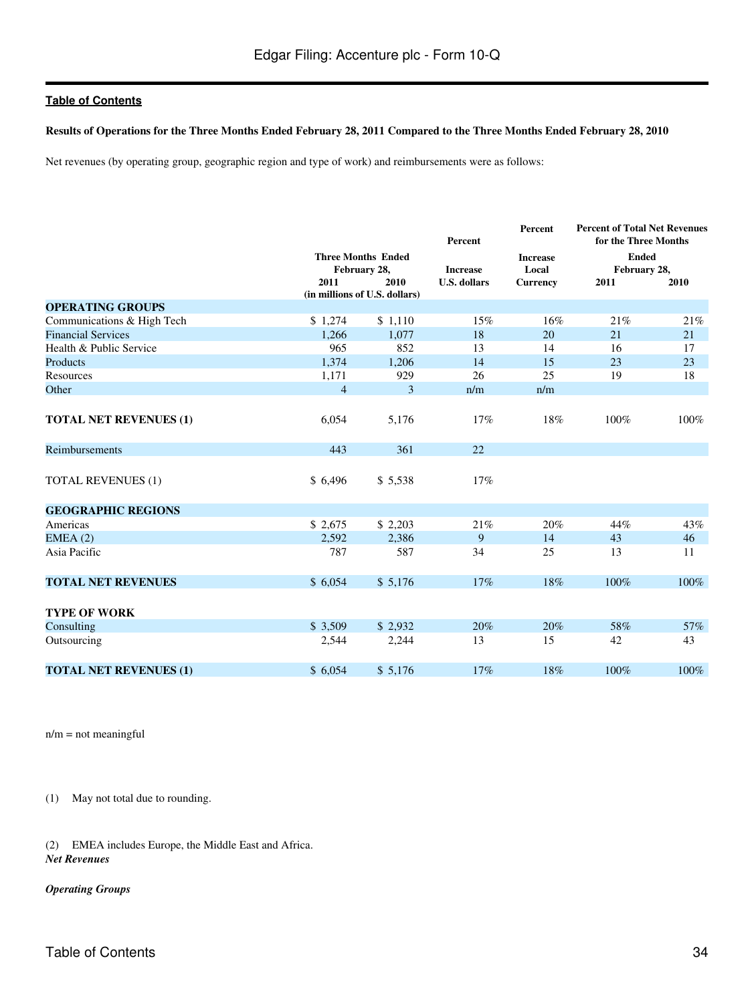#### **Results of Operations for the Three Months Ended February 28, 2011 Compared to the Three Months Ended February 28, 2010**

Net revenues (by operating group, geographic region and type of work) and reimbursements were as follows:

|                               |                |                                                              | Percent             | Percent                  | <b>Percent of Total Net Revenues</b><br>for the Three Months |      |
|-------------------------------|----------------|--------------------------------------------------------------|---------------------|--------------------------|--------------------------------------------------------------|------|
|                               |                | <b>Three Months Ended</b><br>February 28,<br><b>Increase</b> |                     | <b>Increase</b><br>Local | <b>Ended</b><br>February 28,                                 |      |
|                               | 2011           | 2010<br>(in millions of U.S. dollars)                        | <b>U.S. dollars</b> | <b>Currency</b>          | 2011                                                         | 2010 |
| <b>OPERATING GROUPS</b>       |                |                                                              |                     |                          |                                                              |      |
| Communications & High Tech    | \$1,274        | \$1,110                                                      | 15%                 | 16%                      | 21%                                                          | 21%  |
| <b>Financial Services</b>     | 1.266          | 1.077                                                        | 18                  | 20                       | 21                                                           | 21   |
| Health & Public Service       | 965            | 852                                                          | 13                  | 14                       | 16                                                           | 17   |
| Products                      | 1,374          | 1,206                                                        | 14                  | 15                       | 23                                                           | 23   |
| Resources                     | 1,171          | 929                                                          | 26                  | 25                       | 19                                                           | 18   |
| Other                         | $\overline{4}$ | 3                                                            | n/m                 | n/m                      |                                                              |      |
|                               |                |                                                              |                     |                          |                                                              |      |
| <b>TOTAL NET REVENUES (1)</b> | 6,054          | 5,176                                                        | 17%                 | 18%                      | 100%                                                         | 100% |
| Reimbursements                | 443            | 361                                                          | 22                  |                          |                                                              |      |
| <b>TOTAL REVENUES (1)</b>     | \$6,496        | \$5,538                                                      | 17%                 |                          |                                                              |      |
| <b>GEOGRAPHIC REGIONS</b>     |                |                                                              |                     |                          |                                                              |      |
| Americas                      | \$2,675        | \$2,203                                                      | 21%                 | 20%                      | 44%                                                          | 43%  |
| EMEA(2)                       | 2,592          | 2,386                                                        | 9                   | 14                       | 43                                                           | 46   |
| Asia Pacific                  | 787            | 587                                                          | 34                  | 25                       | 13                                                           | 11   |
| <b>TOTAL NET REVENUES</b>     | \$6,054        | \$5,176                                                      | 17%                 | 18%                      | 100%                                                         | 100% |
| <b>TYPE OF WORK</b>           |                |                                                              |                     |                          |                                                              |      |
| Consulting                    | \$ 3,509       | \$2,932                                                      | 20%                 | 20%                      | 58%                                                          | 57%  |
| Outsourcing                   | 2,544          | 2,244                                                        | 13                  | 15                       | 42                                                           | 43   |
| <b>TOTAL NET REVENUES (1)</b> | \$6,054        | \$5,176                                                      | 17%                 | 18%                      | 100%                                                         | 100% |

n/m = not meaningful

(1) May not total due to rounding.

(2) EMEA includes Europe, the Middle East and Africa. *Net Revenues*

#### *Operating Groups*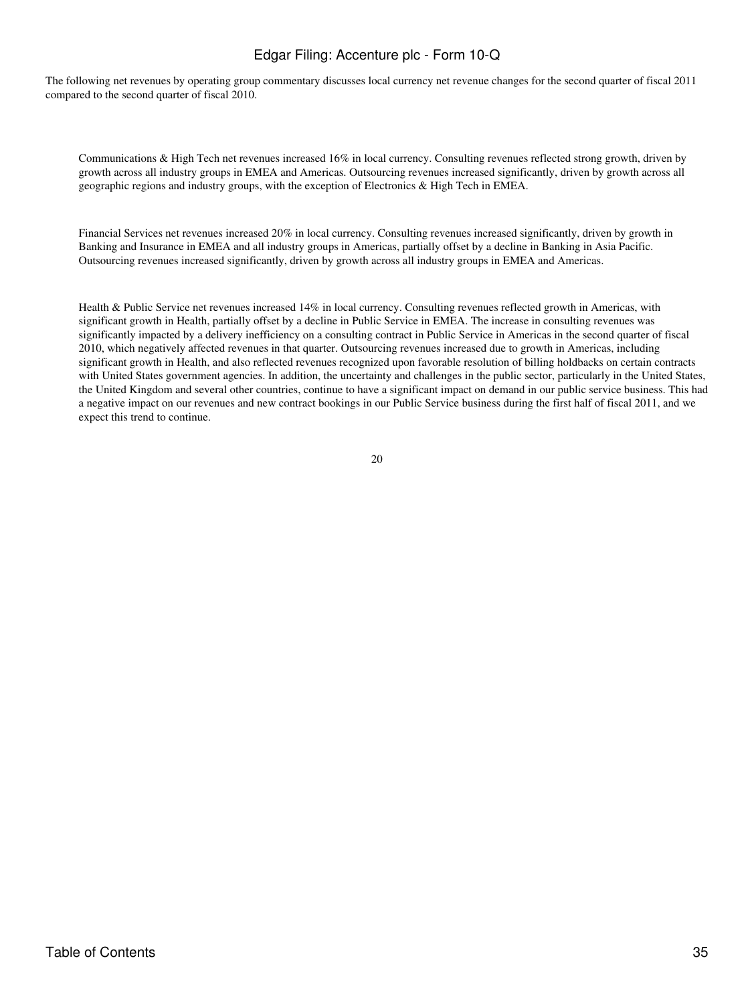The following net revenues by operating group commentary discusses local currency net revenue changes for the second quarter of fiscal 2011 compared to the second quarter of fiscal 2010.

Communications & High Tech net revenues increased 16% in local currency. Consulting revenues reflected strong growth, driven by growth across all industry groups in EMEA and Americas. Outsourcing revenues increased significantly, driven by growth across all geographic regions and industry groups, with the exception of Electronics & High Tech in EMEA.

Financial Services net revenues increased 20% in local currency. Consulting revenues increased significantly, driven by growth in Banking and Insurance in EMEA and all industry groups in Americas, partially offset by a decline in Banking in Asia Pacific. Outsourcing revenues increased significantly, driven by growth across all industry groups in EMEA and Americas.

Health & Public Service net revenues increased 14% in local currency. Consulting revenues reflected growth in Americas, with significant growth in Health, partially offset by a decline in Public Service in EMEA. The increase in consulting revenues was significantly impacted by a delivery inefficiency on a consulting contract in Public Service in Americas in the second quarter of fiscal 2010, which negatively affected revenues in that quarter. Outsourcing revenues increased due to growth in Americas, including significant growth in Health, and also reflected revenues recognized upon favorable resolution of billing holdbacks on certain contracts with United States government agencies. In addition, the uncertainty and challenges in the public sector, particularly in the United States, the United Kingdom and several other countries, continue to have a significant impact on demand in our public service business. This had a negative impact on our revenues and new contract bookings in our Public Service business during the first half of fiscal 2011, and we expect this trend to continue.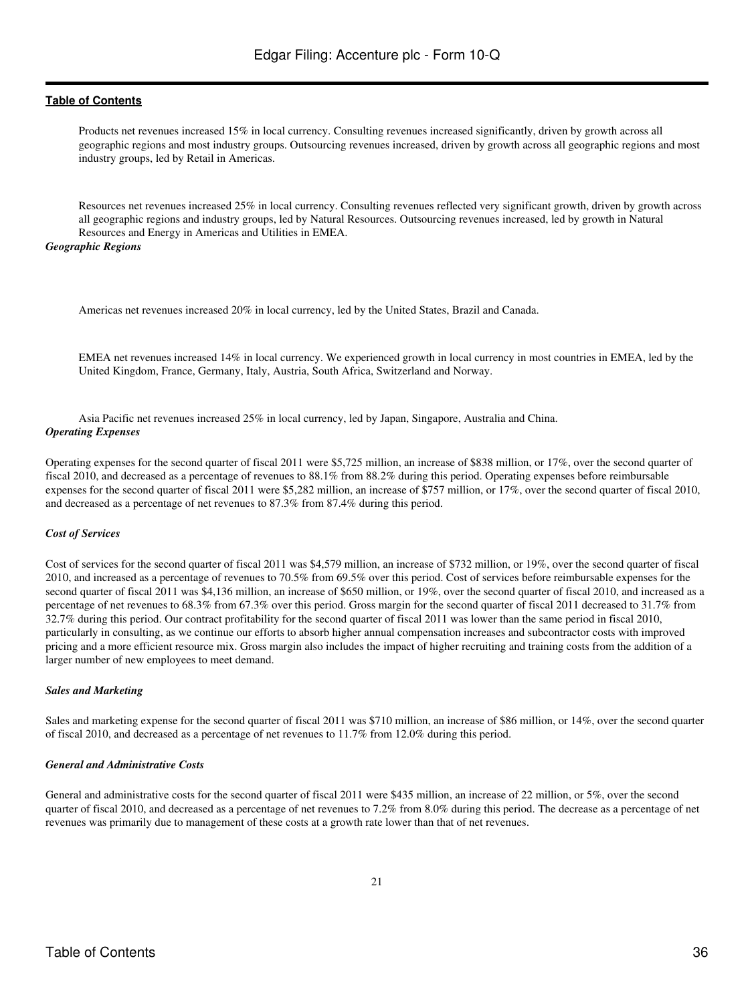Products net revenues increased 15% in local currency. Consulting revenues increased significantly, driven by growth across all geographic regions and most industry groups. Outsourcing revenues increased, driven by growth across all geographic regions and most industry groups, led by Retail in Americas.

Resources net revenues increased 25% in local currency. Consulting revenues reflected very significant growth, driven by growth across all geographic regions and industry groups, led by Natural Resources. Outsourcing revenues increased, led by growth in Natural Resources and Energy in Americas and Utilities in EMEA.

#### *Geographic Regions*

Americas net revenues increased 20% in local currency, led by the United States, Brazil and Canada.

EMEA net revenues increased 14% in local currency. We experienced growth in local currency in most countries in EMEA, led by the United Kingdom, France, Germany, Italy, Austria, South Africa, Switzerland and Norway.

Asia Pacific net revenues increased 25% in local currency, led by Japan, Singapore, Australia and China. *Operating Expenses*

Operating expenses for the second quarter of fiscal 2011 were \$5,725 million, an increase of \$838 million, or 17%, over the second quarter of fiscal 2010, and decreased as a percentage of revenues to 88.1% from 88.2% during this period. Operating expenses before reimbursable expenses for the second quarter of fiscal 2011 were \$5,282 million, an increase of \$757 million, or 17%, over the second quarter of fiscal 2010, and decreased as a percentage of net revenues to 87.3% from 87.4% during this period.

#### *Cost of Services*

Cost of services for the second quarter of fiscal 2011 was \$4,579 million, an increase of \$732 million, or 19%, over the second quarter of fiscal 2010, and increased as a percentage of revenues to 70.5% from 69.5% over this period. Cost of services before reimbursable expenses for the second quarter of fiscal 2011 was \$4,136 million, an increase of \$650 million, or 19%, over the second quarter of fiscal 2010, and increased as a percentage of net revenues to 68.3% from 67.3% over this period. Gross margin for the second quarter of fiscal 2011 decreased to 31.7% from 32.7% during this period. Our contract profitability for the second quarter of fiscal 2011 was lower than the same period in fiscal 2010, particularly in consulting, as we continue our efforts to absorb higher annual compensation increases and subcontractor costs with improved pricing and a more efficient resource mix. Gross margin also includes the impact of higher recruiting and training costs from the addition of a larger number of new employees to meet demand.

#### *Sales and Marketing*

Sales and marketing expense for the second quarter of fiscal 2011 was \$710 million, an increase of \$86 million, or 14%, over the second quarter of fiscal 2010, and decreased as a percentage of net revenues to 11.7% from 12.0% during this period.

#### *General and Administrative Costs*

General and administrative costs for the second quarter of fiscal 2011 were \$435 million, an increase of 22 million, or 5%, over the second quarter of fiscal 2010, and decreased as a percentage of net revenues to 7.2% from 8.0% during this period. The decrease as a percentage of net revenues was primarily due to management of these costs at a growth rate lower than that of net revenues.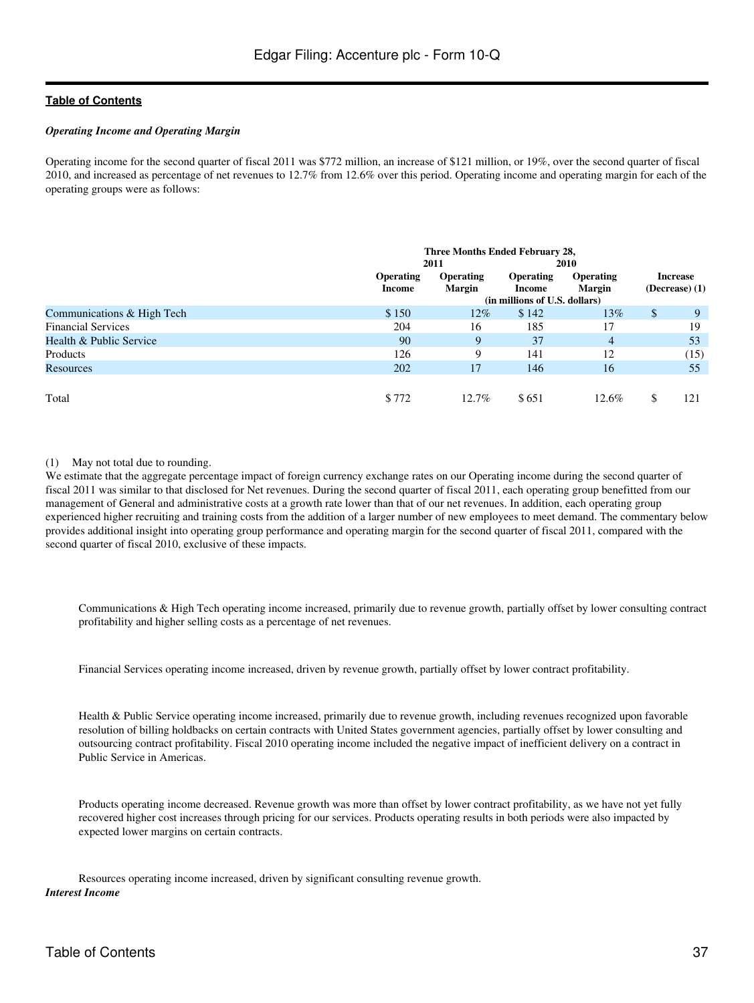#### *Operating Income and Operating Margin*

Operating income for the second quarter of fiscal 2011 was \$772 million, an increase of \$121 million, or 19%, over the second quarter of fiscal 2010, and increased as percentage of net revenues to 12.7% from 12.6% over this period. Operating income and operating margin for each of the operating groups were as follows:

|                            | Three Months Ended February 28, |                            |                               |                                   |              |                                     |
|----------------------------|---------------------------------|----------------------------|-------------------------------|-----------------------------------|--------------|-------------------------------------|
|                            |                                 | 2011                       |                               | <b>2010</b>                       |              |                                     |
|                            | <b>Operating</b><br>Income      | <b>Operating</b><br>Margin | <b>Operating</b><br>Income    | <b>Operating</b><br><b>Margin</b> |              | <b>Increase</b><br>$(Decrease)$ (1) |
|                            |                                 |                            | (in millions of U.S. dollars) |                                   |              |                                     |
| Communications & High Tech | \$150                           | $12\%$                     | \$142                         | $13\%$                            | $\mathbb{S}$ | 9                                   |
| <b>Financial Services</b>  | 204                             | 16                         | 185                           | 17                                |              | 19                                  |
| Health & Public Service    | 90                              | 9                          | 37                            | 4                                 |              | 53                                  |
| Products                   | 126                             | 9                          | 141                           | 12                                |              | (15)                                |
| Resources                  | 202                             | 17                         | 146                           | 16                                |              | 55                                  |
|                            |                                 |                            |                               |                                   |              |                                     |
| Total                      | \$772                           | $12.7\%$                   | \$651                         | 12.6%                             | S            | 121                                 |

### (1) May not total due to rounding.

We estimate that the aggregate percentage impact of foreign currency exchange rates on our Operating income during the second quarter of fiscal 2011 was similar to that disclosed for Net revenues. During the second quarter of fiscal 2011, each operating group benefitted from our management of General and administrative costs at a growth rate lower than that of our net revenues. In addition, each operating group experienced higher recruiting and training costs from the addition of a larger number of new employees to meet demand. The commentary below provides additional insight into operating group performance and operating margin for the second quarter of fiscal 2011, compared with the second quarter of fiscal 2010, exclusive of these impacts.

Communications & High Tech operating income increased, primarily due to revenue growth, partially offset by lower consulting contract profitability and higher selling costs as a percentage of net revenues.

Financial Services operating income increased, driven by revenue growth, partially offset by lower contract profitability.

Health & Public Service operating income increased, primarily due to revenue growth, including revenues recognized upon favorable resolution of billing holdbacks on certain contracts with United States government agencies, partially offset by lower consulting and outsourcing contract profitability. Fiscal 2010 operating income included the negative impact of inefficient delivery on a contract in Public Service in Americas.

Products operating income decreased. Revenue growth was more than offset by lower contract profitability, as we have not yet fully recovered higher cost increases through pricing for our services. Products operating results in both periods were also impacted by expected lower margins on certain contracts.

Resources operating income increased, driven by significant consulting revenue growth. *Interest Income*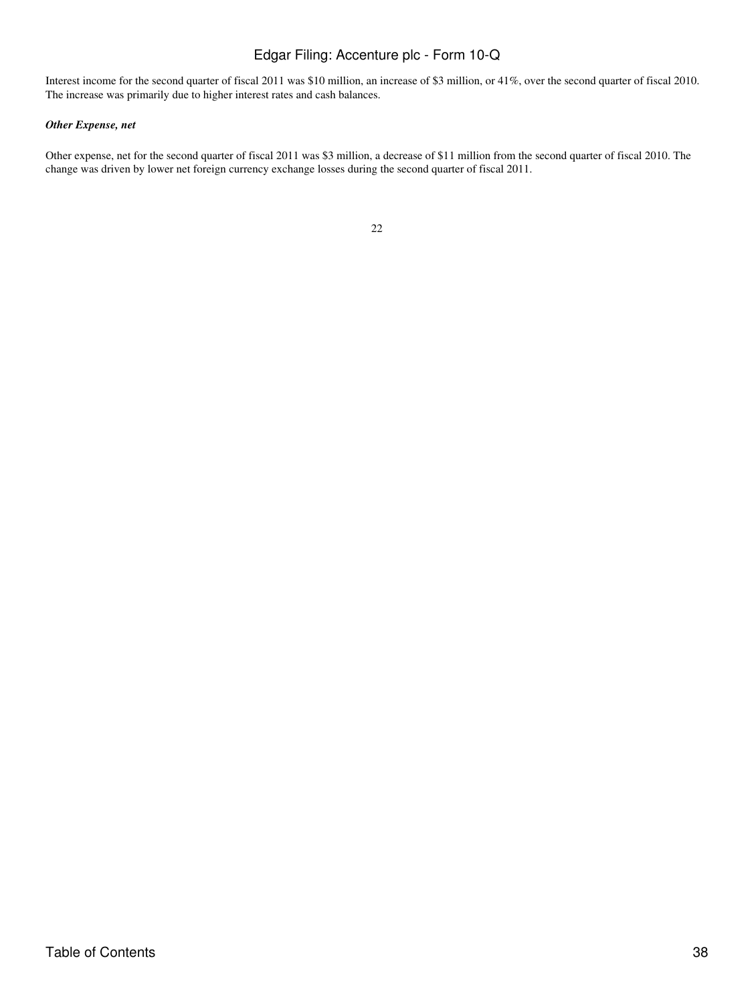Interest income for the second quarter of fiscal 2011 was \$10 million, an increase of \$3 million, or 41%, over the second quarter of fiscal 2010. The increase was primarily due to higher interest rates and cash balances.

# *Other Expense, net*

Other expense, net for the second quarter of fiscal 2011 was \$3 million, a decrease of \$11 million from the second quarter of fiscal 2010. The change was driven by lower net foreign currency exchange losses during the second quarter of fiscal 2011.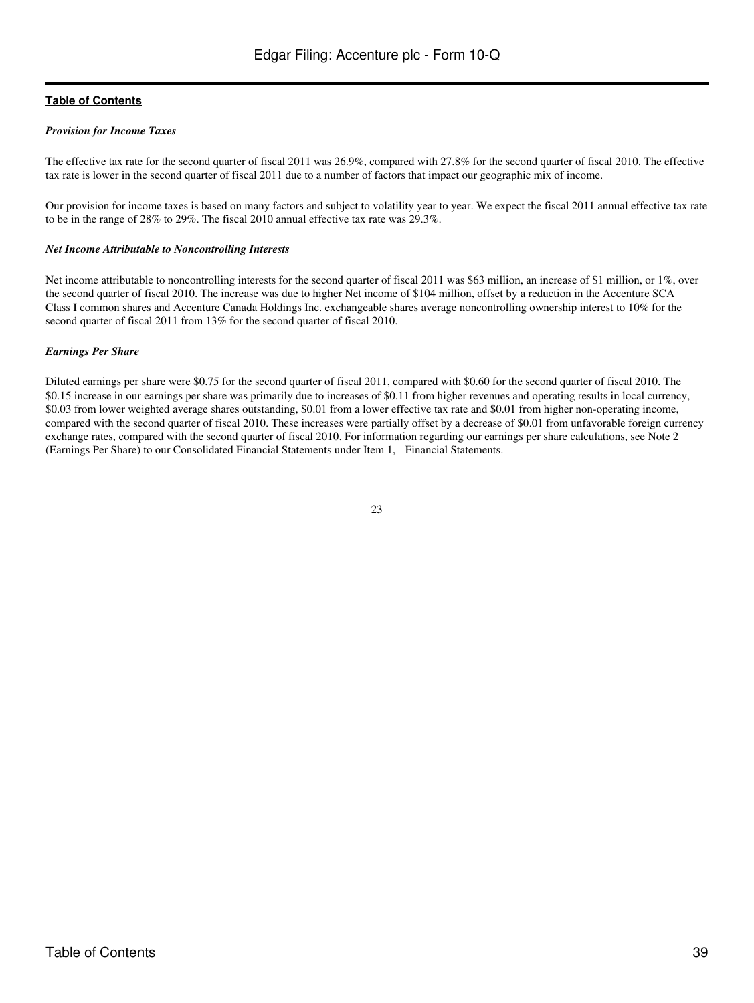#### *Provision for Income Taxes*

The effective tax rate for the second quarter of fiscal 2011 was 26.9%, compared with 27.8% for the second quarter of fiscal 2010. The effective tax rate is lower in the second quarter of fiscal 2011 due to a number of factors that impact our geographic mix of income.

Our provision for income taxes is based on many factors and subject to volatility year to year. We expect the fiscal 2011 annual effective tax rate to be in the range of 28% to 29%. The fiscal 2010 annual effective tax rate was 29.3%.

#### *Net Income Attributable to Noncontrolling Interests*

Net income attributable to noncontrolling interests for the second quarter of fiscal 2011 was \$63 million, an increase of \$1 million, or 1%, over the second quarter of fiscal 2010. The increase was due to higher Net income of \$104 million, offset by a reduction in the Accenture SCA Class I common shares and Accenture Canada Holdings Inc. exchangeable shares average noncontrolling ownership interest to 10% for the second quarter of fiscal 2011 from 13% for the second quarter of fiscal 2010.

#### *Earnings Per Share*

Diluted earnings per share were \$0.75 for the second quarter of fiscal 2011, compared with \$0.60 for the second quarter of fiscal 2010. The \$0.15 increase in our earnings per share was primarily due to increases of \$0.11 from higher revenues and operating results in local currency, \$0.03 from lower weighted average shares outstanding, \$0.01 from a lower effective tax rate and \$0.01 from higher non-operating income, compared with the second quarter of fiscal 2010. These increases were partially offset by a decrease of \$0.01 from unfavorable foreign currency exchange rates, compared with the second quarter of fiscal 2010. For information regarding our earnings per share calculations, see Note 2 (Earnings Per Share) to our Consolidated Financial Statements under Item 1, Financial Statements.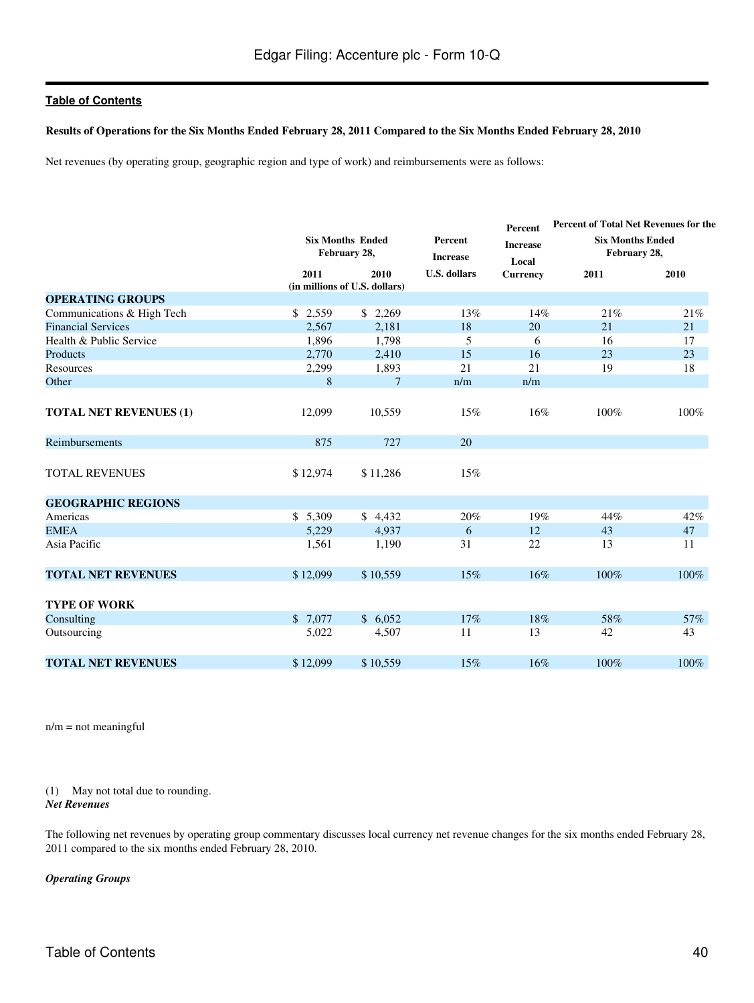#### **Results of Operations for the Six Months Ended February 28, 2011 Compared to the Six Months Ended February 28, 2010**

Net revenues (by operating group, geographic region and type of work) and reimbursements were as follows:

|                               |          |                                         |                     | Percent                  | Percent of Total Net Revenues for the   |      |  |
|-------------------------------|----------|-----------------------------------------|---------------------|--------------------------|-----------------------------------------|------|--|
|                               |          | <b>Six Months Ended</b><br>February 28, |                     | <b>Increase</b><br>Local | <b>Six Months Ended</b><br>February 28, |      |  |
|                               | 2011     | 2010<br>(in millions of U.S. dollars)   | <b>U.S. dollars</b> | <b>Currency</b>          | 2011                                    | 2010 |  |
| <b>OPERATING GROUPS</b>       |          |                                         |                     |                          |                                         |      |  |
| Communications & High Tech    | \$2,559  | \$2,269                                 | 13%                 | 14%                      | 21%                                     | 21%  |  |
| <b>Financial Services</b>     | 2,567    | 2,181                                   | 18                  | 20                       | 21                                      | 21   |  |
| Health & Public Service       | 1,896    | 1,798                                   | 5                   | 6                        | 16                                      | 17   |  |
| Products                      | 2,770    | 2,410                                   | 15                  | 16                       | 23                                      | 23   |  |
| Resources                     | 2,299    | 1,893                                   | 21                  | 21                       | 19                                      | 18   |  |
| Other                         | 8        | $\overline{7}$                          | n/m                 | n/m                      |                                         |      |  |
|                               |          |                                         |                     |                          |                                         |      |  |
| <b>TOTAL NET REVENUES (1)</b> | 12,099   | 10,559                                  | 15%                 | 16%                      | 100%                                    | 100% |  |
| Reimbursements                | 875      | 727                                     | 20                  |                          |                                         |      |  |
| <b>TOTAL REVENUES</b>         | \$12,974 | \$11,286                                | 15%                 |                          |                                         |      |  |
| <b>GEOGRAPHIC REGIONS</b>     |          |                                         |                     |                          |                                         |      |  |
| Americas                      | \$5,309  | \$4,432                                 | 20%                 | 19%                      | 44%                                     | 42%  |  |
| <b>EMEA</b>                   | 5.229    | 4.937                                   | 6                   | 12                       | 43                                      | 47   |  |
| Asia Pacific                  | 1,561    | 1,190                                   | 31                  | 22                       | 13                                      | 11   |  |
| <b>TOTAL NET REVENUES</b>     | \$12,099 | \$10,559                                | 15%                 | 16%                      | 100%                                    | 100% |  |
| <b>TYPE OF WORK</b>           |          |                                         |                     |                          |                                         |      |  |
| Consulting                    | \$7,077  | \$6.052                                 | 17%                 | 18%                      | 58%                                     | 57%  |  |
| Outsourcing                   | 5,022    | 4,507                                   | 11                  | 13                       | 42                                      | 43   |  |
| <b>TOTAL NET REVENUES</b>     | \$12,099 | \$10,559                                | 15%                 | 16%                      | 100%                                    | 100% |  |

 $n/m = not meaningful$ 

(1) May not total due to rounding. *Net Revenues*

The following net revenues by operating group commentary discusses local currency net revenue changes for the six months ended February 28, 2011 compared to the six months ended February 28, 2010.

*Operating Groups*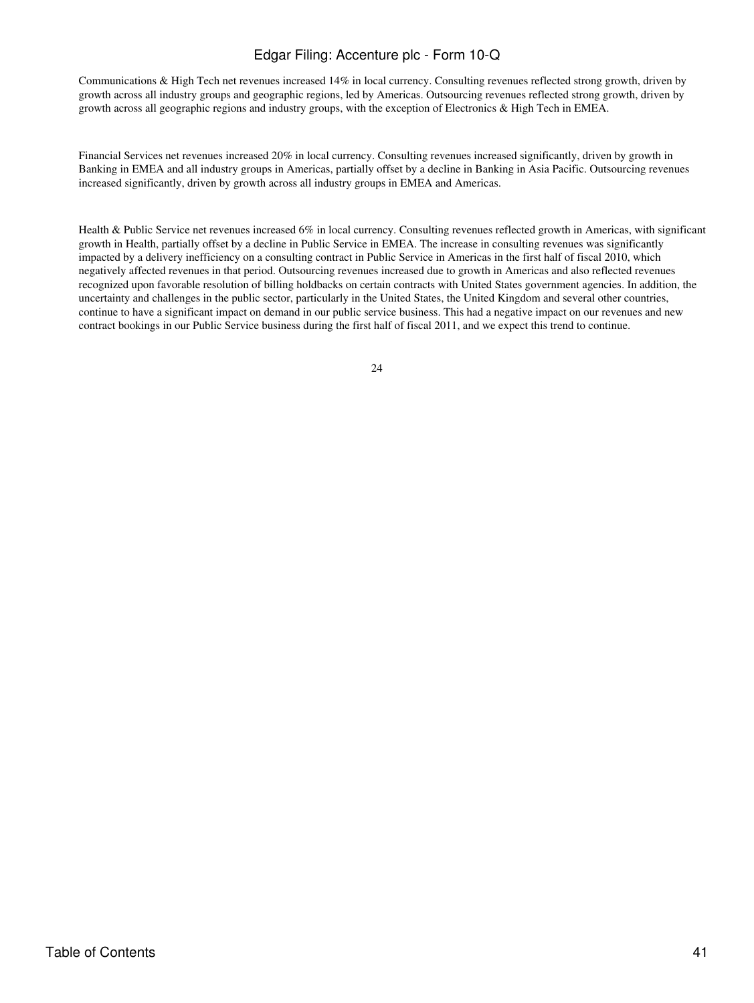Communications & High Tech net revenues increased 14% in local currency. Consulting revenues reflected strong growth, driven by growth across all industry groups and geographic regions, led by Americas. Outsourcing revenues reflected strong growth, driven by growth across all geographic regions and industry groups, with the exception of Electronics & High Tech in EMEA.

Financial Services net revenues increased 20% in local currency. Consulting revenues increased significantly, driven by growth in Banking in EMEA and all industry groups in Americas, partially offset by a decline in Banking in Asia Pacific. Outsourcing revenues increased significantly, driven by growth across all industry groups in EMEA and Americas.

Health & Public Service net revenues increased 6% in local currency. Consulting revenues reflected growth in Americas, with significant growth in Health, partially offset by a decline in Public Service in EMEA. The increase in consulting revenues was significantly impacted by a delivery inefficiency on a consulting contract in Public Service in Americas in the first half of fiscal 2010, which negatively affected revenues in that period. Outsourcing revenues increased due to growth in Americas and also reflected revenues recognized upon favorable resolution of billing holdbacks on certain contracts with United States government agencies. In addition, the uncertainty and challenges in the public sector, particularly in the United States, the United Kingdom and several other countries, continue to have a significant impact on demand in our public service business. This had a negative impact on our revenues and new contract bookings in our Public Service business during the first half of fiscal 2011, and we expect this trend to continue.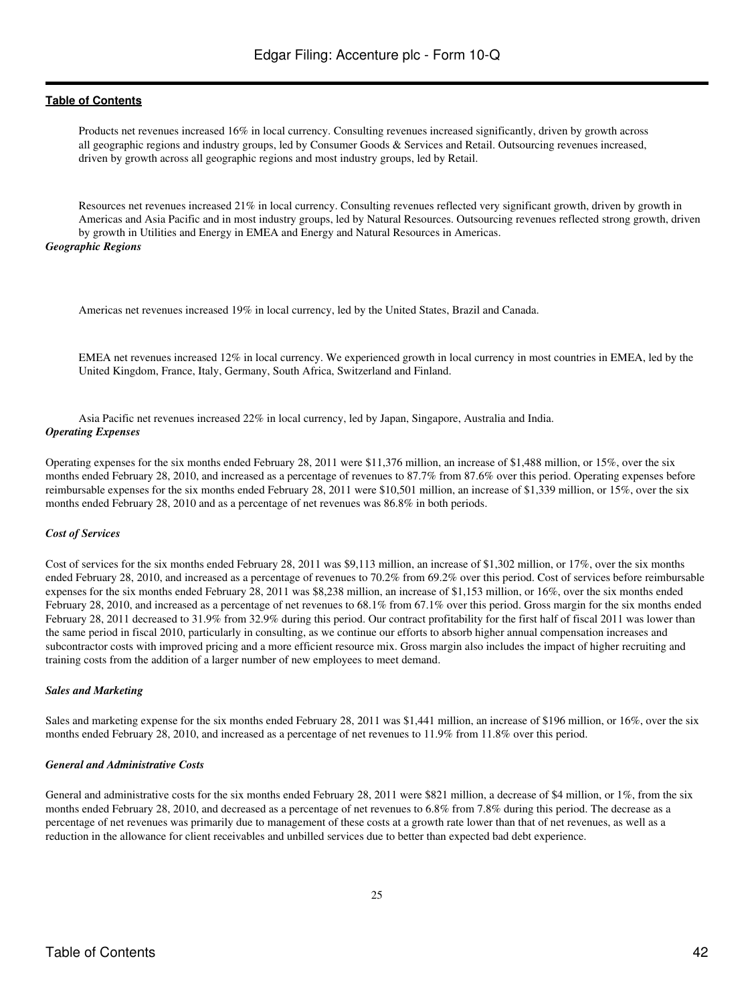Products net revenues increased 16% in local currency. Consulting revenues increased significantly, driven by growth across all geographic regions and industry groups, led by Consumer Goods & Services and Retail. Outsourcing revenues increased, driven by growth across all geographic regions and most industry groups, led by Retail.

Resources net revenues increased 21% in local currency. Consulting revenues reflected very significant growth, driven by growth in Americas and Asia Pacific and in most industry groups, led by Natural Resources. Outsourcing revenues reflected strong growth, driven by growth in Utilities and Energy in EMEA and Energy and Natural Resources in Americas.

#### *Geographic Regions*

Americas net revenues increased 19% in local currency, led by the United States, Brazil and Canada.

EMEA net revenues increased 12% in local currency. We experienced growth in local currency in most countries in EMEA, led by the United Kingdom, France, Italy, Germany, South Africa, Switzerland and Finland.

Asia Pacific net revenues increased 22% in local currency, led by Japan, Singapore, Australia and India. *Operating Expenses*

Operating expenses for the six months ended February 28, 2011 were \$11,376 million, an increase of \$1,488 million, or 15%, over the six months ended February 28, 2010, and increased as a percentage of revenues to 87.7% from 87.6% over this period. Operating expenses before reimbursable expenses for the six months ended February 28, 2011 were \$10,501 million, an increase of \$1,339 million, or 15%, over the six months ended February 28, 2010 and as a percentage of net revenues was 86.8% in both periods.

#### *Cost of Services*

Cost of services for the six months ended February 28, 2011 was \$9,113 million, an increase of \$1,302 million, or 17%, over the six months ended February 28, 2010, and increased as a percentage of revenues to 70.2% from 69.2% over this period. Cost of services before reimbursable expenses for the six months ended February 28, 2011 was \$8,238 million, an increase of \$1,153 million, or 16%, over the six months ended February 28, 2010, and increased as a percentage of net revenues to 68.1% from 67.1% over this period. Gross margin for the six months ended February 28, 2011 decreased to 31.9% from 32.9% during this period. Our contract profitability for the first half of fiscal 2011 was lower than the same period in fiscal 2010, particularly in consulting, as we continue our efforts to absorb higher annual compensation increases and subcontractor costs with improved pricing and a more efficient resource mix. Gross margin also includes the impact of higher recruiting and training costs from the addition of a larger number of new employees to meet demand.

#### *Sales and Marketing*

Sales and marketing expense for the six months ended February 28, 2011 was \$1,441 million, an increase of \$196 million, or 16%, over the six months ended February 28, 2010, and increased as a percentage of net revenues to 11.9% from 11.8% over this period.

#### *General and Administrative Costs*

General and administrative costs for the six months ended February 28, 2011 were \$821 million, a decrease of \$4 million, or 1%, from the six months ended February 28, 2010, and decreased as a percentage of net revenues to 6.8% from 7.8% during this period. The decrease as a percentage of net revenues was primarily due to management of these costs at a growth rate lower than that of net revenues, as well as a reduction in the allowance for client receivables and unbilled services due to better than expected bad debt experience.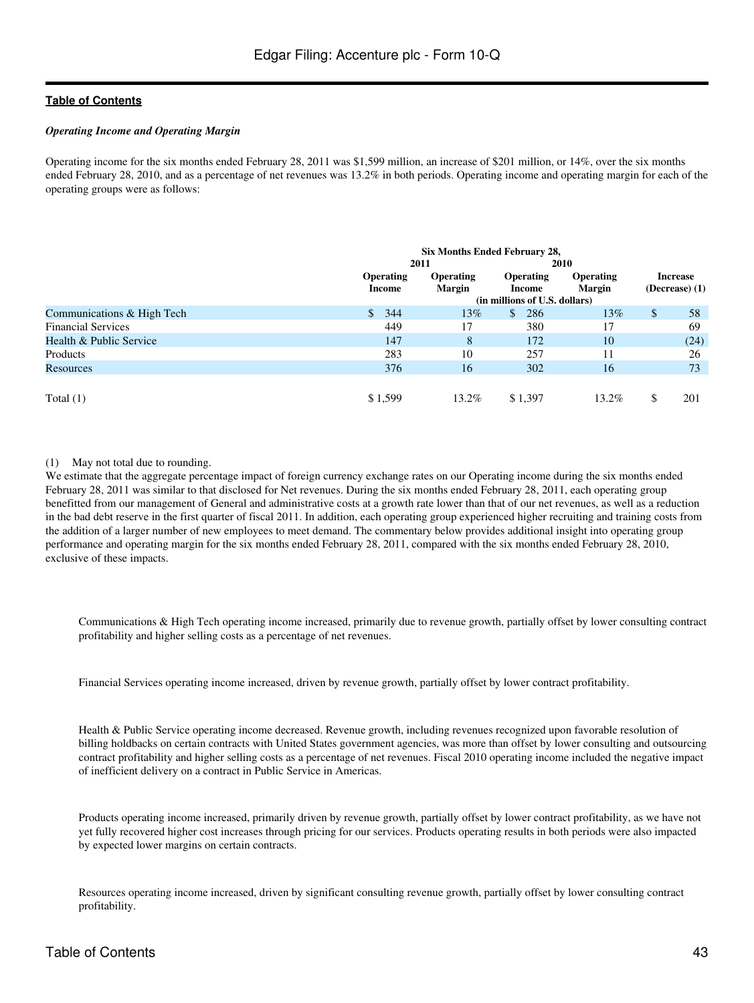#### *Operating Income and Operating Margin*

Operating income for the six months ended February 28, 2011 was \$1,599 million, an increase of \$201 million, or 14%, over the six months ended February 28, 2010, and as a percentage of net revenues was 13.2% in both periods. Operating income and operating margin for each of the operating groups were as follows:

|                            | Six Months Ended February 28, |                                   |                               |                            |              |                                     |
|----------------------------|-------------------------------|-----------------------------------|-------------------------------|----------------------------|--------------|-------------------------------------|
|                            |                               | 2011                              |                               | 2010                       |              |                                     |
|                            | <b>Operating</b><br>Income    | <b>Operating</b><br><b>Margin</b> | <b>Operating</b><br>Income    | Operating<br><b>Margin</b> |              | <b>Increase</b><br>$(Decrease)$ (1) |
|                            |                               |                                   | (in millions of U.S. dollars) |                            |              |                                     |
| Communications & High Tech | 344<br><sup>\$</sup>          | 13%                               | 286<br>$\mathbb{S}$           | 13%                        | $\mathbb{S}$ | 58                                  |
| <b>Financial Services</b>  | 449                           | 17                                | 380                           | 17                         |              | 69                                  |
| Health & Public Service    | 147                           | 8                                 | 172                           | 10                         |              | (24)                                |
| Products                   | 283                           | 10                                | 257                           | 11                         |              | 26                                  |
| Resources                  | 376                           | 16                                | 302                           | 16                         |              | 73                                  |
|                            |                               |                                   |                               |                            |              |                                     |
| Total $(1)$                | \$1,599                       | 13.2%                             | \$1,397                       | 13.2%                      | \$.          | 201                                 |

### (1) May not total due to rounding.

We estimate that the aggregate percentage impact of foreign currency exchange rates on our Operating income during the six months ended February 28, 2011 was similar to that disclosed for Net revenues. During the six months ended February 28, 2011, each operating group benefitted from our management of General and administrative costs at a growth rate lower than that of our net revenues, as well as a reduction in the bad debt reserve in the first quarter of fiscal 2011. In addition, each operating group experienced higher recruiting and training costs from the addition of a larger number of new employees to meet demand. The commentary below provides additional insight into operating group performance and operating margin for the six months ended February 28, 2011, compared with the six months ended February 28, 2010, exclusive of these impacts.

Communications & High Tech operating income increased, primarily due to revenue growth, partially offset by lower consulting contract profitability and higher selling costs as a percentage of net revenues.

Financial Services operating income increased, driven by revenue growth, partially offset by lower contract profitability.

Health & Public Service operating income decreased. Revenue growth, including revenues recognized upon favorable resolution of billing holdbacks on certain contracts with United States government agencies, was more than offset by lower consulting and outsourcing contract profitability and higher selling costs as a percentage of net revenues. Fiscal 2010 operating income included the negative impact of inefficient delivery on a contract in Public Service in Americas.

Products operating income increased, primarily driven by revenue growth, partially offset by lower contract profitability, as we have not yet fully recovered higher cost increases through pricing for our services. Products operating results in both periods were also impacted by expected lower margins on certain contracts.

Resources operating income increased, driven by significant consulting revenue growth, partially offset by lower consulting contract profitability.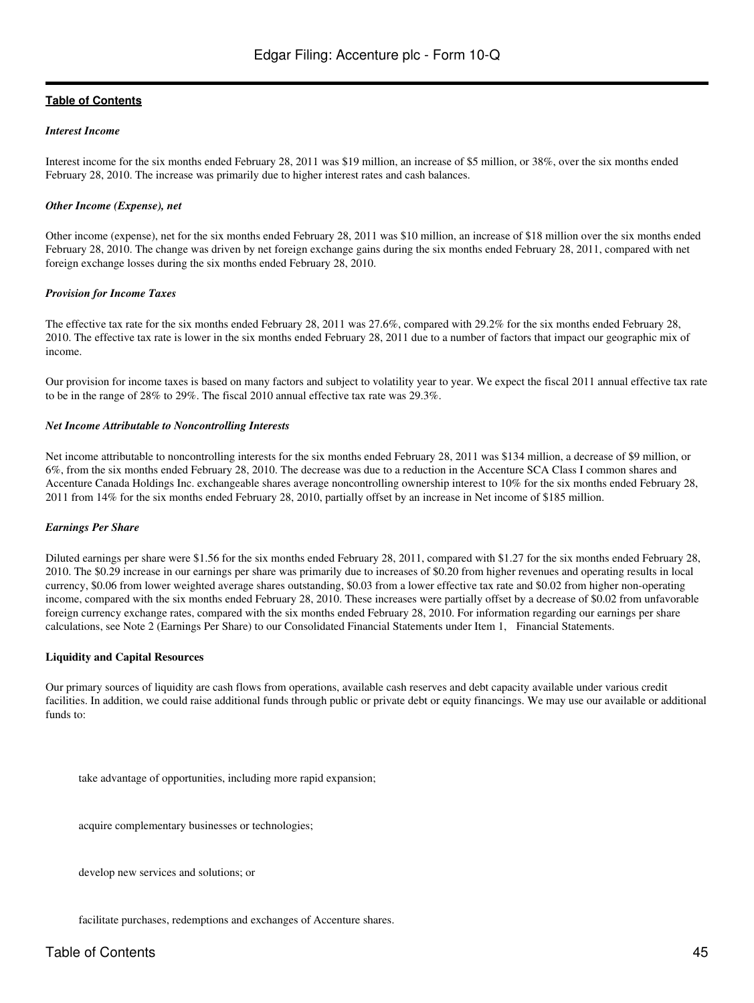#### *Interest Income*

Interest income for the six months ended February 28, 2011 was \$19 million, an increase of \$5 million, or 38%, over the six months ended February 28, 2010. The increase was primarily due to higher interest rates and cash balances.

#### *Other Income (Expense), net*

Other income (expense), net for the six months ended February 28, 2011 was \$10 million, an increase of \$18 million over the six months ended February 28, 2010. The change was driven by net foreign exchange gains during the six months ended February 28, 2011, compared with net foreign exchange losses during the six months ended February 28, 2010.

#### *Provision for Income Taxes*

The effective tax rate for the six months ended February 28, 2011 was 27.6%, compared with 29.2% for the six months ended February 28, 2010. The effective tax rate is lower in the six months ended February 28, 2011 due to a number of factors that impact our geographic mix of income.

Our provision for income taxes is based on many factors and subject to volatility year to year. We expect the fiscal 2011 annual effective tax rate to be in the range of 28% to 29%. The fiscal 2010 annual effective tax rate was 29.3%.

#### *Net Income Attributable to Noncontrolling Interests*

Net income attributable to noncontrolling interests for the six months ended February 28, 2011 was \$134 million, a decrease of \$9 million, or 6%, from the six months ended February 28, 2010. The decrease was due to a reduction in the Accenture SCA Class I common shares and Accenture Canada Holdings Inc. exchangeable shares average noncontrolling ownership interest to 10% for the six months ended February 28, 2011 from 14% for the six months ended February 28, 2010, partially offset by an increase in Net income of \$185 million.

### *Earnings Per Share*

Diluted earnings per share were \$1.56 for the six months ended February 28, 2011, compared with \$1.27 for the six months ended February 28, 2010. The \$0.29 increase in our earnings per share was primarily due to increases of \$0.20 from higher revenues and operating results in local currency, \$0.06 from lower weighted average shares outstanding, \$0.03 from a lower effective tax rate and \$0.02 from higher non-operating income, compared with the six months ended February 28, 2010. These increases were partially offset by a decrease of \$0.02 from unfavorable foreign currency exchange rates, compared with the six months ended February 28, 2010. For information regarding our earnings per share calculations, see Note 2 (Earnings Per Share) to our Consolidated Financial Statements under Item 1, Financial Statements.

#### **Liquidity and Capital Resources**

Our primary sources of liquidity are cash flows from operations, available cash reserves and debt capacity available under various credit facilities. In addition, we could raise additional funds through public or private debt or equity financings. We may use our available or additional funds to:

take advantage of opportunities, including more rapid expansion;

acquire complementary businesses or technologies;

develop new services and solutions; or

facilitate purchases, redemptions and exchanges of Accenture shares.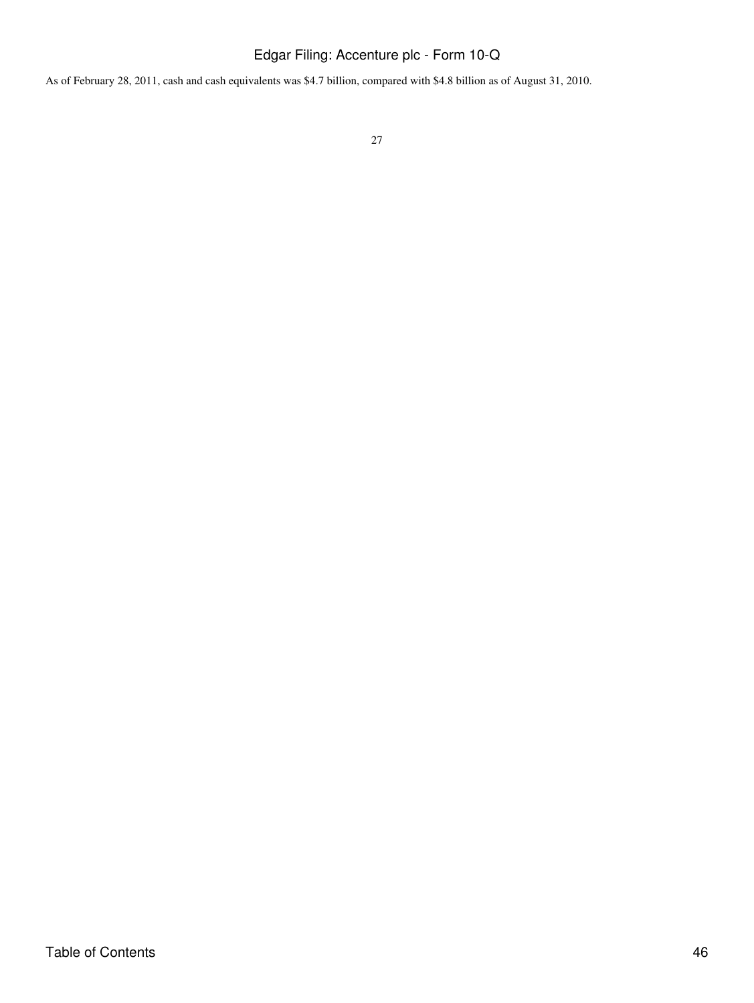As of February 28, 2011, cash and cash equivalents was \$4.7 billion, compared with \$4.8 billion as of August 31, 2010.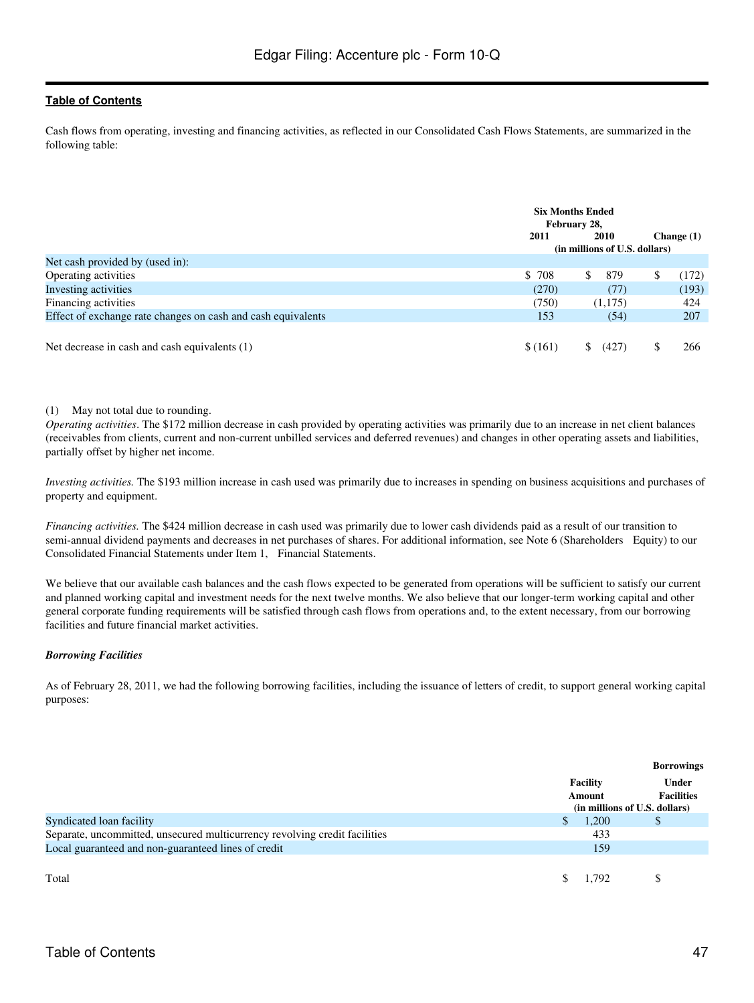Cash flows from operating, investing and financing activities, as reflected in our Consolidated Cash Flows Statements, are summarized in the following table:

|                                                              |         | <b>Six Months Ended</b><br>February 28, |  |              |  |
|--------------------------------------------------------------|---------|-----------------------------------------|--|--------------|--|
|                                                              | 2011    | 2010                                    |  | Change $(1)$ |  |
|                                                              |         | (in millions of U.S. dollars)           |  |              |  |
| Net cash provided by (used in):                              |         |                                         |  |              |  |
| Operating activities                                         | \$ 708  | \$<br>879                               |  | (172)        |  |
| Investing activities                                         | (270)   | (77)                                    |  | (193)        |  |
| Financing activities                                         | (750)   | (1,175)                                 |  | 424          |  |
| Effect of exchange rate changes on cash and cash equivalents | 153     | (54)                                    |  | 207          |  |
|                                                              |         |                                         |  |              |  |
| Net decrease in cash and cash equivalents (1)                | \$(161) | (427)                                   |  | 266          |  |

#### (1) May not total due to rounding.

*Operating activities*. The \$172 million decrease in cash provided by operating activities was primarily due to an increase in net client balances (receivables from clients, current and non-current unbilled services and deferred revenues) and changes in other operating assets and liabilities, partially offset by higher net income.

*Investing activities.* The \$193 million increase in cash used was primarily due to increases in spending on business acquisitions and purchases of property and equipment.

*Financing activities.* The \$424 million decrease in cash used was primarily due to lower cash dividends paid as a result of our transition to semi-annual dividend payments and decreases in net purchases of shares. For additional information, see Note 6 (Shareholders Equity) to our Consolidated Financial Statements under Item 1, Financial Statements.

We believe that our available cash balances and the cash flows expected to be generated from operations will be sufficient to satisfy our current and planned working capital and investment needs for the next twelve months. We also believe that our longer-term working capital and other general corporate funding requirements will be satisfied through cash flows from operations and, to the extent necessary, from our borrowing facilities and future financial market activities.

### *Borrowing Facilities*

As of February 28, 2011, we had the following borrowing facilities, including the issuance of letters of credit, to support general working capital purposes:

|                                                                            | Facility<br>Amount | <b>Borrowings</b><br>Under<br><b>Facilities</b><br>(in millions of U.S. dollars) |
|----------------------------------------------------------------------------|--------------------|----------------------------------------------------------------------------------|
| Syndicated loan facility                                                   | 1,200              | Ф                                                                                |
| Separate, uncommitted, unsecured multicurrency revolving credit facilities | 433                |                                                                                  |
| Local guaranteed and non-guaranteed lines of credit                        | 159                |                                                                                  |
| Total                                                                      | 1.792              |                                                                                  |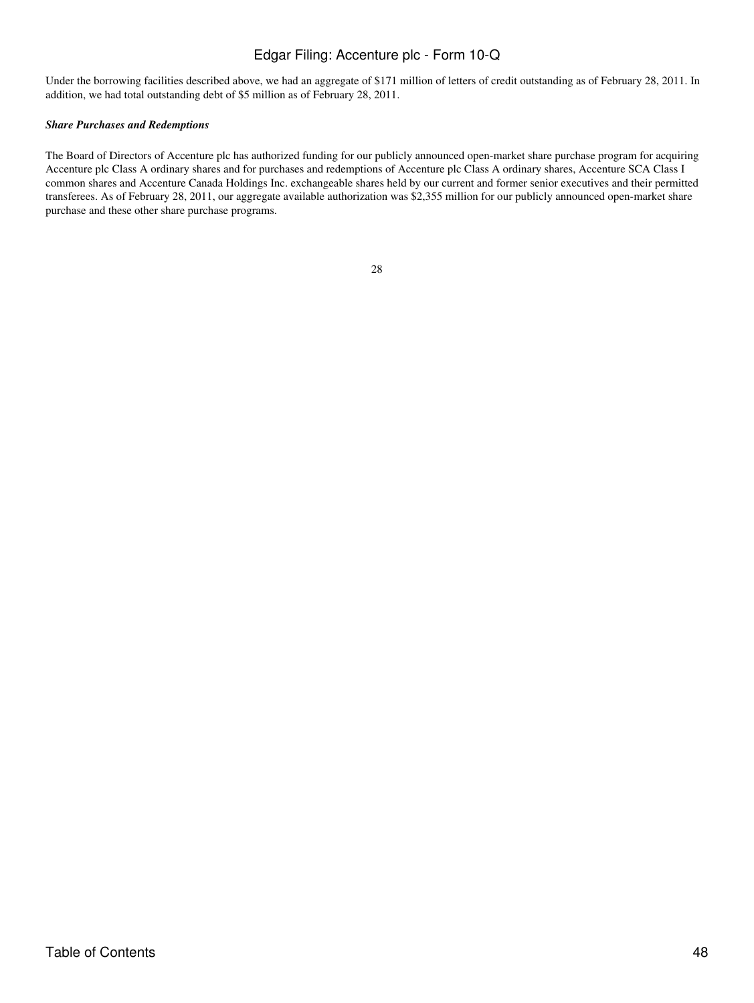Under the borrowing facilities described above, we had an aggregate of \$171 million of letters of credit outstanding as of February 28, 2011. In addition, we had total outstanding debt of \$5 million as of February 28, 2011.

#### *Share Purchases and Redemptions*

The Board of Directors of Accenture plc has authorized funding for our publicly announced open-market share purchase program for acquiring Accenture plc Class A ordinary shares and for purchases and redemptions of Accenture plc Class A ordinary shares, Accenture SCA Class I common shares and Accenture Canada Holdings Inc. exchangeable shares held by our current and former senior executives and their permitted transferees. As of February 28, 2011, our aggregate available authorization was \$2,355 million for our publicly announced open-market share purchase and these other share purchase programs.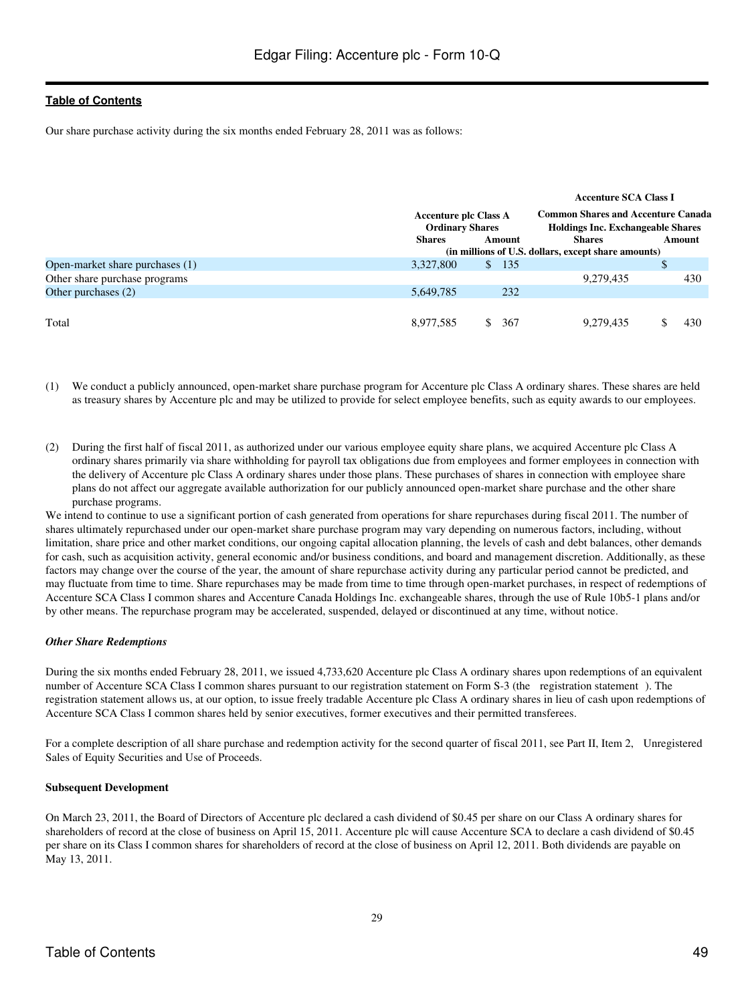Our share purchase activity during the six months ended February 28, 2011 was as follows:

|                                 |                                                        |              |                                                                                       | <b>Accenture SCA Class I</b>                        |  |        |
|---------------------------------|--------------------------------------------------------|--------------|---------------------------------------------------------------------------------------|-----------------------------------------------------|--|--------|
|                                 | <b>Accenture plc Class A</b><br><b>Ordinary Shares</b> |              | <b>Common Shares and Accenture Canada</b><br><b>Holdings Inc. Exchangeable Shares</b> |                                                     |  |        |
|                                 | <b>Shares</b>                                          |              | Amount                                                                                | <b>Shares</b>                                       |  | Amount |
|                                 |                                                        |              |                                                                                       | (in millions of U.S. dollars, except share amounts) |  |        |
| Open-market share purchases (1) | 3.327.800                                              | $\mathbb{S}$ | 135                                                                                   |                                                     |  |        |
| Other share purchase programs   |                                                        |              |                                                                                       | 9,279,435                                           |  | 430    |
| Other purchases (2)             | 5,649,785                                              |              | 232                                                                                   |                                                     |  |        |
|                                 |                                                        |              |                                                                                       |                                                     |  |        |
| Total                           | 8,977,585                                              |              | 367                                                                                   | 9,279,435                                           |  | 430    |

- (1) We conduct a publicly announced, open-market share purchase program for Accenture plc Class A ordinary shares. These shares are held as treasury shares by Accenture plc and may be utilized to provide for select employee benefits, such as equity awards to our employees.
- (2) During the first half of fiscal 2011, as authorized under our various employee equity share plans, we acquired Accenture plc Class A ordinary shares primarily via share withholding for payroll tax obligations due from employees and former employees in connection with the delivery of Accenture plc Class A ordinary shares under those plans. These purchases of shares in connection with employee share plans do not affect our aggregate available authorization for our publicly announced open-market share purchase and the other share purchase programs.

We intend to continue to use a significant portion of cash generated from operations for share repurchases during fiscal 2011. The number of shares ultimately repurchased under our open-market share purchase program may vary depending on numerous factors, including, without limitation, share price and other market conditions, our ongoing capital allocation planning, the levels of cash and debt balances, other demands for cash, such as acquisition activity, general economic and/or business conditions, and board and management discretion. Additionally, as these factors may change over the course of the year, the amount of share repurchase activity during any particular period cannot be predicted, and may fluctuate from time to time. Share repurchases may be made from time to time through open-market purchases, in respect of redemptions of Accenture SCA Class I common shares and Accenture Canada Holdings Inc. exchangeable shares, through the use of Rule 10b5-1 plans and/or by other means. The repurchase program may be accelerated, suspended, delayed or discontinued at any time, without notice.

### *Other Share Redemptions*

During the six months ended February 28, 2011, we issued 4,733,620 Accenture plc Class A ordinary shares upon redemptions of an equivalent number of Accenture SCA Class I common shares pursuant to our registration statement on Form S-3 (the registration statement). The registration statement allows us, at our option, to issue freely tradable Accenture plc Class A ordinary shares in lieu of cash upon redemptions of Accenture SCA Class I common shares held by senior executives, former executives and their permitted transferees.

For a complete description of all share purchase and redemption activity for the second quarter of fiscal 2011, see Part II, Item 2, Unregistered Sales of Equity Securities and Use of Proceeds.

### **Subsequent Development**

On March 23, 2011, the Board of Directors of Accenture plc declared a cash dividend of \$0.45 per share on our Class A ordinary shares for shareholders of record at the close of business on April 15, 2011. Accenture plc will cause Accenture SCA to declare a cash dividend of \$0.45 per share on its Class I common shares for shareholders of record at the close of business on April 12, 2011. Both dividends are payable on May 13, 2011.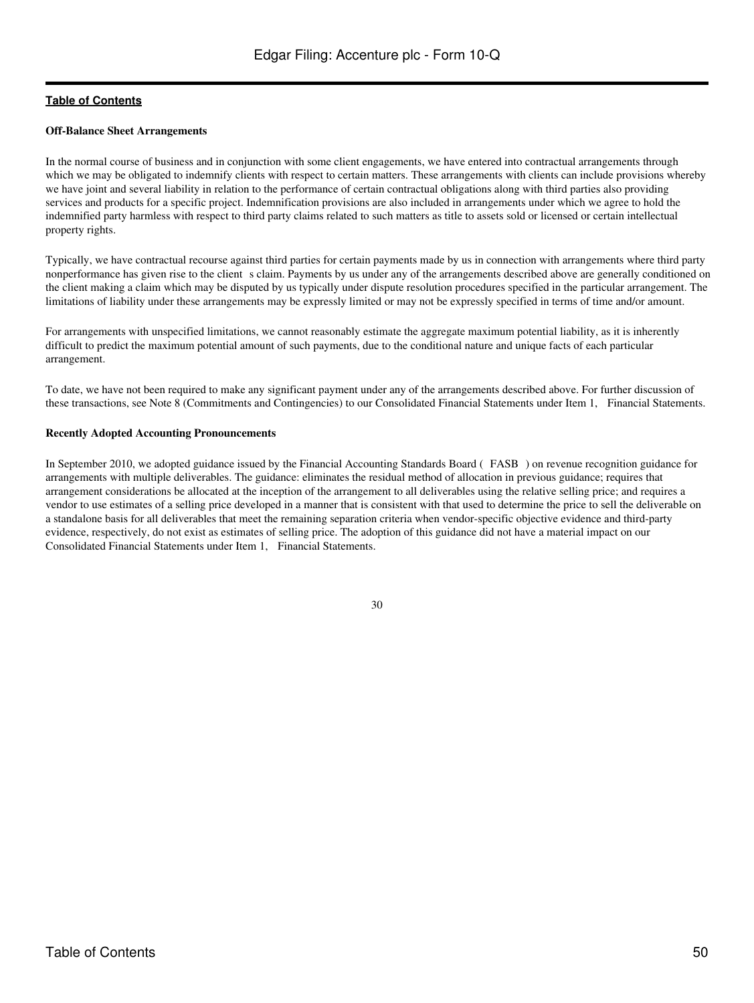#### **Off-Balance Sheet Arrangements**

In the normal course of business and in conjunction with some client engagements, we have entered into contractual arrangements through which we may be obligated to indemnify clients with respect to certain matters. These arrangements with clients can include provisions whereby we have joint and several liability in relation to the performance of certain contractual obligations along with third parties also providing services and products for a specific project. Indemnification provisions are also included in arrangements under which we agree to hold the indemnified party harmless with respect to third party claims related to such matters as title to assets sold or licensed or certain intellectual property rights.

Typically, we have contractual recourse against third parties for certain payments made by us in connection with arrangements where third party nonperformance has given rise to the client s claim. Payments by us under any of the arrangements described above are generally conditioned on the client making a claim which may be disputed by us typically under dispute resolution procedures specified in the particular arrangement. The limitations of liability under these arrangements may be expressly limited or may not be expressly specified in terms of time and/or amount.

For arrangements with unspecified limitations, we cannot reasonably estimate the aggregate maximum potential liability, as it is inherently difficult to predict the maximum potential amount of such payments, due to the conditional nature and unique facts of each particular arrangement.

To date, we have not been required to make any significant payment under any of the arrangements described above. For further discussion of these transactions, see Note 8 (Commitments and Contingencies) to our Consolidated Financial Statements under Item 1, Financial Statements.

#### **Recently Adopted Accounting Pronouncements**

In September 2010, we adopted guidance issued by the Financial Accounting Standards Board (FASB) on revenue recognition guidance for arrangements with multiple deliverables. The guidance: eliminates the residual method of allocation in previous guidance; requires that arrangement considerations be allocated at the inception of the arrangement to all deliverables using the relative selling price; and requires a vendor to use estimates of a selling price developed in a manner that is consistent with that used to determine the price to sell the deliverable on a standalone basis for all deliverables that meet the remaining separation criteria when vendor-specific objective evidence and third-party evidence, respectively, do not exist as estimates of selling price. The adoption of this guidance did not have a material impact on our Consolidated Financial Statements under Item 1, Financial Statements.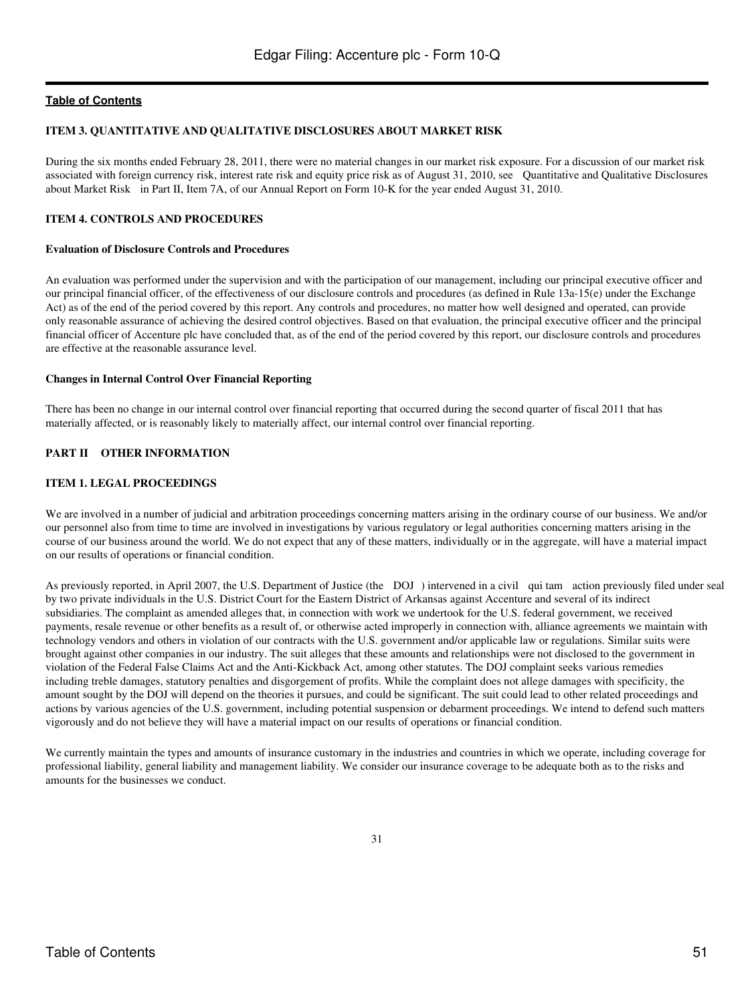#### <span id="page-50-0"></span>**ITEM 3. QUANTITATIVE AND QUALITATIVE DISCLOSURES ABOUT MARKET RISK**

During the six months ended February 28, 2011, there were no material changes in our market risk exposure. For a discussion of our market risk associated with foreign currency risk, interest rate risk and equity price risk as of August 31, 2010, see Quantitative and Qualitative Disclosures about Market Risk in Part II, Item 7A, of our Annual Report on Form 10-K for the year ended August 31, 2010.

#### <span id="page-50-1"></span>**ITEM 4. CONTROLS AND PROCEDURES**

#### **Evaluation of Disclosure Controls and Procedures**

An evaluation was performed under the supervision and with the participation of our management, including our principal executive officer and our principal financial officer, of the effectiveness of our disclosure controls and procedures (as defined in Rule 13a-15(e) under the Exchange Act) as of the end of the period covered by this report. Any controls and procedures, no matter how well designed and operated, can provide only reasonable assurance of achieving the desired control objectives. Based on that evaluation, the principal executive officer and the principal financial officer of Accenture plc have concluded that, as of the end of the period covered by this report, our disclosure controls and procedures are effective at the reasonable assurance level.

#### **Changes in Internal Control Over Financial Reporting**

There has been no change in our internal control over financial reporting that occurred during the second quarter of fiscal 2011 that has materially affected, or is reasonably likely to materially affect, our internal control over financial reporting.

# <span id="page-50-2"></span>**PART II OTHER INFORMATION**

#### <span id="page-50-3"></span>**ITEM 1. LEGAL PROCEEDINGS**

We are involved in a number of judicial and arbitration proceedings concerning matters arising in the ordinary course of our business. We and/or our personnel also from time to time are involved in investigations by various regulatory or legal authorities concerning matters arising in the course of our business around the world. We do not expect that any of these matters, individually or in the aggregate, will have a material impact on our results of operations or financial condition.

As previously reported, in April 2007, the U.S. Department of Justice (the DOJ) intervened in a civil qui tam action previously filed under seal by two private individuals in the U.S. District Court for the Eastern District of Arkansas against Accenture and several of its indirect subsidiaries. The complaint as amended alleges that, in connection with work we undertook for the U.S. federal government, we received payments, resale revenue or other benefits as a result of, or otherwise acted improperly in connection with, alliance agreements we maintain with technology vendors and others in violation of our contracts with the U.S. government and/or applicable law or regulations. Similar suits were brought against other companies in our industry. The suit alleges that these amounts and relationships were not disclosed to the government in violation of the Federal False Claims Act and the Anti-Kickback Act, among other statutes. The DOJ complaint seeks various remedies including treble damages, statutory penalties and disgorgement of profits. While the complaint does not allege damages with specificity, the amount sought by the DOJ will depend on the theories it pursues, and could be significant. The suit could lead to other related proceedings and actions by various agencies of the U.S. government, including potential suspension or debarment proceedings. We intend to defend such matters vigorously and do not believe they will have a material impact on our results of operations or financial condition.

We currently maintain the types and amounts of insurance customary in the industries and countries in which we operate, including coverage for professional liability, general liability and management liability. We consider our insurance coverage to be adequate both as to the risks and amounts for the businesses we conduct.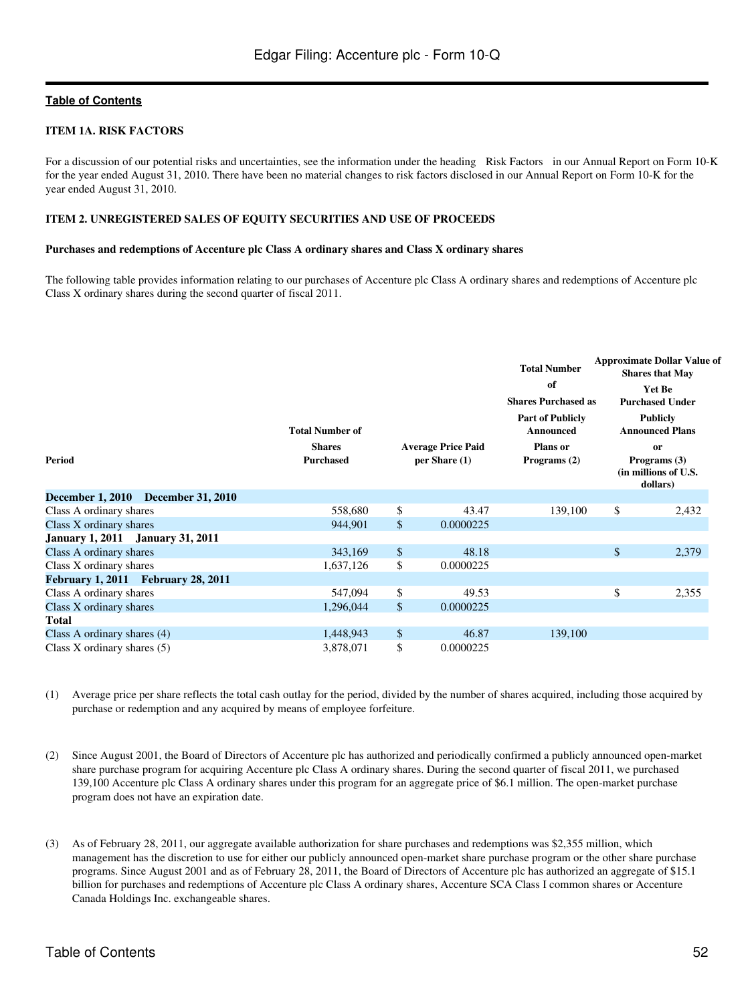### <span id="page-51-0"></span>**ITEM 1A. RISK FACTORS**

For a discussion of our potential risks and uncertainties, see the information under the heading Risk Factors in our Annual Report on Form 10-K for the year ended August 31, 2010. There have been no material changes to risk factors disclosed in our Annual Report on Form 10-K for the year ended August 31, 2010.

#### <span id="page-51-1"></span>**ITEM 2. UNREGISTERED SALES OF EQUITY SECURITIES AND USE OF PROCEEDS**

#### **Purchases and redemptions of Accenture plc Class A ordinary shares and Class X ordinary shares**

The following table provides information relating to our purchases of Accenture plc Class A ordinary shares and redemptions of Accenture plc Class X ordinary shares during the second quarter of fiscal 2011.

| Period                                  | <b>Total Number of</b><br><b>Shares</b><br><b>Purchased</b> |              | <b>Average Price Paid</b><br>per Share $(1)$ | <b>Total Number</b><br>of<br><b>Shares Purchased as</b><br><b>Part of Publicly</b><br>Announced<br><b>Plans</b> or<br>Programs (2) | <b>Approximate Dollar Value of</b><br><b>Shares that May</b><br><b>Yet Be</b><br><b>Purchased Under</b><br><b>Publicly</b><br><b>Announced Plans</b><br>or<br>Programs $(3)$<br>(in millions of U.S.<br>dollars) |  |
|-----------------------------------------|-------------------------------------------------------------|--------------|----------------------------------------------|------------------------------------------------------------------------------------------------------------------------------------|------------------------------------------------------------------------------------------------------------------------------------------------------------------------------------------------------------------|--|
| December 1, 2010 December 31, 2010      |                                                             |              |                                              |                                                                                                                                    |                                                                                                                                                                                                                  |  |
| Class A ordinary shares                 | 558,680                                                     | \$           | 43.47                                        | 139,100                                                                                                                            | \$<br>2,432                                                                                                                                                                                                      |  |
| Class X ordinary shares                 | 944,901                                                     | \$           | 0.0000225                                    |                                                                                                                                    |                                                                                                                                                                                                                  |  |
| <b>January 1, 2011 January 31, 2011</b> |                                                             |              |                                              |                                                                                                                                    |                                                                                                                                                                                                                  |  |
| Class A ordinary shares                 | 343,169                                                     | \$           | 48.18                                        |                                                                                                                                    | \$<br>2,379                                                                                                                                                                                                      |  |
| Class X ordinary shares                 | 1,637,126                                                   | \$           | 0.0000225                                    |                                                                                                                                    |                                                                                                                                                                                                                  |  |
| February 1, 2011 February 28, 2011      |                                                             |              |                                              |                                                                                                                                    |                                                                                                                                                                                                                  |  |
| Class A ordinary shares                 | 547,094                                                     | \$           | 49.53                                        |                                                                                                                                    | \$<br>2,355                                                                                                                                                                                                      |  |
| Class X ordinary shares                 | 1,296,044                                                   | $\mathbb{S}$ | 0.0000225                                    |                                                                                                                                    |                                                                                                                                                                                                                  |  |
| <b>Total</b>                            |                                                             |              |                                              |                                                                                                                                    |                                                                                                                                                                                                                  |  |
| Class A ordinary shares $(4)$           | 1,448,943                                                   | \$           | 46.87                                        | 139,100                                                                                                                            |                                                                                                                                                                                                                  |  |
| Class X ordinary shares $(5)$           | 3,878,071                                                   | \$           | 0.0000225                                    |                                                                                                                                    |                                                                                                                                                                                                                  |  |

- (1) Average price per share reflects the total cash outlay for the period, divided by the number of shares acquired, including those acquired by purchase or redemption and any acquired by means of employee forfeiture.
- (2) Since August 2001, the Board of Directors of Accenture plc has authorized and periodically confirmed a publicly announced open-market share purchase program for acquiring Accenture plc Class A ordinary shares. During the second quarter of fiscal 2011, we purchased 139,100 Accenture plc Class A ordinary shares under this program for an aggregate price of \$6.1 million. The open-market purchase program does not have an expiration date.
- (3) As of February 28, 2011, our aggregate available authorization for share purchases and redemptions was \$2,355 million, which management has the discretion to use for either our publicly announced open-market share purchase program or the other share purchase programs. Since August 2001 and as of February 28, 2011, the Board of Directors of Accenture plc has authorized an aggregate of \$15.1 billion for purchases and redemptions of Accenture plc Class A ordinary shares, Accenture SCA Class I common shares or Accenture Canada Holdings Inc. exchangeable shares.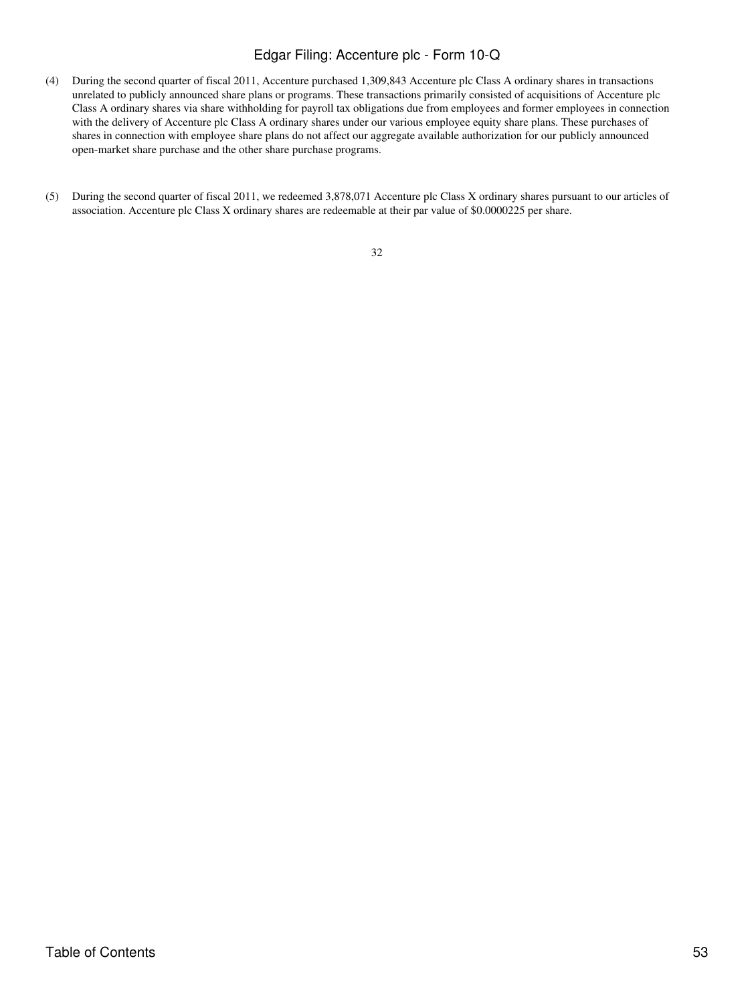- (4) During the second quarter of fiscal 2011, Accenture purchased 1,309,843 Accenture plc Class A ordinary shares in transactions unrelated to publicly announced share plans or programs. These transactions primarily consisted of acquisitions of Accenture plc Class A ordinary shares via share withholding for payroll tax obligations due from employees and former employees in connection with the delivery of Accenture plc Class A ordinary shares under our various employee equity share plans. These purchases of shares in connection with employee share plans do not affect our aggregate available authorization for our publicly announced open-market share purchase and the other share purchase programs.
- (5) During the second quarter of fiscal 2011, we redeemed 3,878,071 Accenture plc Class X ordinary shares pursuant to our articles of association. Accenture plc Class X ordinary shares are redeemable at their par value of \$0.0000225 per share.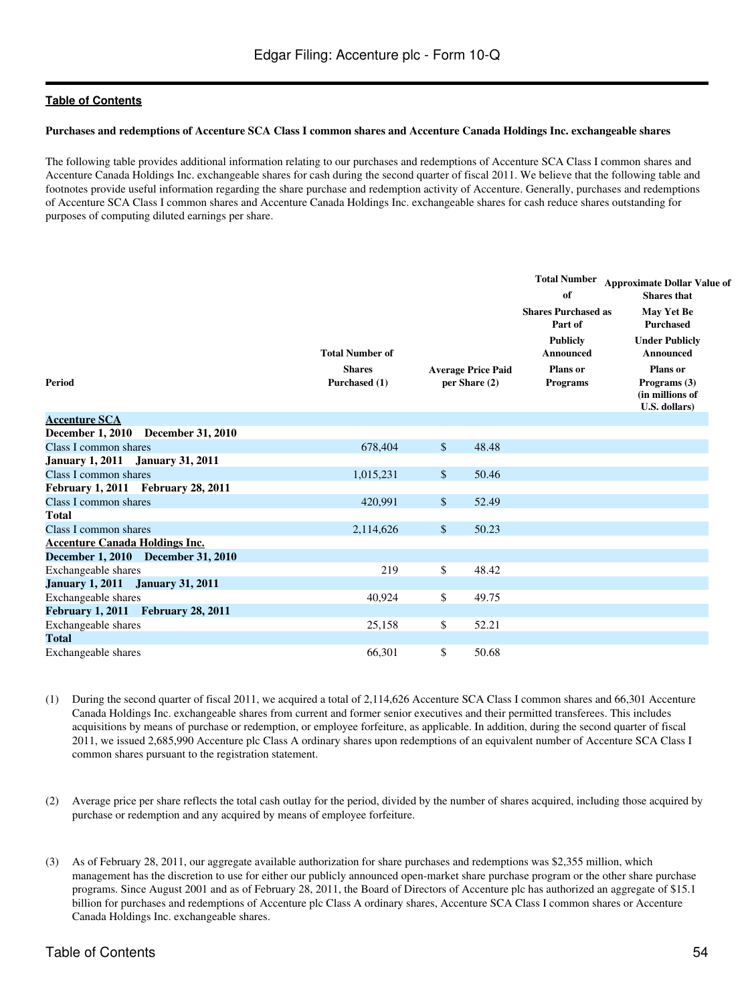#### **Purchases and redemptions of Accenture SCA Class I common shares and Accenture Canada Holdings Inc. exchangeable shares**

The following table provides additional information relating to our purchases and redemptions of Accenture SCA Class I common shares and Accenture Canada Holdings Inc. exchangeable shares for cash during the second quarter of fiscal 2011. We believe that the following table and footnotes provide useful information regarding the share purchase and redemption activity of Accenture. Generally, purchases and redemptions of Accenture SCA Class I common shares and Accenture Canada Holdings Inc. exchangeable shares for cash reduce shares outstanding for purposes of computing diluted earnings per share.

| <b>Period</b>                                       | <b>Total Number of</b><br><b>Shares</b><br>Purchased (1) |                      | <b>Average Price Paid</b><br>per Share (2) | <b>Total Number</b><br>of<br><b>Shares Purchased as</b><br>Part of<br><b>Publicly</b><br>Announced<br><b>Plans</b> or<br><b>Programs</b> | <b>Approximate Dollar Value of</b><br><b>Shares</b> that<br><b>May Yet Be</b><br><b>Purchased</b><br><b>Under Publicly</b><br>Announced<br>Plans or<br>Programs (3)<br>(in millions of<br>U.S. dollars) |
|-----------------------------------------------------|----------------------------------------------------------|----------------------|--------------------------------------------|------------------------------------------------------------------------------------------------------------------------------------------|---------------------------------------------------------------------------------------------------------------------------------------------------------------------------------------------------------|
| <b>Accenture SCA</b>                                |                                                          |                      |                                            |                                                                                                                                          |                                                                                                                                                                                                         |
| <b>December 1, 2010</b><br><b>December 31, 2010</b> |                                                          |                      |                                            |                                                                                                                                          |                                                                                                                                                                                                         |
| Class I common shares                               | 678,404                                                  | $\mathsf{\$}$        | 48.48                                      |                                                                                                                                          |                                                                                                                                                                                                         |
| January 1, 2011 January 31, 2011                    |                                                          |                      |                                            |                                                                                                                                          |                                                                                                                                                                                                         |
| Class I common shares                               | 1,015,231                                                | \$                   | 50.46                                      |                                                                                                                                          |                                                                                                                                                                                                         |
| February 1, 2011 February 28, 2011                  |                                                          |                      |                                            |                                                                                                                                          |                                                                                                                                                                                                         |
| Class I common shares                               | 420.991                                                  | \$                   | 52.49                                      |                                                                                                                                          |                                                                                                                                                                                                         |
| <b>Total</b>                                        |                                                          |                      |                                            |                                                                                                                                          |                                                                                                                                                                                                         |
| Class I common shares                               | 2,114,626                                                | $\sqrt{\frac{2}{5}}$ | 50.23                                      |                                                                                                                                          |                                                                                                                                                                                                         |
| <b>Accenture Canada Holdings Inc.</b>               |                                                          |                      |                                            |                                                                                                                                          |                                                                                                                                                                                                         |
| December 1, 2010 December 31, 2010                  |                                                          |                      |                                            |                                                                                                                                          |                                                                                                                                                                                                         |
| Exchangeable shares                                 | 219                                                      | \$                   | 48.42                                      |                                                                                                                                          |                                                                                                                                                                                                         |
| <b>January 1, 2011</b><br><b>January 31, 2011</b>   |                                                          |                      |                                            |                                                                                                                                          |                                                                                                                                                                                                         |
| Exchangeable shares                                 | 40,924                                                   | \$                   | 49.75                                      |                                                                                                                                          |                                                                                                                                                                                                         |
| February 1, 2011 February 28, 2011                  |                                                          |                      |                                            |                                                                                                                                          |                                                                                                                                                                                                         |
| Exchangeable shares                                 | 25,158                                                   | \$                   | 52.21                                      |                                                                                                                                          |                                                                                                                                                                                                         |
| <b>Total</b>                                        |                                                          |                      |                                            |                                                                                                                                          |                                                                                                                                                                                                         |
| Exchangeable shares                                 | 66,301                                                   | \$                   | 50.68                                      |                                                                                                                                          |                                                                                                                                                                                                         |

- (1) During the second quarter of fiscal 2011, we acquired a total of 2,114,626 Accenture SCA Class I common shares and 66,301 Accenture Canada Holdings Inc. exchangeable shares from current and former senior executives and their permitted transferees. This includes acquisitions by means of purchase or redemption, or employee forfeiture, as applicable. In addition, during the second quarter of fiscal 2011, we issued 2,685,990 Accenture plc Class A ordinary shares upon redemptions of an equivalent number of Accenture SCA Class I common shares pursuant to the registration statement.
- (2) Average price per share reflects the total cash outlay for the period, divided by the number of shares acquired, including those acquired by purchase or redemption and any acquired by means of employee forfeiture.
- (3) As of February 28, 2011, our aggregate available authorization for share purchases and redemptions was \$2,355 million, which management has the discretion to use for either our publicly announced open-market share purchase program or the other share purchase programs. Since August 2001 and as of February 28, 2011, the Board of Directors of Accenture plc has authorized an aggregate of \$15.1 billion for purchases and redemptions of Accenture plc Class A ordinary shares, Accenture SCA Class I common shares or Accenture Canada Holdings Inc. exchangeable shares.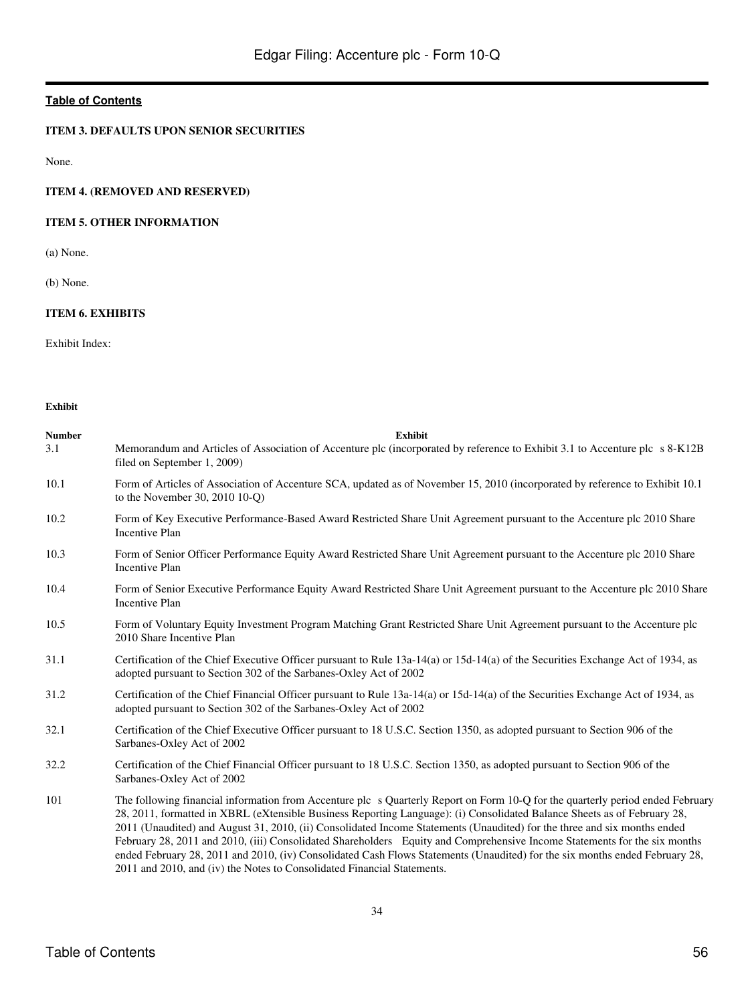### <span id="page-55-0"></span>**ITEM 3. DEFAULTS UPON SENIOR SECURITIES**

None.

# <span id="page-55-1"></span>**ITEM 4. (REMOVED AND RESERVED)**

### <span id="page-55-2"></span>**ITEM 5. OTHER INFORMATION**

(a) None.

(b) None.

# <span id="page-55-3"></span>**ITEM 6. EXHIBITS**

Exhibit Index:

**Exhibit**

| <b>Number</b> | <b>Exhibit</b>                                                                                                                                                                                                                                                                                                                                                                                                                                                                                                                                                                                                                                                                                                                |
|---------------|-------------------------------------------------------------------------------------------------------------------------------------------------------------------------------------------------------------------------------------------------------------------------------------------------------------------------------------------------------------------------------------------------------------------------------------------------------------------------------------------------------------------------------------------------------------------------------------------------------------------------------------------------------------------------------------------------------------------------------|
| 3.1           | Memorandum and Articles of Association of Accenture plc (incorporated by reference to Exhibit 3.1 to Accenture plc s 8-K12B<br>filed on September 1, 2009)                                                                                                                                                                                                                                                                                                                                                                                                                                                                                                                                                                    |
| 10.1          | Form of Articles of Association of Accenture SCA, updated as of November 15, 2010 (incorporated by reference to Exhibit 10.1)<br>to the November 30, 2010 10-O)                                                                                                                                                                                                                                                                                                                                                                                                                                                                                                                                                               |
| 10.2          | Form of Key Executive Performance-Based Award Restricted Share Unit Agreement pursuant to the Accenture plc 2010 Share<br><b>Incentive Plan</b>                                                                                                                                                                                                                                                                                                                                                                                                                                                                                                                                                                               |
| 10.3          | Form of Senior Officer Performance Equity Award Restricted Share Unit Agreement pursuant to the Accenture plc 2010 Share<br><b>Incentive Plan</b>                                                                                                                                                                                                                                                                                                                                                                                                                                                                                                                                                                             |
| 10.4          | Form of Senior Executive Performance Equity Award Restricted Share Unit Agreement pursuant to the Accenture plc 2010 Share<br><b>Incentive Plan</b>                                                                                                                                                                                                                                                                                                                                                                                                                                                                                                                                                                           |
| 10.5          | Form of Voluntary Equity Investment Program Matching Grant Restricted Share Unit Agreement pursuant to the Accenture plc<br>2010 Share Incentive Plan                                                                                                                                                                                                                                                                                                                                                                                                                                                                                                                                                                         |
| 31.1          | Certification of the Chief Executive Officer pursuant to Rule 13a-14(a) or 15d-14(a) of the Securities Exchange Act of 1934, as<br>adopted pursuant to Section 302 of the Sarbanes-Oxley Act of 2002                                                                                                                                                                                                                                                                                                                                                                                                                                                                                                                          |
| 31.2          | Certification of the Chief Financial Officer pursuant to Rule 13a-14(a) or 15d-14(a) of the Securities Exchange Act of 1934, as<br>adopted pursuant to Section 302 of the Sarbanes-Oxley Act of 2002                                                                                                                                                                                                                                                                                                                                                                                                                                                                                                                          |
| 32.1          | Certification of the Chief Executive Officer pursuant to 18 U.S.C. Section 1350, as adopted pursuant to Section 906 of the<br>Sarbanes-Oxley Act of 2002                                                                                                                                                                                                                                                                                                                                                                                                                                                                                                                                                                      |
| 32.2          | Certification of the Chief Financial Officer pursuant to 18 U.S.C. Section 1350, as adopted pursuant to Section 906 of the<br>Sarbanes-Oxley Act of 2002                                                                                                                                                                                                                                                                                                                                                                                                                                                                                                                                                                      |
| 101           | The following financial information from Accenture plc s Quarterly Report on Form 10-Q for the quarterly period ended February<br>28, 2011, formatted in XBRL (eXtensible Business Reporting Language): (i) Consolidated Balance Sheets as of February 28,<br>2011 (Unaudited) and August 31, 2010, (ii) Consolidated Income Statements (Unaudited) for the three and six months ended<br>February 28, 2011 and 2010, (iii) Consolidated Shareholders Equity and Comprehensive Income Statements for the six months<br>ended February 28, 2011 and 2010, (iv) Consolidated Cash Flows Statements (Unaudited) for the six months ended February 28,<br>2011 and 2010, and (iv) the Notes to Consolidated Financial Statements. |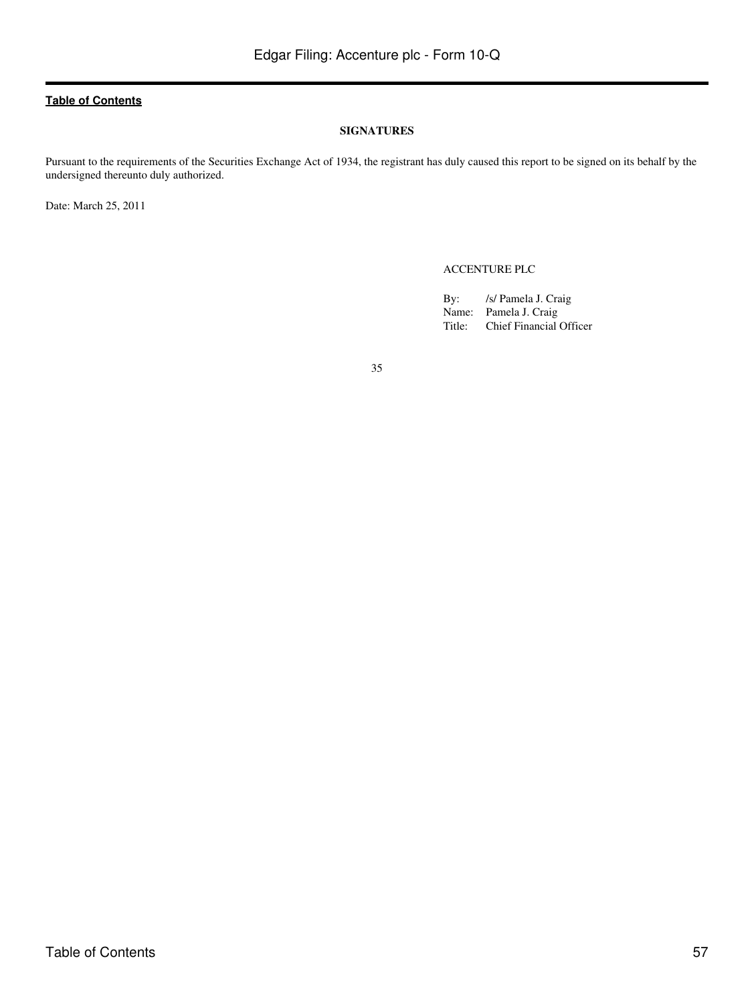#### **SIGNATURES**

<span id="page-56-0"></span>Pursuant to the requirements of the Securities Exchange Act of 1934, the registrant has duly caused this report to be signed on its behalf by the undersigned thereunto duly authorized.

Date: March 25, 2011

ACCENTURE PLC

By: /s/ Pamela J. Craig Name: Pamela J. Craig<br>Title: Chief Financial Chief Financial Officer